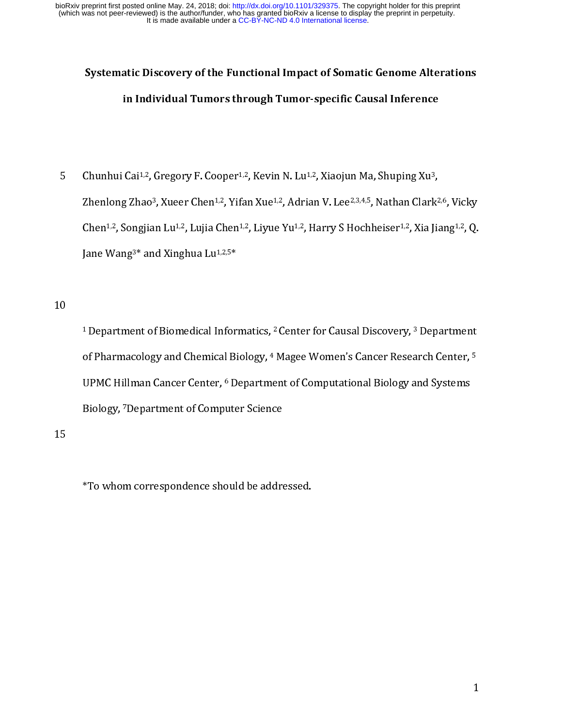## Systematic Discovery of the Functional Impact of Somatic Genome Alterations in Individual Tumors through Tumor-specific Causal Inference

 $\begin{bmatrix} 1 \\ 1 \end{bmatrix}$  $\frac{2}{1}$ Chunhui Cai<sup>2,22</sup>, Gregory F. Cooper<sup>2,22</sup>, Kevin N. Lu<sup>2,22</sup>, Xiaojun Ma, Shuping Au<sup>2</sup>,<br>Zhenlong Zhao<sup>3</sup>, Xueer Chen<sup>1,2</sup>, Yifan Xue<sup>1,2</sup>, Adrian V. Lee<sup>2,3,4,5</sup>, Nathan Clark<sup>2</sup><br>Chen<sup>1,2</sup>, Songjian Lu<sup>1,2</sup>, Lujia Chen<sup>1</sup>

Zhenlong Zhao<sup>9</sup>, Aueer Chen<sup>1,2</sup>, Than Xue<sup>1,2</sup>, Adrian V. Lee<sup>2,3,1,3</sup>, Nathan Clark<sup>2,2,</sup> Vicky<br>Chen<sup>1,2</sup>, Songjian Lu<sup>1,2</sup>, Lujia Chen<sup>1,2</sup>, Liyue Yu<sup>1,2</sup>, Harry S Hochheiser<sup>1,2</sup>, Xia Jiang<sup>1,2</sup>, Q.<br>Jane Wang<sup>3\*</sup> and Chen<sup>2,2,</sup> Songjian Lu<sup>2,2</sup>, Lujia Chen<sup>2,2,</sup> Luyue Yu<sup>2,2</sup>, Harry S Hochheiser<sup>2,22</sup>, Xia jiang<sup>2,2,</sup> Q.<br>Jane Wang<sup>3\*</sup> and Xinghua Lu<sup>1,2,5\*</sup><br><sup>1</sup> Department of Biomedical Informatics, <sup>2</sup> Center for Causal Discovery, <sup>3</sup> Jane wang<sup>3,</sup> and Anghua Lu<sup>1,2,5</sup><br><sup>1</sup> Department of Biomedical Infor:<br>of Pharmacology and Chemical Bi<br>UPMC Hillman Cancer Center, <sup>6</sup> D<br>Biology, <sup>7</sup> Department of Compute 1<br>( )<br>|<br>| - Department of Biomedical Informatics, - Center for Causal Discovery, - Department<br>of Pharmacology and Chemical Biology, 4 Magee Women's Cancer Research Center, <sup>5</sup><br>UPMC Hillman Cancer Center, <sup>6</sup> Department of Computatio of Pharmacology and Chemical Biology, <sup>7</sup> Magee Women's Cancer Research Center, <sup>5</sup><br>UPMC Hillman Cancer Center, <sup>6</sup> Department of Computational Biology and Systems<br>Biology, <sup>7</sup>Department of Computer Science<br>\*To whom corres UPMC Hillman Cancer Center, <sup>o</sup> Department of Computational Biology and Systems<br>Biology, <sup>7</sup>Department of Computer Science<br>\*To whom correspondence should be addressed.

15<br>15 15

віоlogy, <sup>,</sup> Department of Computer Science<br>\*To whom correspondence should be addre<br>\*To whom correspondence should be addre  $\frac{1}{2}$ \*To whom correspondence should be addressed.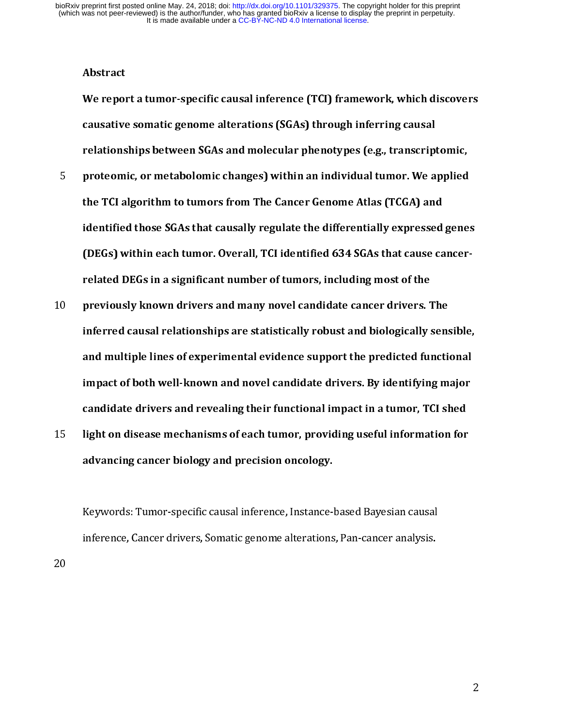Abstract

We report a tumor-specific causal inference (TCI) framework, which discovers causative somatic genome alterations (SGAs) through inferring causal relationships between SGAs and molecular phenotypes (e.g., transcriptomic,

- Froteomic, or metabolomic changes) within an individual tumor. We applied<br>the TCI algorithm to tumors from The Cancer Genome Atlas (TCGA) and<br>identified those SGAs that causally regulate the differentially expressed genes<br> the TCI algorithm to tumors from The Cancer Genome Atlas (TCGA) and identified those SGAs that causally regulate the differentially expressed genes (DEGs) within each tumor. Overall, TCI identified 634 SGAs that cause cancerrelated DEGs in a significant number of tumors, including most of the
- 10 previously known drivers and many nover candidate cancer drivers. The<br>inferred causal relationships are statistically robust and biologically sens<br>and multiple lines of experimental evidence support the predicted functi inferred causal relationships are statistically robust and biologically sensible, and multiple lines of experimental evidence support the predicted functional impact of both well-known and novel candidate drivers. By identifying major candidate drivers and revealing their functional impact in a tumor, TCI shed
- advancing cancer biology and precision oncology.

15 light on disease incenditisms of each tumor, providing useful information for<br>advancing cancer biology and precision oncology.<br>Keywords: Tumor-specific causal inference, Instance-based Bayesian causal<br>inference, Cancer  $\frac{1}{2}$ Inference, Cancer drivers, Somatic genome alterations, Pan-cancer analysis.<br>Inference, Cancer drivers, Somatic genome alterations, Pan-cancer analysis. inference, Cancer drivers, Somatic genome alterations, Pan-cancer analysis.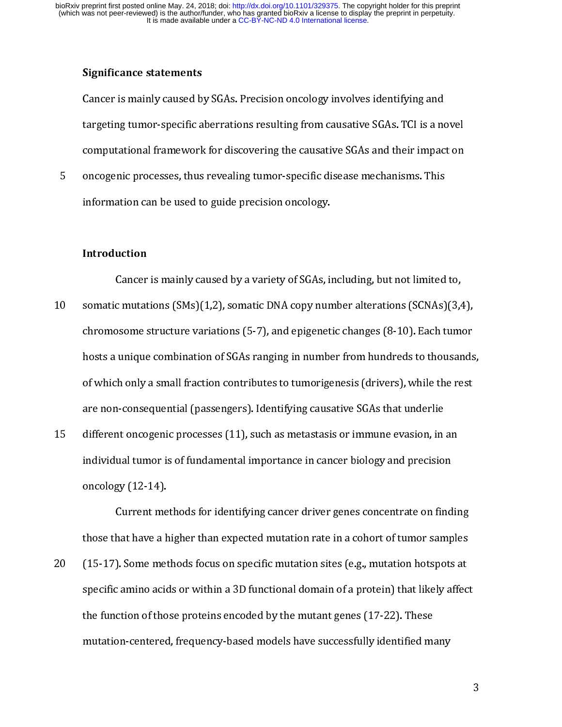#### Significance statements

targeting tumor-specific aberrations resulting from causative SGAs. TCI is a no<br>computational framework for discovering the causative SGAs and their impac<br>oncogenic processes, thus revealing tumor-specific disease mechanis

computational framework for discovering the causative SGAs and their impact on<br>oncogenic processes, thus revealing tumor-specific disease mechanisms. This<br>information can be used to guide precision oncology.<br>Intr**oduction** 

#### Introduction

compute processes, thus revealing tumor-specific disease mechanisms. This<br>information can be used to guide precision oncology.<br>Introduction<br>Cancer is mainly caused by a variety of SGAs, including, but not limited to,<br>somat information can be used to guide precision oncology.<br> **Introduction**<br>
Cancer is mainly caused by a variety of SGAs, including, but not limited<br>
somatic mutations (SMs)(1,2), somatic DNA copy number alterations (SCNAs)<br>
ch Introduction<br>Cancer is mainly caused by a variety of SGAs, is<br>somatic mutations (SMs)(1,2), somatic DNA copy nun<br>chromosome structure variations (5-7), and epigenet<br>hosts a unique combination of SGAs ranging in numbe<br>of wh  $\begin{bmatrix} 1 & 1 \\ 1 & 1 \end{bmatrix}$ C mutations (SMs)(1,2), somatic DNA copy number alterations (SCNAs)(3,4<br>osome structure variations (5-7), and epigenetic changes (8-10). Each tum<br>unique combination of SGAs ranging in number from hundreds to thousar<br>th onl 21 Framer mutations (S-1), Cramer Error F) and extended (S-10). Each tumor<br>chromosome structure variations (S-7), and epigenetic changes (8-10). Each tumor<br>hosts a unique combination of SGAs ranging in number from hundreds chromosomethical combination of SGAs ranging in number from hundreds to thousands<br>of which only a small fraction contributes to tumorigenesis (drivers), while the rest<br>are non-consequential (passengers). Identifying causat of which only a small fraction contributes to tumorigenesis (drivers), while the rest<br>are non-consequential (passengers). Identifying causative SGAs that underlie<br>different oncogenic processes (11), such as metastasis or i of which only a small fraction contribution control of the rest of the different oncogenic processes (11), such as metastasis or immune evasion, in an individual tumor is of fundamental importance in cancer biology and pre

different oncogenic processes (11), such as metastasis or immune evasion, in<br>individual tumor is of fundamental importance in cancer biology and precisio<br>oncology (12-14).<br>Current methods for identifying cancer driver gene 15 individual tumor is of fundamental importance in cancer biology and precision<br>
15 oncology (12-14).<br>
Current methods for identifying cancer driver genes concentrate on findir<br>
15 those that have a higher than expected individual tumor is of fundamental importance in cancer driver series, and protected<br>oncology (12-14).<br>Current methods for identifying cancer driver genes concentrate on find<br>those that have a higher than expected mutation Current me<br>those that have a h<br>(15-17). Some met<br>specific amino acid<br>the function of tho<br>mutation-centered Experiment methods for internating and the total of the in-a cohort of tumor samples<br>about have a higher than expected mutation rate in a cohort of tumor samples<br>of tamino acids or within a 3D functional domain of a protei (15-17). Some methods focus on specific mutation sites (e.g., mutation hotspots at specific amino acids or within a 3D functional domain of a protein) that likely affect<br>the function of those proteins encoded by the mutan 20 (20 2). These specific amino acids or within a 3D functional domain of a protein) that likely affect<br>the function of those proteins encoded by the mutant genes (17-22). These<br>mutation-centered, frequency-based models ha specific and the continuum and the continuum of a protein or proteins or a protein of those proteins encoded by the mutant genes (17-22). These mutation-centered, frequency-based models have successfully identified many the function-centered, frequency-based models have successfully identified materials.  $\mathbf{m}$ mutation-centered, frequency-based models have successfully identified many successfully identified many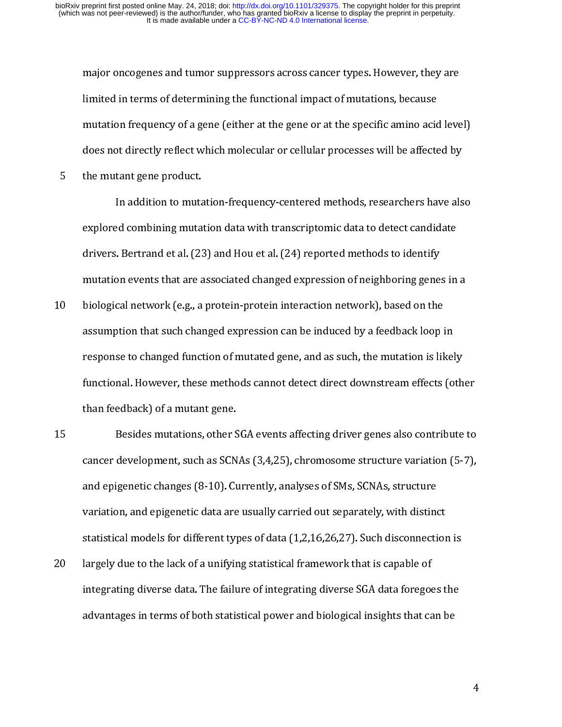mutation frequency of a gene (either at the gene or at the specific amino acid lever<br>mutation frequency of a gene (either at the gene or at the specific amino acid lever<br>does not directly reflect which molecular or cellula

mutation frequency of a gene (either at the gene or at the specific amino acid<br>does not directly reflect which molecular or cellular processes will be affecte<br>the mutant gene product.<br>In addition to mutation-frequency-cent does not directly reflect which molecular or cellular processes will be affected by<br>the mutant gene product.<br>In addition to mutation-frequency-centered methods, researchers have also<br>explored combining mutation data with the mutant gene product.<br>
In addition to mutation-frequency-centered methods, researchers have als<br>
explored combining mutation data with transcriptomic data to detect candidate<br>
drivers. Bertrand et al. (23) and Hou et al In addition to muta<br>explored combining muta<br>drivers. Bertrand et al. (23<br>mutation events that are a<br>biological network (e.g., a<br>assumption that such chan<br>response to changed funct

- In addition to mutation data with transcriptomic data to detect candidate<br>I. Bertrand et al. (23) and Hou et al. (24) reported methods to identify<br>Don events that are associated changed expression of neighboring genes in a explorers. Bertrand et al. (23) and Hou et al. (24) reported methods to identify<br>mutation events that are associated changed expression of neighboring genes in<br>biological network (e.g., a protein-protein interaction networ mutation events that are associated changed expression of neighboring gene-<br>biological network (e.g., a protein-protein interaction network), based on the<br>assumption that such changed expression can be induced by a feedbac mutation events that are assumed changed expression retwork), based on the<br>assumption that such changed expression can be induced by a feedback loop in<br>response to changed function of mutated gene, and as such, the mutatio 11 biological network (e.g., a) protein interaction at the interaction and assumption that such changed expression can be induced by a feedback loop is response to changed function of mutated gene, and as such, the mutatio
- response to changed function of mutated gene, and as such, the mutation is likel<br>functional. However, these methods cannot detect direct downstream effects (o<br>than feedback) of a mutant gene.<br>Besides mutations, other SGA e functional. However, these methods cannot detect direct downstream effects (oth<br>than feedback) of a mutant gene.<br>Besides mutations, other SGA events affecting driver genes also contribute<br>cancer development, such as SCNAs functional. However, these methods cannot direct direct direct direct down these cannot detect direct direct direct direct direct direct direct direct direct direct direct direct direct direct direct direct direct direct d Besides mutations, other Scancer development, such as SCN<br>and epigenetic changes (8-10). Cu<br>variation, and epigenetic data are<br>statistical models for different typ<br>largely due to the lack of a unifyir<br>integrating diverse d cancer development, such as SCNAs (3,4,25), chromosome structure variation (5-7),<br>and epigenetic changes (8-10). Currently, analyses of SMs, SCNAs, structure<br>variation, and epigenetic data are usually carried out separatel cancer development, such as SCNAs (3-10). Currently, analyses of SMs, SCNAs, structure<br>variation, and epigenetic data are usually carried out separately, with distinct<br>statistical models for different types of data (1,2,16
- variation, and epigenetic data are usually carried out separately, with distingulation, and epigenetic data are usually carried out separately, with distingulations and epigenetic data are usually carried out separately, w statistical models for different types of data (1,2,16,26,27). Such disconnectior<br>largely due to the lack of a unifying statistical framework that is capable of<br>integrating diverse data. The failure of integrating diverse largely due to the lack of a unifying statistical framework that is capable of<br>integrating diverse data. The failure of integrating diverse SGA data foregoes the<br>advantages in terms of both statistical power and biological 20 largely and to the latter continging statistical framework that is integrating diverse SGA data foregoed advantages in terms of both statistical power and biological insights that capability that is capable of the stati integrating diverse data. The failure of integrating diverse of integrating diverse  $\frac{1}{2}$  and  $\frac{1}{2}$  and  $\frac{1}{2}$  and  $\frac{1}{2}$  and  $\frac{1}{2}$  and  $\frac{1}{2}$  and  $\frac{1}{2}$  and  $\frac{1}{2}$  and  $\frac{1}{2}$  and  $\frac{1}{2}$  an advantages in terms of both statistical power and biological insights that can be

 $\overline{4}$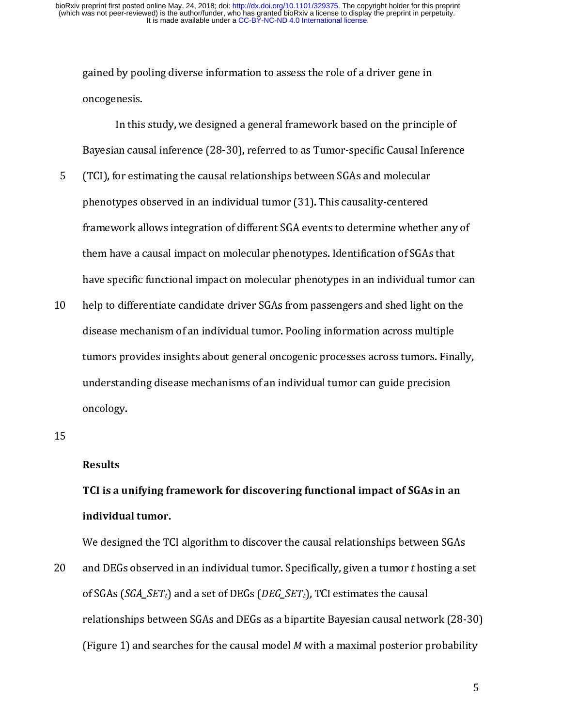gained by pooling diverse information to assess the role of a driver gene in

- gaint oncogenesis.<br>
In this study, we designed a general framework based on the princip<br>
Bayesian causal inference (28-30), referred to as Tumor-specific Causal Information<br>
(TCI), for estimating the causal relationships b In this<br>Bayesian cau:<br>(TCI), for esti<br>phenotypes o<br>framework al<br>them have a c<br>have specific In causal inference (28-30), referred to as Tumor-specific Causal Inferenc<br>
or estimating the causal relationships between SGAs and molecular<br>
ypes observed in an individual tumor (31). This causality-centered<br>
york allows (TCI), for estimating the causal relationships between SGAs and molecular<br>phenotypes observed in an individual tumor (31). This causality-centered<br>framework allows integration of different SGA events to determine whether a phenotypes observed in an individual tumor (31). This causality-centered<br>framework allows integration of different SGA events to determine whethe<br>them have a causal impact on molecular phenotypes. Identification of SGAs<br>ha
- framework allows integration of different SGA events to determine whether<br>them have a causal impact on molecular phenotypes. Identification of SGAs<br>have specific functional impact on molecular phenotypes in an individual t them have a causal impact on molecular phenotypes. Identification of SGAs that<br>have specific functional impact on molecular phenotypes in an individual tumor car<br>help to differentiate candidate driver SGAs from passengers them have a causal impact on molecular phenotypes. Identification of SGAs that help to differentiate candidate driver SGAs from passengers and shed light on the<br>disease mechanism of an individual tumor. Pooling information across multiple<br>tumors provides insights about general oncogenic processes acr 10 help to differentiate and individual tumor. Pooling information across multiple<br>disease mechanisms about general oncogenic processes across tumors. Finall<br>understanding disease mechanisms of an individual tumor can guid tumors provides insights about general oncogenic processes across tumors. Fina<br>understanding disease mechanisms of an individual tumor can guide precision<br>oncology.<br>TCI is a unifying framework for discovering functional im tunderstanding disease mechanisms of an individual tumor can guide precision<br>oncology.<br>**Results**<br>TCI is a unifying framework for discovering functional impact of SGAs in an<br>individual tumor.

#### Results

underlanding disease and indicate the line hand allows of an individual oncology.<br>TCI is a unifying framework for discovering functional impact of SGAs in a<br>individual tumor.<br>We designed the TCI algorithm to discover the c Results<br>Results<br>TCI is a un<br>individua<br>We design<br>and DEGs TCI is a unifying framework for discovering functional impact of SGAs in an individual tumor.

 $15<sup>15</sup>$ and DEGs observed in an individual tumor. Specifically, given a tumor  $t$  hosting a s<br>of SGAs (*SGA\_SET<sub>t</sub>*) and a set of DEGs (*DEG\_SET<sub>t</sub>*), TCI estimates the causal<br>relationships between SGAs and DEGs as a bipartite Ba 20 and DEGs observed in an individual tumor. Specifically, given a tumor thosting a set<br>of SGAs (*SGA\_SET<sub>t</sub>*)</sub> and a set of DEGs (*DEG\_SET<sub>t</sub>*), TCl estimates the causal<br>relationships between SGAs and DEGs as a bipartite of SdAs (*SGA\_SETt)* and a set of *DEGs* (*DEG\_SETt)*, TCI estimates the causal<br>relationships between SGAs and DEGs as a bipartite Bayesian causal netwo<br>(Figure 1) and searches for the causal model *M* with a maximal poste Figure 1) and searches for the causal model  $M$  with a maximal posterior probability  $5$ (Figure 1) and searches for the causal model M with a maximal posterior probability<br>5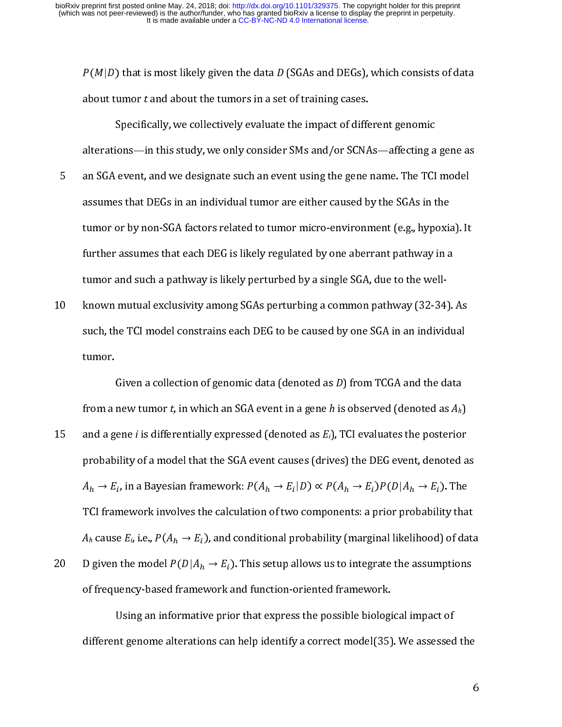$P(M|D)$  that is most likely given the data D (SGAs and DEGs), which consists of data

- (B) that is most likely given the data D (SGAs and DEGs), which consists of data<br>out tumor t and about the tumors in a set of training cases.<br>Specifically, we collectively evaluate the impact of different genomic<br>erations specifically, we collectively evaluate the impact of different<br>alterations—in this study, we only consider SMs and/or SCNA<br>an SGA event, and we designate such an event using the gene<br>assumes that DEGs in an individual tumo Fractions in this study, we only consider SMs and/or SCNAs—affecting a<br>event, and we designate such an event using the gene name. The TCI<br>es that DEGs in an individual tumor are either caused by the SGAs in t<br>or by non-SGA an SGA event, and we designate such an event using the gene name. The TCI model<br>assumes that DEGs in an individual tumor are either caused by the SGAs in the<br>tumor or by non-SGA factors related to tumor micro-environment ( sasumes that DEGs in an individual tumor are either caused by the SGAs in the<br>tumor or by non-SGA factors related to tumor micro-environment (e.g., hypoxia). It<br>further assumes that each DEG is likely regulated by one aber assumes that DEG is an individual tumor micro-environment (e.g., hypoxia<br>further assumes that each DEG is likely regulated by one aberrant pathway in a<br>tumor and such a pathway is likely perturbed by a single SGA, due to t
- further assumes that each DEG is likely regulated by one aberrant pathway in a<br>tumor and such a pathway is likely perturbed by a single SGA, due to the well-<br>known mutual exclusivity among SGAs perturbing a common pathway fumor and such a pathway is likely perturbed by a single SGA, due to the well-<br>known mutual exclusivity among SGAs perturbing a common pathway (32-34).<br>such, the TCI model constrains each DEG to be caused by one SGA in an

probability of a model that the SGA event causes (drives) the DEG event, denoted as 11 such, the TCI model constrains each DEG to be caused by one SGA in an individual<br>tumor.<br>
Given a collection of genomic data (denoted as *D*) from TCGA and the data<br>
from a new tumor *t*, in which an SGA event in a gene summarity<br>
such a collection of genomic data (denoted as *D*) from TCGA and the data<br>
from a new tumor *t*, in which an SGA event in a gene *h* is observed (denoted as *A<sub>h</sub>*)<br>
and a gene *i* is differentially expressed ( from a<br>and a g<br>probab<br> $A_h \rightarrow E$ <br>TCI france new tumor *t*, in which an SGA event in a gene *h* is observed (denoted as  $A_h$ )<br>ene *i* is differentially expressed (denoted as  $E_i$ ), TCI evaluates the posterior<br>ility of a model that the SGA event causes (drives) the D and a gene *i* is differentially expressed (denoted as  $E_i$ ), TCI evaluates the posterior<br>probability of a model that the SGA event causes (drives) the DEG event, denoted a<br> $A_h \rightarrow E_i$ , in a Bayesian framework:  $P(A_h \rightarrow E_i|D) \pro$ 15 and a gene *i* is differentially expressed (denoted as Ei), Televaluates the posterior<br>probability of a model that the SGA event causes (drives) the DEG event, denoted a<br> $A_h \rightarrow E_i$ , in a Bayesian framework:  $P(A_h \rightarrow E_i|D) \pro$  $A_h \rightarrow E_i$ , in a Bayesian framework:  $P(A_h \rightarrow E_i|D) \propto P(A_h \rightarrow E_i)P(D|A_h \rightarrow E_i)$ . The<br>TCI framework involves the calculation of two components: a prior probability that<br> $A_h$  cause  $E_b$  i.e.,  $P(A_h \rightarrow E_i)$ , and conditional probability (m  $A_h \rightarrow E_i$ , in a bayesian namework.  $r(A_h \rightarrow E_i | D) \propto r(A_h \rightarrow E_i) r(D|A_h \rightarrow E_i)$ , in a Bayesian framework.  $F$  (<br>nework involves the calculatic<br> $E_i$  i.e.,  $P(A_h \rightarrow E_i)$ , and condi<br>the model  $P(D|A_h \rightarrow E_i)$ . This<br>ency-based framework and fu<br>Jsing an informative prior tha<br>t genome alterations can help ). The<br>ity that<br>) of da<br>ptions<br>: of<br>sed th  $A_h$  cause  $E_h$  i.e.,  $P(A_h \rightarrow E_i)$ , and conditional probability (marginal likelihood) of data D given the model  $P(D|A_h \rightarrow E_i)$ . This setup allows us to integrate the assumptions of frequency-based framework and function-orien  $A_h$  cause  $E_h$  i.e.,  $F($ <br>D given the model<br>of frequency-base<br>Using an in<br>different genome  $A_h$  cause  $E_h$  i.e.,  $P(A_h \rightarrow E_i)$ , and conditional probability (marginal likelihood) of data  $\rightarrow E_i$ ). This setup allows us to integrate the assumptions<br>work and function-oriented framework.<br>we prior that express the possible biological impact of<br>nns can help identify a correct model(35). We assessed the<br>6 D given the model  $P(D|A_h \rightarrow E_i)$ . This setup allows us to integrate the assumptions

20 D given the model  $\gamma$  (<br>of frequency-based fr<br>Using an infor<br>different genome alte ). This setup allows us to integrate the assumptions<br>and function-oriented framework.<br>or that express the possible biological impact of<br>in help identify a correct model(35). We assessed the Using an informative prior that express the possible biological<br>different genome alterations can help identify a correct model(35) If the prior of the position of the prior term in that express that express that express the possible biological impact of the possible biological input of the possible biological input of the possible biological input of different genome alterations can help identify a correct model(35). We assessed the  $6$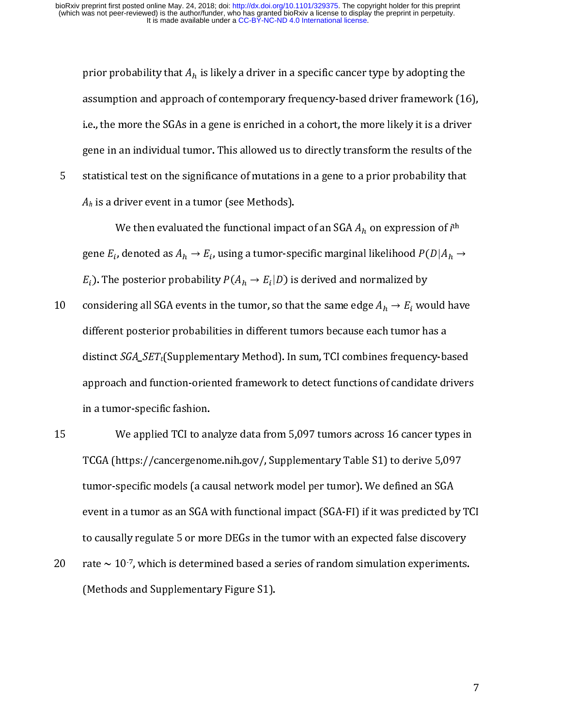prior probability that  $A_h$  is likely a driver in a specific cancer type by adopting the<br>assumption and approach of contemporary frequency-based driver framework (1)<br>i.e., the more the SGAs in a gene is enriched in a coho i.e., the more the SGAs in a gene is enriched in a cohort, the more likely it is a driver<br>gene in an individual tumor. This allowed us to directly transform the results of the<br>statistical test on the significance of mutat

gene in an individual tumor. This allowed us to directly transform the results of the<br>statistical test on the significance of mutations in a gene to a prior probability that<br> $A_h$  is a driver event in a tumor (see Methods) statistical test on the significance of mutations in a gene to a prior probability that  $A_h$  is a driver event in a tumor (see Methods).<br>
We then evaluated the functional impact of an SGA  $A_h$  on expression of  $i$ <sup>th</sup> gen gene  $E_i$ , denoted as  $A_h \to E_i$ , using a tumor-specific marginal likelihood  $P(D|A_h \to$  $E_i$ ). The posterior probability  $\Gamma(A_h \to E_i)$ 

 $A_h$  is a driver event in a tumor (see Methods).<br>
We then evaluated the functional impact of an SGA  $A_h$  on expression of  $i^{\text{th}}$ <br>
gene  $E_i$ , denoted as  $A_h \rightarrow E_i$ , using a tumor-specific marginal likelihood  $P(D|A_h \rightarrow E_i)$ .  $H_n$  is a driver event in a tumor (see Methods).<br>We then evaluated the functional impared<br>gene  $E_i$ , denoted as  $A_h \rightarrow E_i$ , using a tumor-sp<br> $E_i$ ). The posterior probability  $P(A_h \rightarrow E_i|D)$  is<br>considering all SGA events in the  $W$ e then evaluated the functional impact of an SGA  $A_h$  on expression of  $I^{\text{th}}$ ,<br>  $B_r$ , denoted as  $A_h \rightarrow E_i$ , using a tumor-specific marginal likelihood  $P(D|A_h -$ <br>  $B_r$  posterior probability  $P(A_h \rightarrow E_i|D)$  is derived and gene  $L_i$ <br> $E_i$ ). The<br>conside<br>differer<br>distinct<br>approa , denoted as  $A_h \rightarrow L_i$ <br>
are posterior probabili<br>
ring all SGA events intrposterior probabili<br>
is SGA\_SET<sub>t</sub>(Suppleme<br>
ch and function-orie<br>
nor-specific fashion.<br>
We annlied TCI to an ty  $P(A_h \rightarrow E_i|D)$  is derived and normalized by<br>n the tumor, so that the same edge  $A_h \rightarrow E_i$  wo<br>ities in different tumors because each tumor has<br>ntary Method). In sum, TCI combines frequence<br>nted framework to detect functions ). The posterior probability  $P$  (<br>nsidering all SGA events in the<br>fferent posterior probabilities<br>stinct  $SGA\_SET_t$  (Supplementar<br>proach and function-oriented<br>a tumor-specific fashion.<br>We applied TCI to analyze<br>CGA (https:/ so that the same edge  $A_h \rightarrow E_i$  wo<br>ent tumors because each tumor had). In sum, TCI combines frequend<br>ork to detect functions of candidations<br>om 5,097 tumors across 16 cancer<br>Sunnlementary Table S1) to derive considering an sone events in the tumor, so that the same edge  $n_h \rightarrow E_l$ <br>different posterior probabilities in different tumors because each tume<br>distinct *SGA\_SET*<sub>t</sub>(Supplementary Method). In sum, TCI combines frequ<br>appro different posterior probabilities in different tumors because each tumor has a<br>distinct *SGA\_SET<sub>t</sub>*(Supplementary Method). In sum, TCI combines frequency-based<br>approach and function-oriented framework to detect functions

distinct  $SGA\_SET_t$ (Supplementary Method). In sum, TCI combines frequency-ba<br>approach and function-oriented framework to detect functions of candidate dr<br>in a tumor-specific fashion.<br>We applied TCI to analyze data from 5,097 approach and function-oriented framework to detect functions of candidate drivers<br>approach and function-oriented framework to detect functions of candidate drivers<br>in a tumor-specific fashion.<br>TCGA (https://cancergenome.ni in a tumor-specific fashion.<br>
We applied TCI to analyze data from 5,097 tumors across 16 cancer types in<br>
TCGA (https://cancergenome.nih.gov/, Supplementary Table S1) to derive 5,097<br>
tumor-specific models (a causal netwo  $\,$  We applied TCI to an TCGA (https://cancergenon<br>tumor-specific models (a ca<br>event in a tumor as an SGA v<br>to causally regulate 5 or mo<br>rate  $\sim 10^{-7}$ , which is determ<br>(Methods and Supplementa TCGA (https://cancergenome.nih.gov/, Supplementary Table S1) to derive 5,097<br>tumor-specific models (a causal network model per tumor). We defined an SGA<br>event in a tumor as an SGA with functional impact (SGA-FI) if it was tumor-specific models (a causal network model per tumor). We defined an SGA<br>event in a tumor as an SGA with functional impact (SGA-FI) if it was predicted by<br>to causally regulate 5 or more DEGs in the tumor with an expect tumor-specific models (a causal network model per tumor). We defined as event in a tumor as an SGA with functional impact (SGA-FI) if it was predicted by to causally regulate 5 or more DEGs in the tumor with an expected f

to causally regulate 5 or more DEGs in the tumor with an expected false discovery<br>rate  $\sim$  10<sup>-7</sup>, which is determined based a series of random simulation experiments.<br>(Methods and Supplementary Figure S1).<br>7 to calculate 5 or more DEGs in the tumor with an experiment and  $\frac{1}{2}$  and  $\frac{1}{2}$  and  $\frac{1}{2}$  and  $\frac{1}{2}$  and  $\frac{1}{2}$  and  $\frac{1}{2}$  are  $\frac{1}{2}$ . (Methods and Supplementary Figure S1).  $20$   $rate \approx 10^7$ , which is determined based a series of random simulation experiments.<br>(Methods and Supplementary Figure S1).  $\mathcal{M}(\mathcal{M}) = \mathcal{M}(\mathcal{M}) = \mathcal{M}(\mathcal{M})$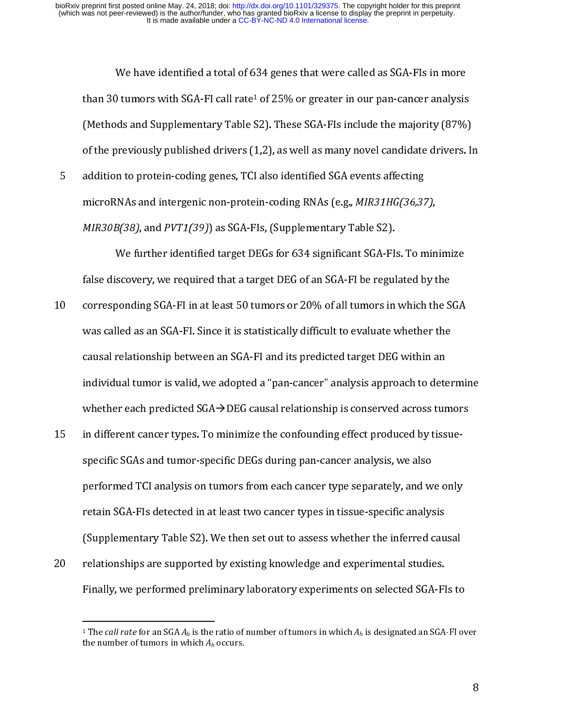Utumors with SGA-FI call rate<sup>1</sup> of 25% or greater in our pan-cancer analysis<br>ds and Supplementary Table S2). These SGA-FIs include the majority (87%)<br>previously published drivers (1,2), as well as many novel candidate dri than 30 tumors with StA-FI can rate- or 25% or greater in our pan-cancer analysis<br>(Methods and Supplementary Table S2). These SGA-FIs include the majority (87%)<br>of the previously published drivers (1,2), as well as many no

of the previously published drivers (1,2), as well as many novel candidate drivers. In<br>addition to protein-coding genes, TCI also identified SGA events affecting<br>microRNAs and intergenic non-protein-coding RNAs (e.g., *MIR* addition to protein-coding genes, TCI also identified SGA events affecting<br>microRNAs and intergenic non-protein-coding RNAs (e.g., *MIR31HG(36,37),*<br>*MIR30B(38),* and *PVT1(39))* as SGA-FIs, (Supplementary Table S2).<br>We fu 5

- microRNAs and intergenic non-protein-coding RNAs (e.g., *MIR31HG(36,37*<br> *MIR30B(38)*, and *PVT1(39)*) as SGA-FIs, (Supplementary Table S2).<br>
We further identified target DEGs for 634 significant SGA-FIs. To m<br>
false disco microrous and mergene non-protein-coding Rivis (e.g., MIN31Ho(30,37),<br>MIR30B(38), and PVT1(39)) as SGA-Fls, (Supplementary Table S2).<br>We further identified target DEGs for 634 significant SGA-Fls. To min<br>false discovery, w MIRSOD(38), and PVT1(39)) as SGA-TIs, (Supplementary Table S2).<br>We further identified target DEGs for 634 significant SGA-FI<br>false discovery, we required that a target DEG of an SGA-FI be regul<br>corresponding SGA-FI in at scovery, we required that a target DEG of an SGA-FI be regulated by the<br>ponding SGA-FI in at least 50 tumors or 20% of all tumors in which the SGA<br>lled as an SGA-FI. Since it is statistically difficult to evaluate whether false discovery, the explored that a target DEG of all tumors in which the S<br>was called as an SGA-FI. Since it is statistically difficult to evaluate whether the<br>causal relationship between an SGA-FI and its predicted targ 10 corresponding SCA-FI. Since it is statistically difficult to evaluate whether the<br>causal relationship between an SGA-FI and its predicted target DEG within an<br>individual tumor is valid, we adopted a "pan-cancer" analysi
- causal relationship between an SGA-FI and its predicted target DEG within an<br>individual tumor is valid, we adopted a "pan-cancer" analysis approach to deter<br>whether each predicted SGA→ DEG causal relationship is conserved individual tumor is valid, we adopted a "pan-cancer" analysis approach to dete<br>whether each predicted SGA->DEG causal relationship is conserved across tur<br>in different cancer types. To minimize the confounding effect produ individual tumor is valid, we adopted a pair anticipating is conserved across tumors<br>in different cancer types. To minimize the confounding effect produced by tissue-<br>specific SGAs and tumor-specific DEGs during pan-cancer in different cancer types. To minimize the confounding effect produced by tissue-<br>specific SGAs and tumor-specific DEGs during pan-cancer analysis, we also<br>performed TCI analysis on tumors from each cancer type separately, performed TCI analysis on tumors from each cancer type separately, and w<br>retain SGA-FIs detected in at least two cancer types in tissue-specific analys<br>(Supplementary Table S2). We then set out to assess whether the infer performance of analysis on the same of tumores types in tissue-specific analysis (Supplementary Table S2). We then set out to assess whether the inferred causal relationships are supported by existing knowledge and experi
- (Supplementary Table S2). We then set out to assess whether the inferred cau<br>relationships are supported by existing knowledge and experimental studies.<br>Finally, we performed preliminary laboratory experiments on selected relationships are supported by existing knowledge and experimental studies.<br>Finally, we performed preliminary laboratory experiments on selected SGA-FIs to<br> $\frac{d}{dt}$  The call rate for an SGA  $A_h$  is the ratio of number of 20 Finally, we performed preliminary laboratory experiments on selected SGA-FI<br>
<sup>1</sup> The *call rate* for an SGA  $A_h$  is the ratio of number of tumors in which  $A_h$  is designated an SGA<br>
the number of tumors in which  $A_h$  o

Finally, we perform the premium of interesting the performance of the selection of the selection of  $\frac{1}{2}$ .<br>The call rate for an SGA  $A_h$  is the ratio of number of tumors in which  $A_h$  is designated an SGA-FI ov<br>the nu  $\frac{1}{1}$ <sup>1</sup> The call rate for an SGA  $A_h$  is the ratio of number of tumors in which  $A_h$  is designated an SGA-FI over the number of tumors in which  $A_h$  occurs.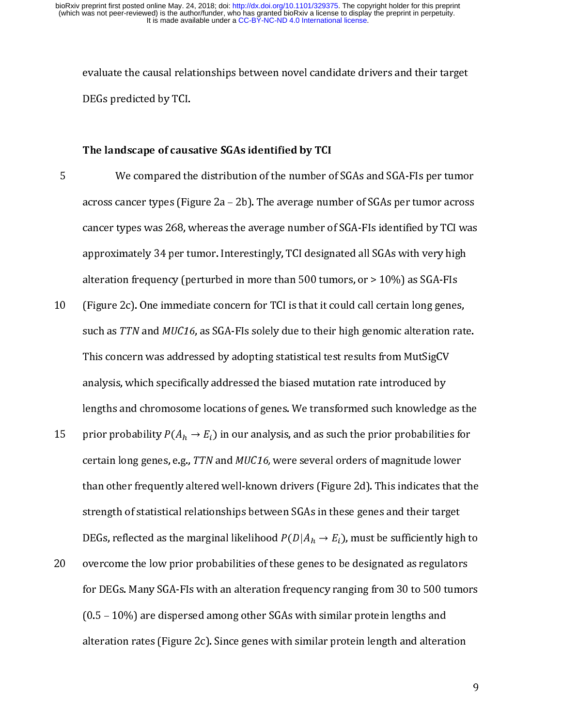#### The landscape of causative SGAs identified by TCI

- Example of causative SGAs identified by TCI<br>The landscape of causative SGAs identified by TCI<br>We compared the distribution of the number of SGAs and SGA-FIs per tumor<br>across cancer types (Figure 2a 2b). The average numbe The landscape of caus<br>We compared th<br>across cancer types (Fig<br>cancer types was 268, v<br>approximately 34 per tu<br>alteration frequency (no n<br>|<br>|<br>|<br>| F<br>across cancer types (Figure 2a – 2b). The average number of SGAs per tumor across<br>cancer types was 268, whereas the average number of SGA-FIs identified by TCI was<br>approximately 34 per tumor. Interestingly, TCI designate
- cancer types was 268, whereas the average number of SGA-Fls identified by TCI was<br>approximately 34 per tumor. Interestingly, TCI designated all SGAs with very high<br>alteration frequency (perturbed in more than 500 tumors, o approximately 34 per tumor. Interestingly, TCI designated all SGAs with very high<br>alteration frequency (perturbed in more than 500 tumors, or > 10%) as SGA-FIs<br>(Figure 2c). One immediate concern for TCI is that it could c alteration frequency (perturbed in more than 500 tumors, or > 10%) as SGA-Fls<br>
(Figure 2c). One immediate concern for TCI is that it could call certain long genes,<br>
such as *TTN* and *MUC16*, as SGA-Fls solely due to thei (Figure 2c). One immediate concern for TCI is that it could call certain long genes<br>such as TTN and MUC16, as SGA-FIs solely due to their high genomic alteration ra<br>This concern was addressed by adopting statistical test 11 (Figure 2c). One immediate concern for the initial certain longition rat<br>This concern was addressed by adopting statistical test results from MutSigCV<br>analysis, which specifically addressed the biased mutation rate int
- Such as TTN and MUC16, as SOM TIS solely due to their ingir genome alteration rate.<br>This concern was addressed by adopting statistical test results from MutSigCV<br>analysis, which specifically addressed the biased mutation analysis, which specifically addressed the biased mutation rate introduced by<br>lengths and chromosome locations of genes. We transformed such knowledge a<br>prior probability  $P(A_h \rightarrow E_i)$  in our analysis, and as such the prior lengths and chromosome locations of genes. We transformed such knowledge<br>prior probability  $P(A_h \rightarrow E_i)$  in our analysis, and as such the prior probabilitie<br>certain long genes, e.g., TTN and MUC16, were several orders of mag prior probability  $P(A_h \rightarrow E_i)$  in our analysis, and as such the prior probabilities for<br>certain long genes, e.g., TTN and MUC16, were several orders of magnitude lower<br>than other frequently altered well-known drivers (Figur ertain long genes, extrain long genes, extra<br>than other frequent<br>strength of statistics<br>DEGs, reflected as the<br>overcome the low p<br>for DEGs. Many SGA<br>(0.5 – 10%) are dist prior probability  $P(A_h \rightarrow E_i)$  in our analysis, and as such the prior probabilities for and *MUC16*, were several orders of magnitude lower<br>d well-known drivers (Figure 2d). This indicates that th<br>nships between SGAs in these genes and their target<br>nal likelihood  $P(D|A_h \rightarrow E_i)$ , must be sufficiently high to<br>ba than other frequently altered well-known drivers (Figure 2d). This indicates that<br>strength of statistical relationships between SGAs in these genes and their target<br>DEGs, reflected as the marginal likelihood  $P(D|A_h \rightarrow E_i)$ , strength of statistical relationships between SGAs in these genes and their target<br>DEGs, reflected as the marginal likelihood  $P(D|A_h \rightarrow E_i)$ , must be sufficiently high to<br>overcome the low prior probabilities of these genes DEGs, reflected as the marginal likelihood  $P(D|A_h \rightarrow E_i)$ , must be sufficiently high to

DEGs, reflected as the marginal likelihood  $P(D|A_h \rightarrow E_i)$ , must be sufficiently high<br>overcome the low prior probabilities of these genes to be designated as regulator<br>for DEGs. Many SGA-FIs with an alteration frequency rang blus, reflected as the marginal likelihood 7 (overcome the low prior probabilities of these<br>for DEGs. Many SGA-FIs with an alteration free (0.5 – 10%) are dispersed among other SGAs<br>alteration rates (Figure 2c). Since gene %, must be sufficiently high to<br>be designated as regulators<br>nging from 30 to 500 tumors<br>ar protein lengths and<br>otein length and alteration<br>9 20 overcome the low prior probabilities of these genes to be designated as regulators<br>for DEGs. Many SGA-FIs with an alteration frequency ranging from 30 to 500 tumor<br>(0.5 – 10%) are dispersed among other SGAs with similar  $f(0.5 - 10%)$  are dispersed among other SGAs with similar protein lengths and alteration rates (Figure 2c). Since genes with similar protein length and alteration (exception rates (Figure 2c). Since genes with similar protein length and alteration rates (Figure 2c). Since genes with similar protein length and alteration alternation rates (Figure 2c). Since genes with similar proteining in alternation  $\sim$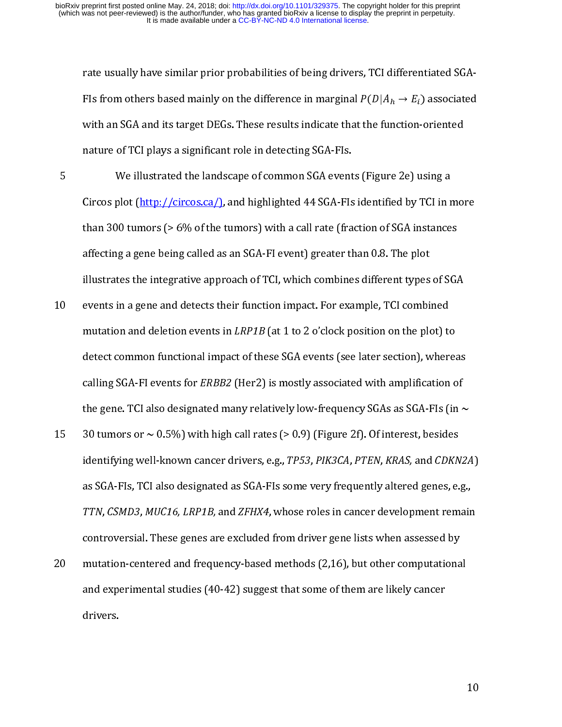rate usually have similar prior probabilities of being drivers, TCI differentiated SGA-FIs from others based mainly on the difference in marginal  $P(D|A_h \rightarrow E_i)$  associated

affecting a gene being called as an SGA-FI event) greater than 0.8. The plot FIS from others based manny on the difference in marginal  $P$  (<br>with an SGA and its target DEGs. These results indicate that th<br>nature of TCI plays a significant role in detecting SGA-FIs.<br>We illustrated the landscape of c passociated<br>-oriented<br>sing a<br>TCI in more<br>stances<br>ot<br>es of SGA nature of TCI plays a significant role in detecting SGA-FIs.<br>We illustrated the landscape of common SGA events (Figure 2e) using a<br>Circos plot (http://circos.ca/), and highlighted 44 SGA-FIs identified by TCI in mo:<br>than 3 We illustrated the landscape of common SGA event<br>Circos plot (http://circos.ca/), and highlighted 44 SGA-FIs<br>than 300 tumors (> 6% of the tumors) with a call rate (fra<br>affecting a gene being called as an SGA-FI event) grea Circos plot (http://circos.ca/), and highlighted 44 SGA-FIs identified by TCI in r<br>than 300 tumors (> 6% of the tumors) with a call rate (fraction of SGA instance<br>affecting a gene being called as an SGA-FI event) greater Circos plot (data), and highly during any dividend to the christmal by the matter of<br>than 300 tumors (> 6% of the tumors) with a call rate (fraction of SGA instances<br>affecting a gene being called as an SGA-FI event) greate

affecting a gene being called as an SGA-FI event) greater than 0.8. The plot<br>illustrates the integrative approach of TCI, which combines different types of SGA<br>events in a gene and detects their function impact. For exampl illustrates the integrative approach of TCI, which combines different types<br>events in a gene and detects their function impact. For example, TCI combi<br>mutation and deletion events in *LRP1B* (at 1 to 2 o'clock position on illustrates in a gene and detects their function impact. For example, TCI combined<br>mutation and deletion events in  $LRPIB$  (at 1 to 2 o'clock position on the plot) to<br>detect common functional impact of these SGA events (see 11 events and general material interaction-particle comminger, the California mutation and deletion events in *LRP1B* (at 1 to 2 o'clock position on the plot) to detect common functional impact of these SGA events (see lat

- mutation and deletion events in LRP1B (at 1 to 2 o clock position on the plot) to<br>detect common functional impact of these SGA events (see later section), where:<br>calling SGA-FI events for ERBB2 (Her2) is mostly associated calling SGA-FI events for *ERBB2* (Her2) is mostly associated with amplification of<br>the gene. TCI also designated many relatively low-frequency SGAs as SGA-FIs (in  $\sim$ <br>30 tumors or  $\sim 0.5\%$ ) with high call rates (> 0.9 calling SGA-FI events for ERBB2 (Her2) is mostly associated with amplification of<br>the gene. TCI also designated many relatively low-frequency SGAs as SGA-FIs (in<br>30 tumors or  $\sim 0.5\%$ ) with high call rates (> 0.9) (Figur 30 tumors or  $\sim$  0.5%) with high call rates (> 0.9) (Figure 2f). Of interest, besides<br>identifying well-known cancer drivers, e.g., *TP53, PIK3CA, PTEN, KRAS,* and *CDKN2A*<br>as SGA-FIs, TCI also designated as SGA-FIs some 19 identifying well-known cancer drivers, e.g., TP53, PIK3CA, PTEN, KRAS, and CDKN<br>as SGA-FIs, TCI also designated as SGA-FIs some very frequently altered genes, e.<br>TTN, CSMD3, MUC16, LRP1B, and ZFHX4, whose roles in cance identifying well-known cancer drivers, e.g., *1155, PRSCA, PTEN, KRAS, and CDKN2A)*<br>as SGA-Fls, TCI also designated as SGA-Fls some very frequently altered genes, e.g.,<br>*TTN, CSMD3, MUC16, LRP1B,* and *ZFHX4*, whose roles
- as SA-FIS, THE MELTING MILTING CHINE (1992) and galaxy of genes, e.g.,<br>TTN, CSMD3, MUC16, LRP1B, and ZFHX4, whose roles in cancer development remain<br>controversial. These genes are excluded from driver gene lists when asses TTN, CSMD3, MOC16, LAT 1B, and ZFHX4, whose roles in cancer development remain<br>controversial. These genes are excluded from driver gene lists when assessed by<br>mutation-centered and frequency-based methods (2,16), but other controlled the controlled and frequency-based methods (2,16), but other computational experimental studies (40-42) suggest that some of them are likely cancer drivers. and experimental studies (40-42) suggest that some of them are likely cancer<br>drivers. drivers.<br>drivers.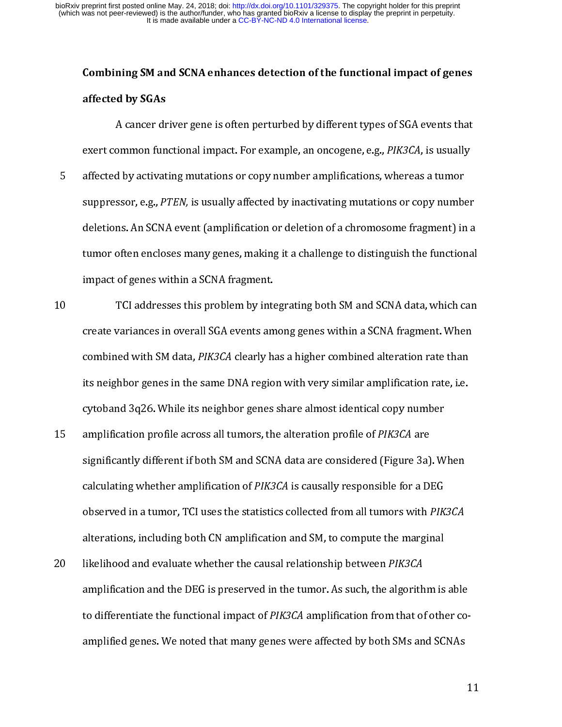## Combining SM and SCNA enhances detection of the functional impact of genes

A cancer dr<br>A cancer dr<br>exert common fun<br>affected by activat<br>suppressor, e.g., P<br>deletions. An SCN,<br>tumor often enclo:<br>imnact of genes w by a cancer driver of the sample, an oncogene, e.g., PIK3CA, is usually<br>a by activating mutations or copy number amplifications, whereas a tumor<br>ssor, e.g., PTEN, is usually affected by inactivating mutations or copy numbe affected by activating mutations or copy number amplifications, whereas a tumor<br>suppressor, e.g., PTEN, is usually affected by inactivating mutations or copy number<br>deletions. An SCNA event (amplification or deletion of a

suppressor, e.g., *PTEN*, is usually affected by inactivating mutations or copy number deletions. An SCNA event (amplification or deletion of a chromosome fragment) in tumor often encloses many genes, making it a challenge suppressor, e.g., PTEN, is usually affected by mactivating indiations or copy number<br>deletions. An SCNA event (amplification or deletion of a chromosome fragment) in a<br>tumor often encloses many genes, making it a challenge tumor often encloses many genes, making it a challenge to distinguish the functional<br>impact of genes within a SCNA fragment.<br>TCl addresses this problem by integrating both SM and SCNA data, which can<br>create variances in ov impact of genes within a SCNA fragment.<br>
TCI addresses this problem by integrating both SM and SCNA data, which can<br>
create variances in overall SGA events among genes within a SCNA fragment. When<br>
combined with SM data, TCI addresses this problem by interretagnment<br>create variances in overall SGA events an<br>combined with SM data, *PIK3CA* clearly h<br>its neighbor genes in the same DNA regio<br>cytoband 3q26. While its neighbor genes<br>amplificati The variances in overall SGA events among genes within a SCNA fragment. When<br>combined with SM data, *PIK3CA* clearly has a higher combined alteration rate than<br>its neighbor genes in the same DNA region with very similar am

- combined with SM data, *PIK3CA* clearly has a higher combined alteration rate than<br>its neighbor genes in the same DNA region with very similar amplification rate, i.e.<br>cytoband 3q26. While its neighbor genes share almost i its neighbor genes in the same DNA region with very similar amplification rate, i.e.<br>cytoband 3q26. While its neighbor genes share almost identical copy number<br>amplification profile across all tumors, the alteration profil is an applification profile its neighbor genes share almost identical copy number<br>amplification profile across all tumors, the alteration profile of *PIK3CA* are<br>significantly different if both SM and SCNA data are conside end of the across all tumors, the alteration profile of PIK3CA are significantly different if both SM and SCNA data are considered (Figure 3a). We calculating whether amplification of PIK3CA is causally responsible for a D 15 amplification profile across an talibris, the alteration profile of PIRSCA are<br>significantly different if both SM and SCNA data are considered (Figure 3a)<br>calculating whether amplification of PIK3CA is causally responsi
- relation of *PIK3CA* is causally responsible for a DEG<br>observed in a tumor, TCI uses the statistics collected from all tumors with *PIK3CA*<br>alterations, including both CN amplification and SM, to compute the marginal<br>likel calculating whether amplification of PIK3CA is causally responsible for a DEG<br>observed in a tumor, TCI uses the statistics collected from all tumors with *PIK*<br>alterations, including both CN amplification and SM, to comput observed in a tumor, TCI uses the statistics conected from an tumors with PIK3CA<br>alterations, including both CN amplification and SM, to compute the marginal<br>likelihood and evaluate whether the causal relationship between likelihood and evaluate whether the causal relationship between *PIK3CA*<br>amplification and the DEG is preserved in the tumor. As such, the algorithm is<br>to differentiate the functional impact of *PIK3CA* amplification from 20 Intermood and evaluate whether the causal relationship between *Thook*<br>amplification and the DEG is preserved in the tumor. As such, the algorith<br>to differentiate the functional impact of *PIK3CA* amplification from tha amplified genes. We noted that many genes were affected by both SMs and SCNAs amplified genes. We noted that many genes were affected by both SMs and SCNAs to differentiate the functional impact of PIK3CA amplification from that of other co-<br>amplified genes. We noted that many genes were affected by both SMs and SCNAs<br>1 amplified genes. We note that many genes were affected by both SMS and SCNAs and SCNAs<br> $\alpha$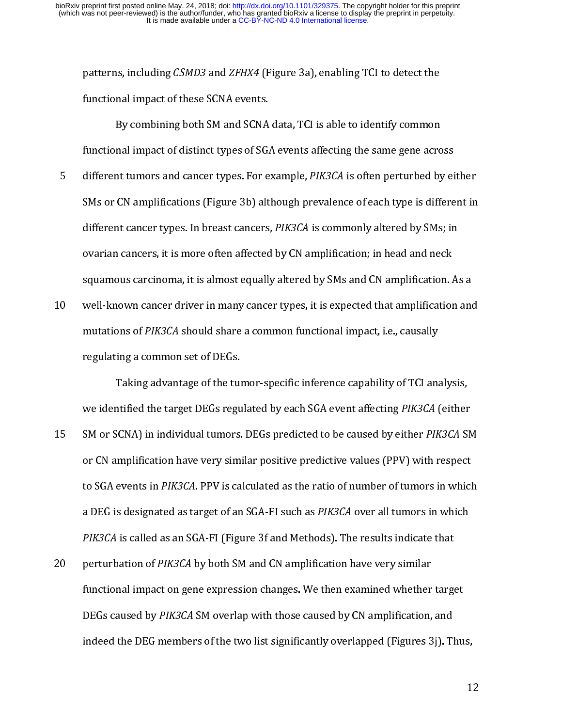- patterns, including CSMD3 and ZFHX4 (Figure 3a), enabling TCT to detect the<br>functional impact of these SCNA events.<br>By combining both SM and SCNA data, TCI is able to identify common<br>functional impact of distinct types of F<br>By combining both SM and SCNA<br>functional impact of distinct types of SG4<br>different tumors and cancer types. For e<br>SMs or CN amplifications (Figure 3b) alt<br>different cancer types. In breast cancers<br>ovarian cancers, it is mal impact of distinct types of SGA events affecting the same gene acro<br>and tumors and cancer types. For example, *PIK3CA* is often perturbed by<br>CN amplifications (Figure 3b) although prevalence of each type is diffinited<br> different tumors and cancer types. For example, *PIK3CA* is often perturbed by ei<br>SMs or CN amplifications (Figure 3b) although prevalence of each type is differe<br>different cancer types. In breast cancers, *PIK3CA* is comm 5 different tumors and cancer types. For example, *T HSSCA* is conen perturbed by enher<br>SMs or CN amplifications (Figure 3b) although prevalence of each type is different in<br>different cancer types. In breast cancers, *PIK3* different cancer types. In breast cancers, *PIK3CA* is commonly altered by SMs; in<br>ovarian cancers, it is more often affected by CN amplification; in head and neck<br>squamous carcinoma, it is almost equally altered by SMs an
- different cancer types. In breast cancers, *I HSOEI* is commonly altered by SMs, in<br>ovarian cancers, it is more often affected by CN amplification; in head and neck<br>squamous carcinoma, it is almost equally altered by SMs a squamous carcinoma, it is almost equally altered by SMs and CN amplification.<br>
well-known cancer driver in many cancer types, it is expected that amplification<br>
mutations of *PIK3CA* should share a common functional impact

spectral to the term of the matter of amplification and well-known cancer driver in many cancer types, it is expected that amplification and mutations of *PIK3CA* should share a common functional impact, i.e., causally reg 11 we have been the manning button syperator types, the input dual impact, i.e., causally<br>
11 mutations of *PIK3CA* should share a common functional impact, i.e., causally<br>
12 regulating a common set of DEGs.<br>
13 Taking ad mutations of Phoori should share a common functional impact, i.e., causally<br>regulating a common set of DEGs.<br>Taking advantage of the tumor-specific inference capability of TCI and<br>we identified the target DEGs regulated by Taking advantage of the ture<br>we identified the target DEGs regu<br>SM or SCNA) in individual tumors.<br>or CN amplification have very sim<br>to SGA events in *PIK3CA*. PPV is ca<br>a DEG is designated as target of an<br>*PIK3CA* is calle Taking and analysis of the tumor-specific inference capability of TCI analysis,<br>Intified the target DEGs regulated by each SGA event affecting *PIK3CA* (either<br>ISCNA) in individual tumors. DEGs predicted to be caused by ei we nemmed the target DEGs regulated by each SGA event affecting PINSEA (eftired<br>SM or SCNA) in individual tumors. DEGs predicted to be caused by either *PIK3CA* SN<br>or CN amplification have very similar positive predictive 15 SM or SetM) in individual tumors. Dues predicted to be caused by either *Thistit* sm<br>or CN amplification have very similar positive predictive values (PPV) with respect<br>to SGA events in *PIK3CA*. PPV is calculated as th

to SGA events in *PIK3CA*. PPV is calculated as the ratio of number of tumors in which<br>a DEG is designated as target of an SGA-FI such as *PIK3CA* over all tumors in which<br>*PIK3CA* is called as an SGA-FI (Figure 3f and Met to SOA events in FIK3CA. TTV is calculated as the ratio of number of tumors in which<br>a DEG is designated as target of an SGA-FI such as *PIK3CA* over all tumors in which<br>*PIK3CA* is called as an SGA-FI (Figure 3f and Metho a DEG is designated as target of an SGA-FI such as FIKSCA over an tumors in which<br>PIK3CA is called as an SGA-FI (Figure 3f and Methods). The results indicate that<br>perturbation of PIK3CA by both SM and CN amplification have PIRSCA is called as an SGA-FI (Figure 3) and Methods). The results indicate that<br>perturbation of *PIK3CA* by both SM and CN amplification have very similar<br>functional impact on gene expression changes. We then examined whe 20 perturbation of PIK3CA by both SM and CN amplification have very similar<br>functional impact on gene expression changes. We then examined whether<br>DEGs caused by *PIK3CA* SM overlap with those caused by CN amplification,<br>i DEGs caused by *PIK3CA* SM overlap with those caused by CN amplification, and<br>indeed the DEG members of the two list significantly overlapped (Figures 3j). Thu DEGs caused by PIK3CA SM overlap with those caused by CN amplification, and<br>indeed the DEG members of the two list significantly overlapped (Figures 3j). The<br>indeed the DEG members of the two list significantly overlapped indeed the DEG members of the two linguistically overlapped (Figures 3j). Thus,  $\frac{1}{2}$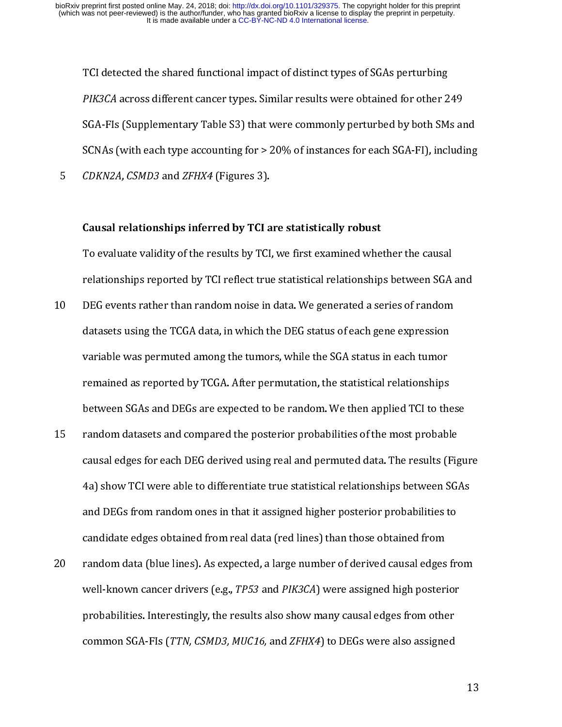TCI detected the shared functional impact of distinct types of SGAs perturbing PIK3CA across different cancer types. Similar results were obtained for other 2<br>SGA-FIs (Supplementary Table S3) that were commonly perturbed by both SM<br>SCNAs (with each type accounting for > 20% of instances for each SGA-PIK3CA across different cancer types. Similar results were obtained for other 249<br>SGA-FIs (Supplementary Table S3) that were commonly perturbed by both SMs are<br>SCNAs (with each type accounting for > 20% of instances for ea SCNAs (with each type accounting for > 20% of instances for each SGA-FI), including<br>CDKN2A, CSMD3 and ZFHX4 (Figures 3).<br>Causal relationships inferred by TCI are statistically robust<br>To evaluate validity of the results by

#### Causal relationships inferred by TCI are statistically robust

CDKN2A, CSMD3 and ZFHX4 (Figures 3).<br>
Causal relationships inferred by TCI are statistically robust<br>
To evaluate validity of the results by TCI, we first examined whether the causal<br>
relationships reported by TCI reflect t

- CDANZA, CSMD3 and ZFHAT (Figures 3).<br>
Causal relationships inferred by TCI a<br>
To evaluate validity of the results by TCI<br>
relationships reported by TCI reflect true<br>
DEG events rather than random noise in<br>
datasets using t  $\frac{1}{3}$  example relationships reported by TCI reflect true statistical relationships between SGA<br>DEG events rather than random noise in data. We generated a series of random<br>datasets using the TCGA data, in which the DEG status of each ge relationships reported by TCGA data, in which the DEG status of each gene expression<br>datasets using the TCGA data, in which the DEG status of each gene expression<br>variable was permuted among the tumors, while the SGA statu 21 DEFA VERE IMPLATE MILL MET THE MILL MET THE MET THE SERVERTS CENTRAL PRESSION<br>datasets using the TCGA data, in which the DEG status of each gene expression<br>variable was permuted among the tumors, while the SGA status in
- variable was permuted among the tumors, while the SGA status in each tumor<br>remained as reported by TCGA. After permutation, the statistical relationships<br>between SGAs and DEGs are expected to be random. We then applied TCI remained as reported by TCGA. After permutation, the statistical relationships<br>between SGAs and DEGs are expected to be random. We then applied TCI to the<br>random datasets and compared the posterior probabilities of the mos remains an expected to be random. We then applied TCI to the<br>random datasets and compared the posterior probabilities of the most probabl<br>causal edges for each DEG derived using real and permuted data. The results (F<br>4a) s random datasets and compared the posterior probabilities of the most probable<br>causal edges for each DEG derived using real and permuted data. The results (Figu<br>4a) show TCI were able to differentiate true statistical relat The means of the position of the results (Fig<br>4a) show TCI were able to differentiate true statistical relationships between SG,<br>and DEGs from random ones in that it assigned higher posterior probabilities to<br>candidate edg
- Fault engine of the Fault education and permuted and the respective to the results of As and DEGs from random ones in that it assigned higher posterior probabilities to candidate edges obtained from real data (red lines) t 24) show TEV MOT and OBGs from random ones in that it assigned higher posterior probabilities to<br>candidate edges obtained from real data (red lines) than those obtained from<br>random data (blue lines). As expected, a large n and DEF FROM FIRE FROM RIGHT MINITED IN THE POSITION of the Candidate edges obtained from random data (blue lines). As expected, a large number of derived causal edges from well-known cancer drivers (e.g., *TP53* and *PIK3* random data (blue lines). As expected, a large number of derived causal edges<br>well-known cancer drivers (e.g., *TP53* and *PIK3CA*) were assigned high poster<br>probabilities. Interestingly, the results also show many causal 20 random data (end une). The results also show many causal edges from other<br>probabilities. Interestingly, the results also show many causal edges from other<br>common SGA-FIs (TTN, CSMD3, MUC16, and ZFHX4) to DEGs were also probabilities. Interestingly, the results also show many causal edges from other<br>common SGA-FIs (*TTN, CSMD3, MUC16,* and *ZFHX4*) to DEGs were also assigned<br>common SGA-FIs (*TTN, CSMD3, MUC16,* and *ZFHX4*) to DEGs were a common SGA-FIs (*TTN, CSMD3, MUC16,* and *ZFHX4*) to DEGs were also assigned<br>common SGA-FIs (*TTN, CSMD3, MUC16,* and *ZFHX4*) to DEGs were also assigned common SGA-FIs (TTN, CSMD3, MUC16, and ZFHX4) to DEGs were also assigned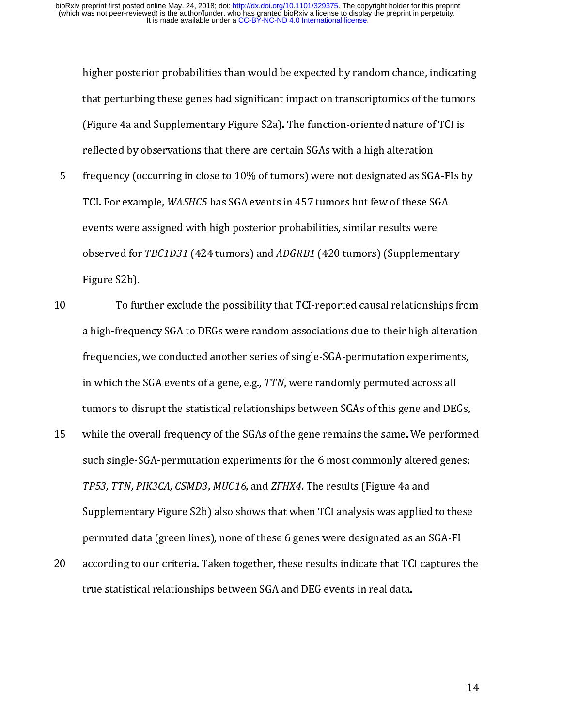- or that perturbing these genes had significant impact on transcriptomics of the tumors<br>
(Figure 4a and Supplementary Figure S2a). The function-oriented nature of TCI is<br>
reflected by observations that there are certain SGA Figure 4a and Supplementary Figure S2a). The function-oriented nature of TCI is<br>reflected by observations that there are certain SGAs with a high alteration<br>frequency (occurring in close to 10% of tumors) were not designat reflected by observations that there are certain SGAs with a high alteration<br>frequency (occurring in close to 10% of tumors) were not designated as SGA-Fls b<br>TCI. For example, *WASHC5* has SGA events in 457 tumors but few frequency (occurring in close to 10% of tumors) were not designated as SG.<br>TCI. For example, *WASHC5* has SGA events in 457 tumors but few of these S<br>events were assigned with high posterior probabilities, similar results 5 TCI. For example, *WASHC5* has SGA events in 457 tumors but few of these SGA<br>events were assigned with high posterior probabilities, similar results were<br>observed for *TBC1D31* (424 tumors) and *ADGRB1* (420 tumors) (Suppl
- TCI. For example, *WASHC5* has SGA events in 457 tumors but few of these SGA<br>events were assigned with high posterior probabilities, similar results were<br>observed for *TBC1D31* (424 tumors) and *ADGRB1* (420 tumors) (Suppl events for *TBC1D31* (424 tumors) and *ADGRB1* (420 tumors) (Supplemen<br>Figure S2b).<br>To further exclude the possibility that TCI-reported causal relationsh<br>a high-frequency SGA to DEGs were random associations due to their Figure S2b).<br>
To further exclude the possibility that TCI-reported causal relationships fr<br>
a high-frequency SGA to DEGs were random associations due to their high alterat<br>
frequencies, we conducted another series of singl To full<br>To full<br>a high-freque<br>frequencies,<br>in which the<br>tumors to dis<br>while the ove<br>such single-S 21 To further extended the posturing and contributed the positions of their high alteration<br>frequencies, we conducted another series of single-SGA-permutation experiments,<br>in which the SGA events of a gene, e.g., TTN, were
- frequencies, we conducted another series of single-SGA-permutation experiments,<br>in which the SGA events of a gene, e.g., TTN, were randomly permuted across all<br>tumors to disrupt the statistical relationships between SGAs o frequency of the SGA events of a gene, e.g., TTN, were randomly permuted across all<br>tumors to disrupt the statistical relationships between SGAs of this gene and DEGs,<br>while the overall frequency of the SGAs of the gene re in winch the SaA events of a gene, e.g., TTN, were randomly permuted across an<br>tumors to disrupt the statistical relationships between SGAs of this gene and DE<br>while the overall frequency of the SGAs of the gene remains th thile the overall frequency of the SGAs of the gene remains the same. We performe<br>such single-SGA-permutation experiments for the 6 most commonly altered genes:<br>TP53, TTN, PIK3CA, CSMD3, MUC16, and ZFHX4. The results (Figu such single-SGA-permutation experiments for the 6 most commonly altered genes:<br>
TP53, TTN, PIK3CA, CSMD3, MUC16, and ZFHX4. The results (Figure 4a and<br>
Supplementary Figure S2b) also shows that when TCI analysis was applie TP53, TTN, PIK3CA, CSMD3, MUC16, and ZFHX4. The results (Figure 4a and<br>Supplementary Figure S2b) also shows that when TCI analysis was applied to these<br>permuted data (green lines), none of these 6 genes were designated as The SJ, TTN, THSEA, CSMD3, MOCT0, and ZFHA4. The results (Figure 4a and Supplementary Figure S2b) also shows that when TCI analysis was applied permuted data (green lines), none of these 6 genes were designated as an S acc
- Supprementary Figure S2b) and Catalor and Water Standy for analysis was applied to the Company<br>permuted data (green lines), none of these 6 genes were designated as an SGA-FI<br>according to our criteria. Taken together, thes according to our criteria. Taken together, these results indicate that TCI captures<br>true statistical relationships between SGA and DEG events in real data. 20 according to our criteria. Taken together, these results in the data to the process in the statistical relationships between SGA and DEG events in real data. true statistical relationships between SGA and DEG events in real data.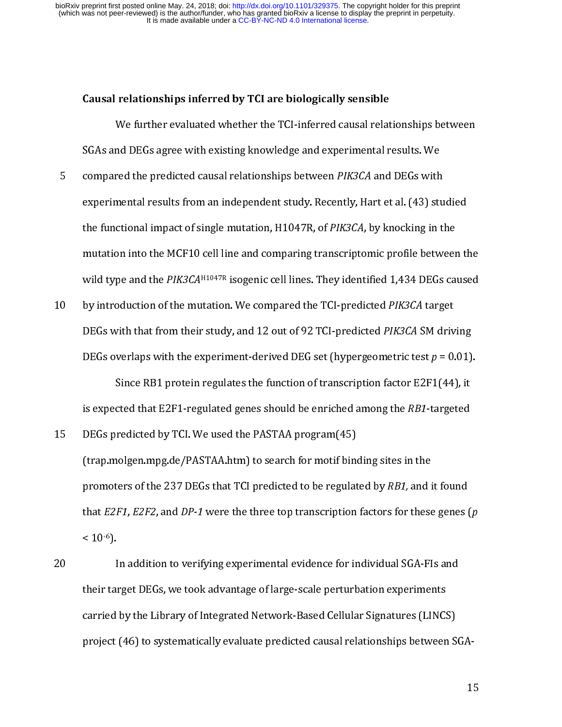- We further evaluated whether the TCI-inferred causal relationships inferred by TCI are biologically sensible<br>SGAs and DEGs agree with existing knowledge and experimental r<br>compared the predicted causal relationships betwee r<br>
and DEGs agree with existing knowledge and experimental results. We<br>
red the predicted causal relationships between *PIK3CA* and DEGs with<br>
mental results from an independent study. Recently, Hart et al. (43) studied<br>
c compared the predicted causal relationships between *PIK3CA* and DEGs with<br>experimental results from an independent study. Recently, Hart et al. (43) sti<br>the functional impact of single mutation, H1047R, of *PIK3CA*, by kn Experimental results from an independent study. Recently, Hart et al. (43) studies for the functional impact of single mutation, H1047R, of *PIK3CA*, by knocking in the mutation into the MCF10 cell line and comparing tran the functional impact of single mutation, H1047R, of *PIK3CA*, by knocking in the mutation into the MCF10 cell line and comparing transcriptomic profile between the mutation into the MCF10 cell line and comparing transcri
- the functional impact of single mutation, H1047R, 617 moen, by knocking in the<br>mutation into the MCF10 cell line and comparing transcriptomic profile between<br>wild type and the  $PIK3CA^{H1047R}$  isogenic cell lines. They iden wild type and the *PIK3CA*<sup>H1047R</sup> isogenic cell lines. They identified 1,434 DEGs caused<br>by introduction of the mutation. We compared the TCI-predicted *PIK3CA* target<br>DEGs with that from their study, and 12 out of 92 TC whit type and the PIK3CAH304R isogenic cell lines. They identified 1,434 DEGs caused<br>by introduction of the mutation. We compared the TCI-predicted PIK3CA target<br>DEGs with that from their study, and 12 out of 92 TCI-predic 10 by introduction of the mutation. We compared the TCI-predicted *PIK3CA* SM driv<br>
DEGs overlaps with the experiment-derived DEG set (hypergeometric test  $p = 0$ .<br>
Since RB1 protein regulates the function of transcription

- DEGs overlaps with the experiment-derived DEG set (hypergeometric test  $p = 0.01$ )<br>Since RB1 protein regulates the function of transcription factor E2F1(44), it<br>is expected that E2F1-regulated genes should be enriched amon DEGs overlaps with the experiment-derived DEG set (hypergeometric test  $p = 0.01$ ).<br>
Since RB1 protein regulates the function of transcription factor E2F1(44), it<br>
is expected that E2F1-regulated genes should be enriched a since the F2F1-regulated genes should be enriched among the *RB1*-targeted<br>redicted by TCI. We used the PASTAA program(45)<br>nolgen.mpg.de/PASTAA.htm) to search for motif binding sites in the<br>ters of the 237 DEGs that TCI pr is expected that E2F1-regulated genes should be enriched anlong the RB1-targeted<br>DEGs predicted by TCl. We used the PASTAA program(45)<br>(trap.molgen.mpg.de/PASTAA.htm) to search for motif binding sites in the<br>promoters of t The state of the same of the 237 DEGs that TCI predicted to be regulated that  $E2F1$ ,  $E2F2$ , and  $DP-1$  were the three top transcription  $< 10^{-6}$ ).<br>20 In addition to verifying experimental evidence for in their target DE
- promoters of the 237 DEGs that TCI predicted to be regulated by *RB1*, and if that *E2F1*, *E2F2*, and *DP-1* were the three top transcription factors for these < 10<sup>-6</sup>).<br>In addition to verifying experimental evidence for promoters of the 237 DEGs that TCI predicted to be regulated by RD1, and it found<br>that E2F1, E2F2, and DP-1 were the three top transcription factors for these genes (<br>< 10<sup>-6</sup>).<br>In addition to verifying experimental eviden that  $L2FT$ ,  $L272$ , and  $DT$ -1 were the three top transcription ractors for these genes ( $p$ <br>< 10<sup>-6</sup>).<br>The addition to verifying experimental evidence for individual SGA-FIs and<br>their target DEGs, we took advantage of la < 10 °).<br>I<br>their tar<br>carried<br>project 20 In addition to verifying on production variable for individual surface for individual their target DEGs, we took advantage of large-scale perturbation experiments carried by the Library of Integrated Network-Based Cellu their target DEGs, we took anticiding of large-scale perturbation experiments.<br>
carried by the Library of Integrated Network-Based Cellular Signatures (LINC:<br>
project (46) to systematically evaluate predicted causal relati project (46) to systematically evaluate predicted causal relationships between S<br>groups (44) to systematically evaluate predicted causal relationships between S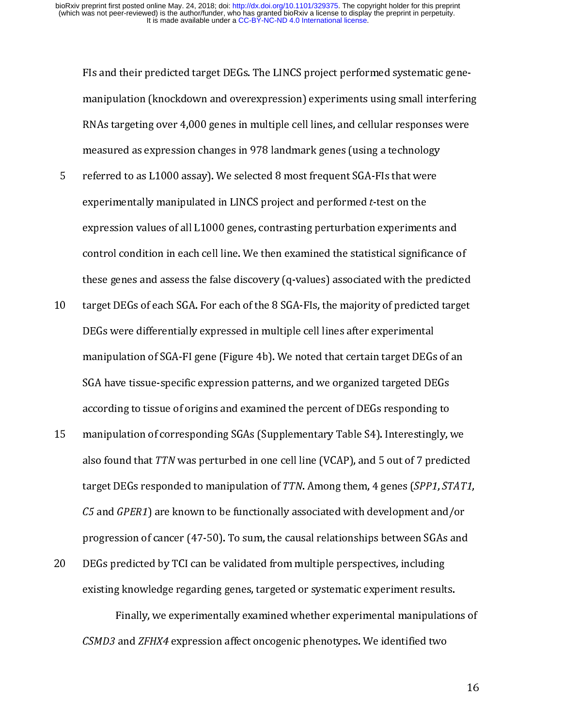FIs and their predicted target DEGs. The LINCS project performed systematic gene-

- control condition in each cell line. We then examined the statistical significance of manning are the series and account the responses were measured as expression changes in 978 landmark genes (using a technology referred to as L1000 assay). We selected 8 most frequent SGA-Fls that were experimentally manip measured as expression changes in 978 landmark genes (using a technology<br>referred to as L1000 assay). We selected 8 most frequent SGA-FIs that were<br>experimentally manipulated in LINCS project and performed *t*-test on the<br> measured to as L1000 assay). We selected 8 most frequent SGA-FIs that were<br>experimentally manipulated in LINCS project and performed *t*-test on the<br>expression values of all L1000 genes, contrasting perturbation experiment experimentally manipulated in LINCS project and performed *t*-test on the<br>expression values of all L1000 genes, contrasting perturbation experiments<br>control condition in each cell line. We then examined the statistical sig
- experimentally manipulated in LINCS project and performed t-test on the<br>expression values of all L1000 genes, contrasting perturbation experimen<br>control condition in each cell line. We then examined the statistical signifi expredict control condition in each cell line. We then examined the statistical significance of these genes and assess the false discovery (q-values) associated with the predict target DEGs of each SGA. For each of the 8 S these genes and assess the false discovery (q-values) associated with the predicted<br>target DEGs of each SGA. For each of the 8 SGA-FIs, the majority of predicted target<br>DEGs were differentially expressed in multiple cell l target DEGs of each SGA. For each of the 8 SGA-FIs, the majority of predicted target<br>DEGs were differentially expressed in multiple cell lines after experimental<br>manipulation of SGA-FI gene (Figure 4b). We noted that certa 10 DEGs were differentially expressed in multiple cell lines after experimental<br>manipulation of SGA-FI gene (Figure 4b). We noted that certain target DEGs of an<br>SGA have tissue-specific expression patterns, and we organize
- manipulation of SGA-FI gene (Figure 4b). We noted that certain target DEGs<br>SGA have tissue-specific expression patterns, and we organized targeted DE<br>according to tissue of origins and examined the percent of DEGs respondi SGA have tissue-specific expression patterns, and we organized targeted DEGs<br>according to tissue of origins and examined the percent of DEGs responding to<br>manipulation of corresponding SGAs (Supplementary Table S4). Intere according to tissue of origins and examined the percent of DEGs responding to<br>manipulation of corresponding SGAs (Supplementary Table S4). Interestingly, r<br>also found that *TTN* was perturbed in one cell line (VCAP), and 5 manipulation of corresponding SGAs (Supplementary Table S4). Interestingly, also found that *TTN* was perturbed in one cell line (VCAP), and 5 out of 7 preditarget DEGs responded to manipulation of *TTN*. Among them, 4 gen 25 malso found that TTN was perturbed in one cell line (VCAP), and 5 out of 7 predicted<br>target DEGs responded to manipulation of TTN. Among them, 4 genes (SPP1, STAT<br>C5 and GPER1) are known to be functionally associated wi also found that TTN was perturbed in one cen line (VCAT), and 5 out of 7 predicted<br>target DEGs responded to manipulation of TTN. Among them, 4 genes (*SPP1, STAT1*<br>*C5* and *GPER1*) are known to be functionally associated target DEGs responded to manipulation of TTN. Among them, 4 genes (3171, 51411, C5 and GPER1) are known to be functionally associated with development and/or progression of cancer (47-50). To sum, the causal relationships
- c5 and GPER1) are known to be functionally associated with development and/or<br>progression of cancer (47-50). To sum, the causal relationships between SGAs and<br>DEGs predicted by TCI can be validated from multiple perspectiv

progression of calculated from multiple perspectives, including<br>existing knowledge regarding genes, targeted or systematic experiment results.<br>Finally, we experimentally examined whether experimental manipulations of<br>CSMD3 20 DEG predicted by TCP can be validated at a manger pre-predicted, including<br>existing knowledge regarding genes, targeted or systematic experiment result<br>Finally, we experimentally examined whether experimental manipulati Finally, we experimentally examined whether experimental manipulation<br>CSMD3 and ZFHX4 expression affect oncogenic phenotypes. We identified two and *ZFHX4* expression affect oncogenic phenotypes. We identified two denotypes of  $\frac{1}{2}$ CSMD3 and ZFHX4 expression affect oncogenic phenotypes. We identified two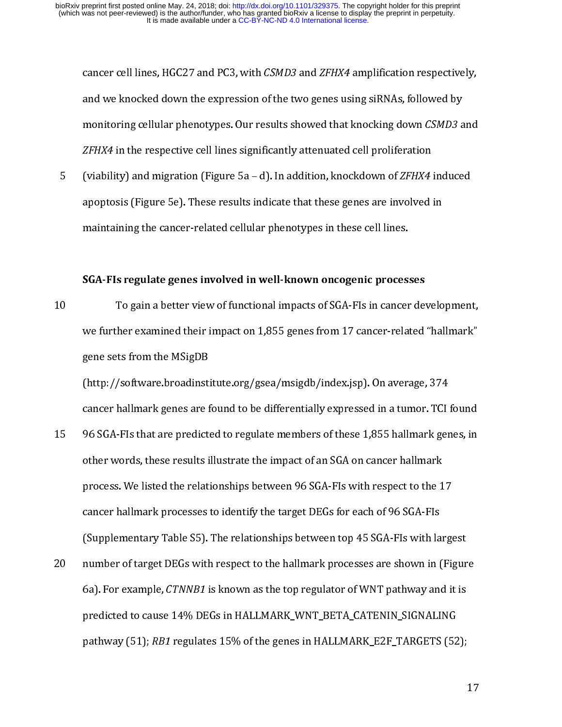cancer cen miss, HGC27 and PC3, with CSMD3 and 2FHX4 amplification respectively,<br>and we knocked down the expression of the two genes using siRNAs, followed by<br>monitoring cellular phenotypes. Our results showed that knockin

monitoring cellular phenotypes. Our results showed that knocking down *CSMD3* a<br>ZFHX4 in the respective cell lines significantly attenuated cell proliferation<br>(viability) and migration (Figure 5a – d). In addition, knockdo *ZFHX4* in the respective cell lines significantly attenuated cell proliferation<br>(viability) and migration (Figure 5a – d). In addition, knockdown of *ZFHX4* induced<br>apoptosis (Figure 5e). These results indicate that these ZFHX4 in the respective cell lines significantly attenuated cell promeration<br>(viability) and migration (Figure 5a – d). In addition, knockdown of ZFHX4<br>apoptosis (Figure 5e). These results indicate that these genes are inv

#### SGA-FIs regulate genes involved in well-known oncogenic processes

(viability) and imgration (Figure 5a – d). In addition, knockdown of ZFHX4 induced<br>apoptosis (Figure 5e). These results indicate that these genes are involved in<br>maintaining the cancer-related cellular phenotypes in these maintaining the cancer-related cellular phenotypes in these cell lines.<br> **SGA-FIs regulate genes involved in well-known oncogenic processes**<br>
To gain a better view of functional impacts of SGA-FIs in cancer develo<br>
we furt SGA-FIs regulate genes involved in well-known oncogenic proces:<br>To gain a better view of functional impacts of SGA-FIs in cancer<br>we further examined their impact on 1,855 genes from 17 cancer-relat<br>gene sets from the MSigD ؟<br>}<br>}<br>}

10 To gain a better view of the time impact of 1,855 genes from 17 cancer-related "hallmark"<br>gene sets from the MSigDB<br>(http://software.broadinstitute.org/gsea/msigdb/index.jsp). On average, 374<br>cancer hallmark genes are f gene sets from the MSigDB<br>(http://software.broadinstitute.org/gsea/msigdb/index.jsp). On average, 374<br>cancer hallmark genes are found to be differentially expressed in a tumor. TCI found<br>96 SGA-FIs that are predicted to re gene sets from the MSI<br>general cancer hallmark genes are for the MSI<br>ancer hallmark genes are for the MSI<br>other words, these results is<br>process. We listed the relation<br>cancer hallmark processes<br>(Sunnlementary Table S5). (a) Fig. 2011)<br>cancer hallmark genes are found to be differentially expressed in a tumor. TCI<br>96 SGA-FIs that are predicted to regulate members of these 1,855 hallmark ger<br>other words, these results illustrate the impact o 96 SGA-Fls that are predicted to regulate members of these 1,855 hallmark genes, in<br>other words, these results illustrate the impact of an SGA on cancer hallmark<br>process. We listed the relationships between 96 SGA-Fls with 15 96 SGA-FIs with respect to the 17<br>process. We listed the relationships between 96 SGA-FIs with respect to the 17<br>cancer hallmark processes to identify the target DEGs for each of 96 SGA-FIs<br>(Supplementary Table S5). The

process. We listed the relationships between 96 SGA-Fls with respect to the 1<br>cancer hallmark processes to identify the target DEGs for each of 96 SGA-Fls<br>(Supplementary Table S5). The relationships between top 45 SGA-Fls cancer hallmark processes to identify the target DEGs for each of 96 SGA-Fls<br>(Supplementary Table S5). The relationships between top 45 SGA-Fls with large<br>number of target DEGs with respect to the hallmark processes are sh (Supplementary Table S5). The relationships between top 45 SGA-FIs with la<br>number of target DEGs with respect to the hallmark processes are shown in (<br>6a). For example, *CTNNB1* is known as the top regulator of WNT pathway (Suppressionally) Case of the hallmark processes are shown in (Figure 6a). For example, *CTNNB1* is known as the top regulator of WNT pathway and it is predicted to cause 14% DEGs in HALLMARK\_WNT\_BETA\_CATENIN\_SIGNALING pat 20 number of target DEGs with respect to the hallmark processes are shown in (Figure 6a). For example, *CTNNB1* is known as the top regulator of WNT pathway and it is predicted to cause 14% DEGs in HALLMARK WNT\_BETA\_CATENI 6a). For example, CTNNDT is known as the top regulator of WNT pathway and it is<br>predicted to cause 14% DEGs in HALLMARK\_WNT\_BETA\_CATENIN\_SIGNALING<br>pathway (51); RB1 regulates 15% of the genes in HALLMARK\_E2F\_TARGETS (52); pathway (51); *RB1* regulates 15% of the genes in HALLMARK\_E2F\_TARGETS (52)  $p_{\text{atim}}$  (51); RB1 regulates 15% of the genes in HALLMARK\_E2F\_TARGETS (52);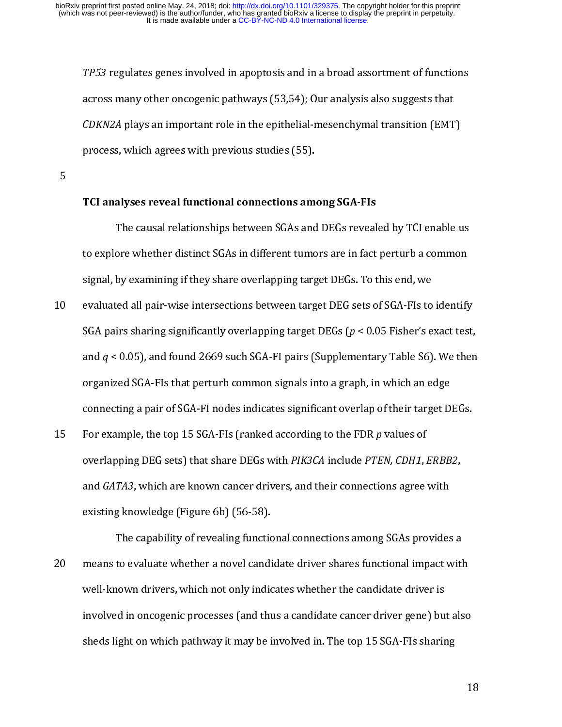TP53 regulates genes involved in apoptosis and in a broad assortment of functions<br>across many other oncogenic pathways (53,54); Our analysis also suggests that<br> $CDKN2A$  plays an important role in the epithelial-mesenchymal t

5

#### TCI analyses reveal functional connections among SGA-FIs

 $CDKN2A$  plays an important role in the epithelial-mesenchymal transition (EMT<br>process, which agrees with previous studies (55).<br>TCI analyses reveal functional connections among SGA-FIs<br>TCI analyses reveal functional connec CDKN2A plays an important role in the epithelial-mesenchymal transition (EMT)<br>process, which agrees with previous studies (55).<br>TCI analyses reveal functional connections among SGA-FIs<br>The causal relationships between SGAs process of the causal functional connections amount the causal relationships between SGAs and<br>to explore whether distinct SGAs in different tume<br>signal, by examining if they share overlapping targe<br>evaluated all pair-wise

- $\overline{0}$ ore whether distinct SGAs in different tumors are in fact perturb a common<br>by examining if they share overlapping target DEGs. To this end, we<br>ted all pair-wise intersections between target DEG sets of SGA-FIs to identify<br> isignal, by examining if they share overlapping target DEGs. To this end, we<br>evaluated all pair-wise intersections between target DEG sets of SGA-FIs to identify<br>SGA pairs sharing significantly overlapping target DEGs ( $p$ signal, by examining if they share overlapping target DEG sets of SGA-FIs to SGA pairs sharing significantly overlapping target DEGs ( $p < 0.05$  Fisher's e and  $q < 0.05$ ), and found 2669 such SGA-FI pairs (Supplementary Ta 10 evaluation all pair of scaling significantly overlapping target DEGs ( $p < 0.05$  Fisher's exact test,<br>and  $q < 0.05$ ), and found 2669 such SGA-FI pairs (Supplementary Table S6). We then<br>organized SGA-FIs that perturb comm
- SGA pairs sharing significantly overlapping anget DEGs (p < 0.05 Fisher's exact test,<br>and  $q$  < 0.05), and found 2669 such SGA-FI pairs (Supplementary Table S6). We then<br>organized SGA-FIs that perturb common signals into and q < 0.05), and found 2009 such SdA-FI pairs (Supplementary Table So). We then<br>organized SGA-FIs that perturb common signals into a graph, in which an edge<br>connecting a pair of SGA-FI nodes indicates significant overlap connecting a pair of SGA-FI nodes indicates significant overlap of their target D<br>For example, the top 15 SGA-FIs (ranked according to the FDR p values of<br>overlapping DEG sets) that share DEGs with PIK3CA include PTEN, CDH For example, the top 15 SGA-FIs (ranked according to the FDR *p* values of<br>overlapping DEG sets) that share DEGs with *PIK3CA* include *PTEN, CDH1, ERBB2,*<br>and *GATA3,* which are known cancer drivers, and their connections 15 For example, the top 15 SGA-FIS (ranked according to the FDR p values of<br>overlapping DEG sets) that share DEGs with PIK3CA include PTEN, CDH1, i<br>and GATA3, which are known cancer drivers, and their connections agree<br>exi

overlapping DEG sets) that share DEGS with PIK5CA include PPEN, CDITI, ERDD2,<br>and GATA3, which are known cancer drivers, and their connections agree with<br>existing knowledge (Figure 6b) (56-58).<br>The capability of revealing existing knowledge (Figure 6b) (56-58).<br>
The capability of revealing functional connections among SGAs provides<br>
means to evaluate whether a novel candidate driver shares functional impact w<br>
well-known drivers, which not The capability of revealing function<br>means to evaluate whether a novel candi<br>well-known drivers, which not only indic<br>involved in oncogenic processes (and the<br>sheds light on which pathway it may be i The capability of revenues and connection and connectional impact with<br>to evaluate whether a novel candidate driver shares functional impact with<br>nown drivers, which not only indicates whether the candidate driver is<br>id in 20 means to evaluate whether due to enhance the candidate driver is<br>
20 well-known drivers, which not only indicates whether the candidate driver is<br>
20 involved in oncogenic processes (and thus a candidate cancer driver g involved in oncogenic processes (and thus a candidate cancer driver gene) but<br>sheds light on which pathway it may be involved in. The top 15 SGA-FIs sharing<br>sheds light on which pathway it may be involved in. The top 15 SG sheds light on which pathway it may be involved in. The top 15 SGA-FIs sharing<br>1 sheds light on which pathway it may be involved in  $\mathbb{F}_p$  . The top 15 SGA-FIs sharing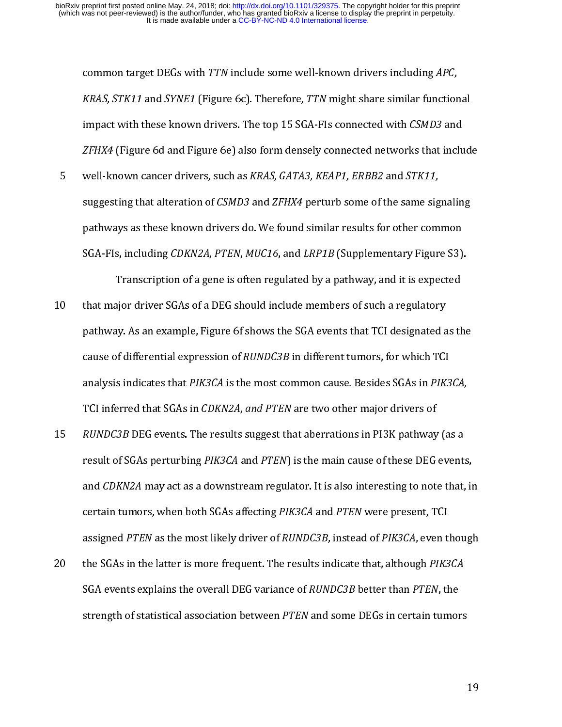common target DEGs with TTN include some wen-known drivers including ATC,<br>KRAS, STK11 and SYNE1 (Figure 6c). Therefore, TTN might share similar functior<br>impact with these known drivers. The top 15 SGA-FIs connected with CS

KRAS, STATT and STNET (Figure 6c). Therefore, TTN might share similar functional<br>impact with these known drivers. The top 15 SGA-FIs connected with *CSMD3* and<br>ZFHX4 (Figure 6d and Figure 6e) also form densely connected ne *ZFHX4* (Figure 6d and Figure 6e) also form densely connected networks that inclu<br>well-known cancer drivers, such as *KRAS, GATA3, KEAP1, ERBB2* and *STK11,*<br>suggesting that alteration of *CSMD3* and *ZFHX4* perturb some o EFTAT (Figure 6d and Figure 6e) also form densely connected networks that include<br>well-known cancer drivers, such as KRAS, GATA3, KEAP1, ERBB2 and STK11,<br>suggesting that alteration of CSMD3 and ZFHX4 perturb some of the sa suggesting that alteration of *CSMD3* and *ZFHX4* perturb some of the same signathways as these known drivers do. We found similar results for other com SGA-FIs, including *CDKN2A, PTEN, MUC16*, and *LRP1B* (Supplementary

suggesting that alteration of CSMD3 and ZFHX4 perturb some of the same signaling<br>pathways as these known drivers do. We found similar results for other common<br>SGA-FIs, including *CDKN2A, PTEN, MUC16,* and *LRP1B* (Suppleme pathway, including *CDKN2A, PTEN, MUC16,* and *LRP1B* (Supplementary Figure S3)<br>Transcription of a gene is often regulated by a pathway, and it is expected<br>that major driver SGAs of a DEG should include members of such a r SGA-F1s, including CDKN2A, FTEN, MOC10, and ERTID (Supplementary Figure S5).<br>Transcription of a gene is often regulated by a pathway, and it is expected<br>that major driver SGAs of a DEG should include members of such a regu Transcription of a DEG should include members of such a regulatory<br>ajor driver SGAs of a DEG should include members of such a regulatory<br>by. As an example, Figure 6f shows the SGA events that TCI designated as the<br>f differ 11 that may be the state of a button in the state members of a button of a cause of differential expression of *RUNDC3B* in different tumors, for which TCl analysis indicates that *PIK3CA* is the most common cause. Besides

- pathway. As an example, and the Scause of differential expression of *RUNDC3B* in different tumors, for which TCI<br>analysis indicates that *PIK3CA* is the most common cause. Besides SGAs in *PIK3CA*,<br>TCI inferred that SGAs cause of differential expression of *RONDC3B* in different tumors, for which TCI<br>analysis indicates that *PIK3CA* is the most common cause. Besides SGAs in *PIK3*<br>TCI inferred that SGAs in *CDKN2A, and PTEN* are two other analysis indicates that PIK3CA is the most common cause. Besides SGAs in PIK3CA,<br>TCI inferred that SGAs in *CDKN2A, and PTEN* are two other major drivers of<br>*RUNDC3B* DEG events. The results suggest that aberrations in PI3 TCI inferred that SGAs in CDRN2A, and TTEN are two other major drivers or<br>RUNDC3B DEG events. The results suggest that aberrations in PI3K pathway<br>result of SGAs perturbing PIK3CA and PTEN) is the main cause of these DEG<br>a 15 RUNDC3B DEG events. The results suggest that aberrations in FI3K pathway (as a<br>result of SGAs perturbing *PIK3CA* and *PTEN*) is the main cause of these DEG events.<br>and *CDKN2A* may act as a downstream regulator. It is result of SGAs perturbing PRSCA and PTEN is the main cause of these DEG events,<br>and *CDKN2A* may act as a downstream regulator. It is also interesting to note that, in<br>certain tumors, when both SGAs affecting *PIK3CA* and
- and CDKN2A may act as a downstream regulator. It is also interesting to note that, in<br>certain tumors, when both SGAs affecting PIK3CA and PTEN were present, TCI<br>assigned PTEN as the most likely driver of RUNDC3B, instead o assigned *PTEN* as the most likely driver of *RUNDC3B*, instead of *PIK3CA*, even t<br>the SGAs in the latter is more frequent. The results indicate that, although *PIK3*<br>SGA events explains the overall DEG variance of *RUNDC* assigned PTEN as the most likely driver of RONDC3B, instead of PTRSCA, even though<br>the SGAs in the latter is more frequent. The results indicate that, although *PIK3CA*<br>SGA events explains the overall DEG variance of *RUND* 20 the SGAs in the latter is more frequent. The results indicate that, although PINSCA<br>SGA events explains the overall DEG variance of *RUNDC3B* better than *PTEN*, the<br>strength of statistical association between *PTEN* an SGA events explains the overall DEG variance of RONDC3B better than PTEN, the<br>strength of statistical association between *PTEN* and some DEGs in certain tumor<br>the of statistical association between *PTEN* and some DEGs in strength of statistical association between PTEN and some DEGs in certain tumors<br>1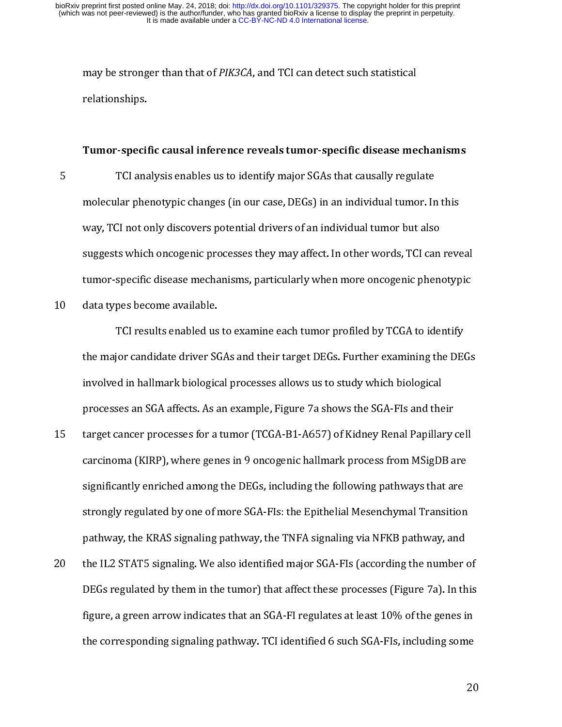#### Tumor-specific causal inference reveals tumor-specific disease mechanisms

may be stronger than that of PIRSCA, and TCI can detect such statistical<br>relationships.<br>Tumor-specific causal inference reveals tumor-specific disease me<br>TCI analysis enables us to identify major SGAs that causally regul<br>m Tumor-specif<br>TCI ana<br>molecular phe<br>way, TCI not o<br>suggests whici<br>tumor-snecific 5 molecular phenotypic changes (in our case, DEGs) in an individual tumor. In<br>way, TCI not only discovers potential drivers of an individual tumor but also<br>suggests which oncogenic processes they may affect. In other words, molecular phenotypic changes (in our case) in an individual tumor but also<br>suggests which oncogenic processes they may affect. In other words, TCI can reve<br>tumor-specific disease mechanisms, particularly when more oncogeni

suggests which oncogenic processes they may affect. In other words, TCI can<br>tumor-specific disease mechanisms, particularly when more oncogenic phen<br>data types become available.<br>TCI results enabled us to examine each tumor sumor-specific disease mechanisms, particularly when more oncogenic phenotypic<br>data types become available.<br>TCI results enabled us to examine each tumor profiled by TCGA to identify<br>the major candidate driver SGAs and thei that types become available.<br>TCI results enabled us to examine each tumor profiled by TCGA to identify<br>the major candidate driver SGAs and their target DEGs. Further examining the DEGs<br>involved in hallmark biological proce TCI results enabled us<br>the major candidate driver SC<br>involved in hallmark biologic<br>processes an SGA affects. As a<br>target cancer processes for a<br>carcinoma (KIRP), where gen<br>significantly enriched among

- The section of their target DEGs. Further examining the DE<br>In thallmark biological processes allows us to study which biological<br>ses an SGA affects. As an example, Figure 7a shows the SGA-FIs and their<br>cancer processes for involved in hallmark biological processes allows us to study which biological<br>processes an SGA affects. As an example, Figure 7a shows the SGA-FIs and their<br>target cancer processes for a tumor (TCGA-B1-A657) of Kidney Rena in the maximum in the game processes in the target cancer processes an SGA affects. As an example, Figure 7a shows the SGA-FIs and the<br>target cancer processes for a tumor (TCGA-B1-A657) of Kidney Renal Papillar<br>carcinoma ( processes for a tumor (TCGA-B1-A657) of Kidney Renal Papillary<br>carcinoma (KIRP), where genes in 9 oncogenic hallmark process from MSigDB a<br>significantly enriched among the DEGs, including the following pathways that an<br>str 25 carcinoma (KIRP), where genes in 9 oncogenic hallmark process from MSigDB are<br>significantly enriched among the DEGs, including the following pathways that are<br>strongly regulated by one of more SGA-FIs: the Epithelial Me
- significantly enriched among the DEGs, including the following pathways that are<br>strongly regulated by one of more SGA-FIs: the Epithelial Mesenchymal Transition<br>pathway, the KRAS signaling pathway, the TNFA signaling via strongly regulated by one of more SGA-Fls: the Epithelial Mesenchymal Transition<br>pathway, the KRAS signaling pathway, the TNFA signaling via NFKB pathway, and<br>the IL2 STAT5 signaling. We also identified major SGA-Fls (acco pathway, the KRAS signaling pathway, the TNFA signaling via NFKB pathway, and<br>the IL2 STAT5 signaling. We also identified major SGA-FIs (according the number c<br>DEGs regulated by them in the tumor) that affect these process pathway, the KRAS signaling, We also identified major SGA-FIs (according the number of DEGs regulated by them in the tumor) that affect these processes (Figure 7a). In the figure, a green arrow indicates that an SGA-FI reg 20 DEGs regulated by them in the tumor) that affect these processes (Figure 7a). In this figure, a green arrow indicates that an SGA-FI regulates at least 10% of the genes in the corresponding signaling pathway. TCI identi Example, a green arrow indicates that an SGA-FI regulates at least 10% of the genes in<br>the corresponding signaling pathway. TCI identified 6 such SGA-FIs, including some<br>20 figure, and the corresponding signaling pathway. TCI identified 6 such SGA-FIs, including some<br>20 the corresponding signaling pathway. TCI identified 6 such  $\alpha$  is including some  $20$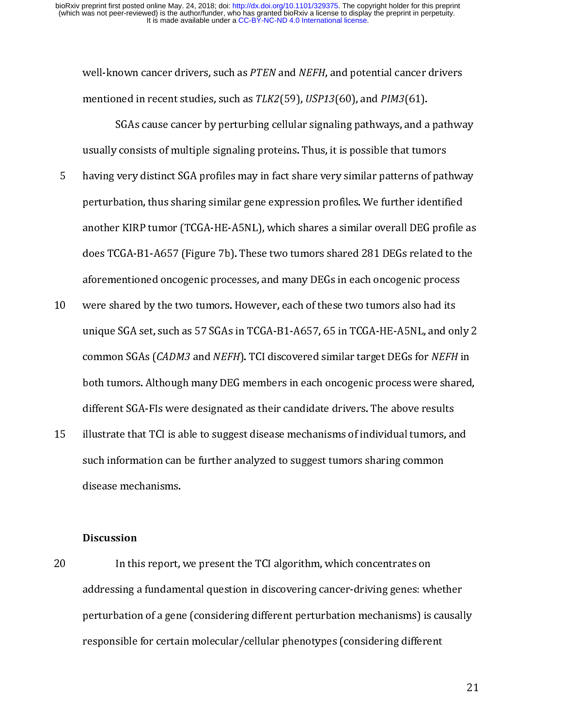- wen-known cancer drivers, such as *TLEN* and *NEFH*, and potential cancer drivers<br>mentioned in recent studies, such as *TLK2*(59), *USP13(*60), and *PIM3(*61).<br>SGAs cause cancer by perturbing cellular signaling pathways, a mentioned in recent studies, such as TERZ(59), 65113(60), and TERS(61).<br>SGAs cause cancer by perturbing cellular signaling pathways, and a<br>usually consists of multiple signaling proteins. Thus, it is possible that tum<br>havi Survey distinct SGA profiles may in fact share very similar patterns of pathway<br>vation, thus sharing similar gene expression profiles. We further identified<br>r KIRP tumor (TCGA-HE-A5NL), which shares a similar overall DEG p having very distinct SGA profiles may in fact share very similar patterns of pat<br>perturbation, thus sharing similar gene expression profiles. We further identif<br>another KIRP tumor (TCGA-HE-A5NL), which shares a similar ove Forturbation, thus sharing similar gene expression profiles. We further identified<br>another KIRP tumor (TCGA-HE-A5NL), which shares a similar overall DEG profile as<br>does TCGA-B1-A657 (Figure 7b). These two tumors shared 281
- perturbation, thus sharing similar gene expression protons another KIRP tumor (TCGA-HE-A5NL), which shares a similar overall DEG profile<br>does TCGA-B1-A657 (Figure 7b). These two tumors shared 281 DEGs related to the<br>aforem does TCGA-B1-A657 (Figure 7b). These two tumors shared 281 DEGs related to the<br>aforementioned oncogenic processes, and many DEGs in each oncogenic process<br>were shared by the two tumors. However, each of these two tumors al aforementioned oncogenic processes, and many DEGs in each oncogenic process<br>were shared by the two tumors. However, each of these two tumors also had its<br>unique SGA set, such as 57 SGAs in TCGA-B1-A657, 65 in TCGA-HE-A5NL, are shared by the two tumors. However, each of these two tumors also had its<br>unique SGA set, such as 57 SGAs in TCGA-B1-A657, 65 in TCGA-HE-A5NL, and onl<br>common SGAs (*CADM3* and *NEFH*). TCI discovered similar target DEGs 11 were shared by the two shared by tumors (shared by tumors in the tumors also had on<br>
10 were shared by tumors. Although many DEG members in each oncogenic process were shared<br>
16 both tumors. Although many DEG members i common SGAs (*CADM3* and *NEFH*). TCI discovered similar target DEGs for *NEFH* in both tumors. Although many DEG members in each oncogenic process were shared, different SGA-FIs were designated as their candidate drivers.
- common suas (CADM3 and NEFH). Tel discovered similar target DEGs for NEFH in<br>both tumors. Although many DEG members in each oncogenic process were shared<br>different SGA-Fls were designated as their candidate drivers. The ab both tumorrunnings many DEG members in each other turns. The above results<br>illustrate that TCI is able to suggest disease mechanisms of individual tumors, and<br>such information can be further analyzed to suggest tumors shar illustrate that TCI is able to suggest disease mechanisms of individual tumors, an<br>such information can be further analyzed to suggest tumors sharing common<br>disease mechanisms.<br>Discussion<br>In this report, we present the TCI

#### **Discussion**

15 such information can be further analyzed to suggest tumors sharing common<br>
15 disease mechanisms.<br>
20 In this report, we present the TCI algorithm, which concentrates on<br>
20 In this report, we present the TCI algorithm, such information can be further analyzed to suggest tumors sharing commonly<br>disease mechanisms.<br>Discussion<br>addressing a fundamental question in discovering cancer-driving genes: whet<br>perturbation of a gene (considering dif Mission<br>In this report,<br>addressing a fundame<br>perturbation of a generesponsible for certain  $\begin{bmatrix} 1 \\ 2 \end{bmatrix}$ 20 In this report that the TCI algorithm, which concentrates on<br>addressing a fundamental question in discovering cancer-driving genes: w<br>perturbation of a gene (considering different perturbation mechanisms) is<br>responsible perturbation of a gene (considering different perturbation mechanisms) is causall<br>responsible for certain molecular/cellular phenotypes (considering different<br>responsible for certain molecular/cellular phenotypes (consider perturbation of a gene (considering different perturbation mechanisms) is causally<br>responsible for certain molecular/cellular phenotypes (considering different<br>2 responsible for certain molecular phenotypes (considering differential phenotypes (considering differential  $\mathcal{L}$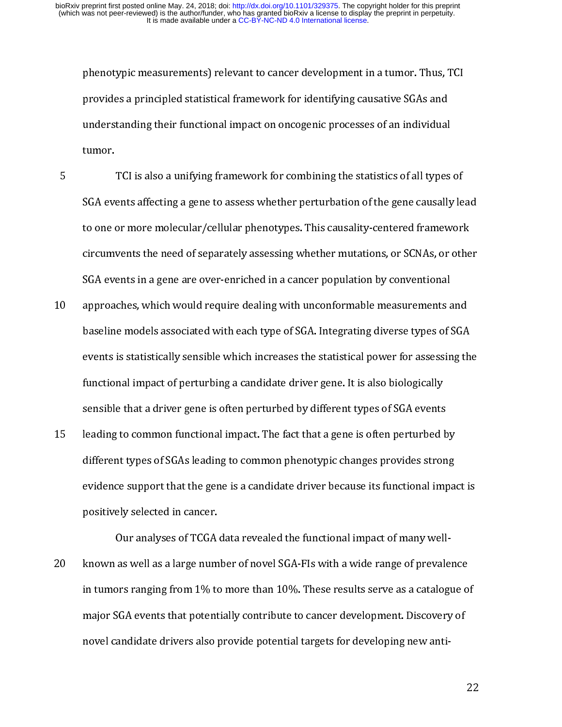5

provides a principled statistical framework for identifying causative SGAs and<br>understanding their functional impact on oncogenic processes of an individual<br>tumor.<br>TCI is also a unifying framework for combining the statist provides a principled standing their functional impact on oncogenic processes of an individual<br>tumor.<br>TCI is also a unifying framework for combining the statistics of all types<br>SGA events affecting a gene to assess whether The statistics of all types<br>The standarding the statistics of all types<br>SGA events affecting a gene to assess whether perturbation of the gene causally<br>to one or more molecular/cellular phenotypes. This causality-centered .<br>SGA events<br>to one do<br>circum<br>SGA events<br>approam<br>baselin SGA events affecting a gene to assess whether perturbation of the gene causally le<br>to one or more molecular/cellular phenotypes. This causality-centered framework<br>circumvents the need of separately assessing whether mutati

- For the affection affective matter of the gene causality-centered framework<br>circumvents the need of separately assessing whether mutations, or SCNAs, or other<br>SGA events in a gene are over-enriched in a cancer population b circumvents the need of separately assessing whether mutations, or SCNAs, or othe<br>SGA events in a gene are over-enriched in a cancer population by conventional<br>approaches, which would require dealing with unconformable mea SGA events in a gene are over-enriched in a cancer population by conventional<br>approaches, which would require dealing with unconformable measurements and<br>baseline models associated with each type of SGA. Integrating divers start that in a gene in the tenderic in a tenderic population of considerational approaches, which would require dealing with unconformable measurements a<br>baseline models associated with each type of SGA. Integrating diver 11 approaches associated with each type of SGA. Integrating diverse types of SGA<br>events is statistically sensible which increases the statistical power for assessing the<br>functional impact of perturbing a candidate driver g
- baseline models as statistically sensible which increases the statistical power for assessing th<br>functional impact of perturbing a candidate driver gene. It is also biologically<br>sensible that a driver gene is often perturb functional impact of perturbing a candidate driver gene. It is also biologically<br>sensible that a driver gene is often perturbed by different types of SGA events<br>leading to common functional impact. The fact that a gene is functional impact of perturbing a community and to guarantee and specifically<br>sensible that a driver gene is often perturbed by different types of SGA events<br>leading to common functional impact. The fact that a gene is oft sension manufacture general competitions y minicial species often perturbed b<br>different types of SGAs leading to common phenotypic changes provides stron<br>evidence support that the gene is a candidate driver because its fun

15 different types of SGAs leading to common phenotypic changes provides strong<br>
20 evidence support that the gene is a candidate driver because its functional impact<br>
20 positively selected in cancer.<br>
20 couranalyses of evidence support that the gene is a candidate driver because its functional impa<br>positively selected in cancer.<br>Our analyses of TCGA data revealed the functional impact of many well-<br>known as well as a large number of nove positively selected in cancer.<br>
Our analyses of TCGA data revealed the functional impact of many well-<br>
known as well as a large number of novel SGA-Fls with a wide range of prevalence<br>
in tumors ranging from 1% to more th Positively selected in cancer.<br>Our analyses of TCGA<br>known as well as a large num<br>in tumors ranging from 1% to<br>major SGA events that potent<br>novel candidate drivers also <sub>l</sub> 20 km as well as a catalogue of mumber of the 10 km and the range of production in tumors ranging from 1% to more than 10%. These results serve as a catalogue of major SGA events that potentially contribute to cancer devel in tumors ranging from 1980 times than 10%. These results serve as a catalogue of major SGA events that potentially contribute to cancer development. Discovery of novel candidate drivers also provide potential targets for movel candidate drivers also provide potential targets for developing new anti-<br>novel candidate drivers also provide potential targets for developing new anti-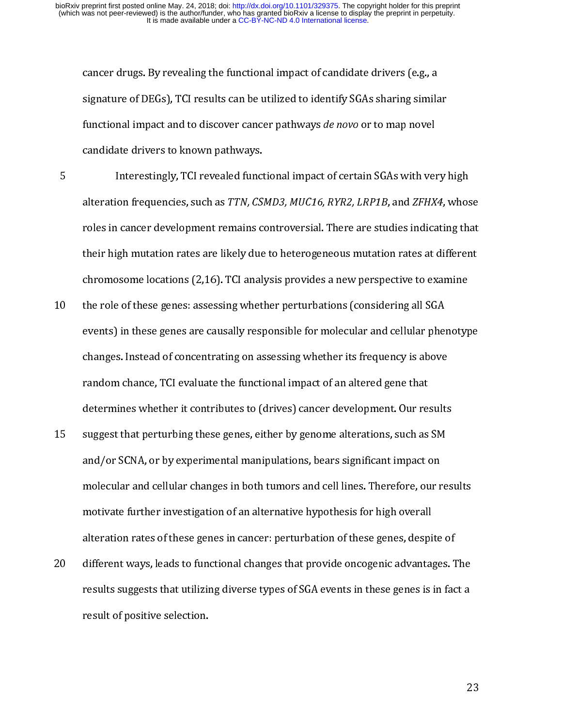- signature of DEGs), TCI results can be utilized to identify SGAs sharing simila<br>functional impact and to discover cancer pathways *de novo* or to map novel<br>candidate drivers to known pathways.<br>Interestingly, TCI revealed f signational impact and to discover cancer pathways *de novo* or to map novel<br>candidate drivers to known pathways.<br>Interestingly, TCI revealed functional impact of certain SGAs with very lateration frequencies, such as *TTN* randidate drivers to known pathways.<br>
Interestingly, TCI revealed functional impact of certain SGAs with veralteration frequencies, such as *TTN, CSMD3, MUC16, RYR2, LRP1B,* and *ZFHX*<br>
roles in cancer development remains Interestingly, TCI revealed funct<br>alteration frequencies, such as *TTN, CS.*<br>roles in cancer development remains co<br>their high mutation rates are likely due<br>chromosome locations (2,16). TCI analy<br>the role of these genes: a 5 alteration frequencies, such as *TTN, CSMD3, MUC16, RYR2, LRP1B*, and *ZFHX4*, whos<br>roles in cancer development remains controversial. There are studies indicating the<br>their high mutation rates are likely due to heterogene
- alteration frequencies, such as TTN, CSMD3, MOCT0, RTN2, LRP1B, and ZFHX4, whose<br>roles in cancer development remains controversial. There are studies indicating that<br>their high mutation rates are likely due to heterogeneou r<br>their high mutation rates are likely due to heterogeneous mutation rates at different<br>chromosome locations (2,16). TCI analysis provides a new perspective to examine<br>the role of these genes: assessing whether perturbatio chromosome locations (2,16). TCI analysis provides a new perspective to examine<br>the role of these genes: assessing whether perturbations (considering all SGA<br>events) in these genes are causally responsible for molecular an chromosome locations (2,16). The analysis provides a new perspective to examine<br>the role of these genes are causally responsible for molecular and cellular phenotyp<br>changes. Instead of concentrating on assessing whether it 11 the role of these genes are causally responsible for molecular and cellular pher<br>
10 changes. Instead of concentrating on assessing whether its frequency is above<br>
11 random chance, TCI evaluate the functional impact of
- changes. Instead of concentrating on assessing whether its frequency is above<br>random chance, TCI evaluate the functional impact of an altered gene that<br>determines whether it contributes to (drives) cancer development. Our changes. The functional impact of an altered gene that<br>determines whether it contributes to (drives) cancer development. Our results<br>suggest that perturbing these genes, either by genome alterations, such as SM<br>and/or SCNA random chance, The Fourian and Mathematical impact of an alternative gene that determines whether it contributes to (drives) cancer development. Our resuggest that perturbing these genes, either by genome alterations, such suggest that perturbing these genes, either by genome alterations, such as SM<br>and/or SCNA, or by experimental manipulations, bears significant impact on<br>molecular and cellular changes in both tumors and cell lines. Therefo and/or SCNA, or by experimental manipulations, bears significant impact on<br>molecular and cellular changes in both tumors and cell lines. Therefore, our re<br>motivate further investigation of an alternative hypothesis for hig molecular and cellular changes in both tumors and cell lines. Therefore, our r<br>molecular and cellular changes in both tumors and cell lines. Therefore, our r<br>motivate further investigation of an alternative hypothesis for
- motivate further investigation of an alternative hypothesis for high overall<br>alteration rates of these genes in cancer: perturbation of these genes, despite of<br>different ways, leads to functional changes that provide oncog motivation rates of these genes in cancer: perturbation of these genes, despi<br>alteration rates of these genes in cancer: perturbation of these genes, despi<br>different ways, leads to functional changes that provide oncogenic different ways, leads to functional changes that provide oncogenic advantages. T<br>results suggests that utilizing diverse types of SGA events in these genes is in fac<br>result of positive selection. 20 different ways, leads to functional changes that the changes of SGA events in these genes is in fact a<br>result of positive selection. result of positive selection. result of positive selection.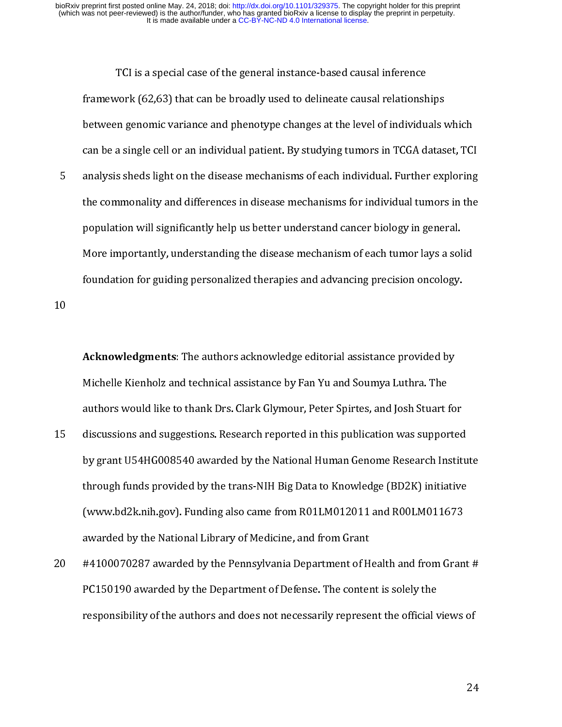vork (62,63) that can be broadly used to delineate causal relationsh<br>in genomic variance and phenotype changes at the level of individu<br>a single cell or an individual patient. By studying tumors in TCGA d<br>s sheds light on framework (62,63) that is a between genomic variance and phenotype changes at the level of individuals v<br>can be a single cell or an individual patient. By studying tumors in TCGA datas<br>analysis sheds light on the disease m can be a single cell or an individual patient. By studying tumors in TCGA dataset, TC<br>analysis sheds light on the disease mechanisms of each individual. Further exploring<br>the commonality and differences in disease mechanis analysis sheds light on the disease mechanisms of each individual. Further exploring<br>the commonality and differences in disease mechanisms for individual tumors in the<br>population will significantly help us better understan Franchieved and differences in disease mechanisms for individual tumors in the<br>population will significantly help us better understand cancer biology in general.<br>More importantly, understanding the disease mechanism of eac the common<br>population will significantly help us better understand cancer biology in general.<br>More importantly, understanding the disease mechanism of each tumor lays a solid<br>foundation for guiding personalized therapies a

population for guiding personalized therapies and advancing precision oncology.<br>
foundation for guiding personalized therapies and advancing precision oncology.<br> **Acknowledgments**: The authors acknowledge editorial assista foundation for guiding personalized therapies and advancing precision oncology.<br>
Acknowledgments: The authors acknowledge editorial assistance provided by<br>
Michelle Kienholz and technical assistance by Fan Yu and Soumya Lu Foundation foundation for guiding personalized therapies and advancing personalized by<br>Michelle Kienholz and technical assistance by Fan Yu and Soumya Luthra. The<br>authors would like to thank Drs. Clark Glymour, Peter Spirt 15<br>15 Michelle Kienholz and technical assistance by Fan Yu and Soumya Luthra. The<br>authors would like to thank Drs. Clark Glymour, Peter Spirtes, and Josh Stuart fo<br>discussions and suggestions. Research reported in this publicati Michelle Kienholz and technical association of the China of this publication was support discussions and suggestions. Research reported in this publication was support by grant U54HG008540 awarded by the National Human Gen discussions and suggestions. Research reported in this publication was supported<br>by grant U54HG008540 awarded by the National Human Genome Research Instit<br>through funds provided by the trans-NIH Big Data to Knowledge (BD2K 15 by grant U54HG008540 awarded by the National Human Genome Research Institutions.<br>
15 discussions are proported in this publication of Medicine. This publication was supported in this publication was supported in the Nat by grant US intertiven an arrangement IIB gradient and the Machine Institute (www.bd2k.nih.gov). Funding also came from R01LM012011 and R00LM011673 awarded by the National Library of Medicine, and from Grant #4100070287 aw

through funds provided by the trans-numering selling funds and R00LM011673<br>awarded by the National Library of Medicine, and from Grant<br>#4100070287 awarded by the Pennsylvania Department of Health and from Grant<br>PC150190 aw (www.bax.nih.gov). Funding also came from the following also can<br>awarded by the National Library of Medicine, and from Grant<br>#4100070287 awarded by the Pennsylvania Department of Health and from Gran<br>PC150190 awarded by th and all the National Library of Medicine, and from E4100070287 awarded by the Pennsylvania Department of H<br>PC150190 awarded by the Department of Defense. The conter<br>responsibility of the authors and does not necessarily re 20 #4100070287 awarded by the Pennsylvania Department of Health and from Grant # PELISEAR MANAGERS AND DEPTH AND CONTROLLED CONTROLLED STATES (THE DEPARTMENT OF DEFINITION STATES) And the content of the official versions of the authors and does not necessarily represent the official version of the sole responsibility of the authors and does not necessarily represent the official views of  $24$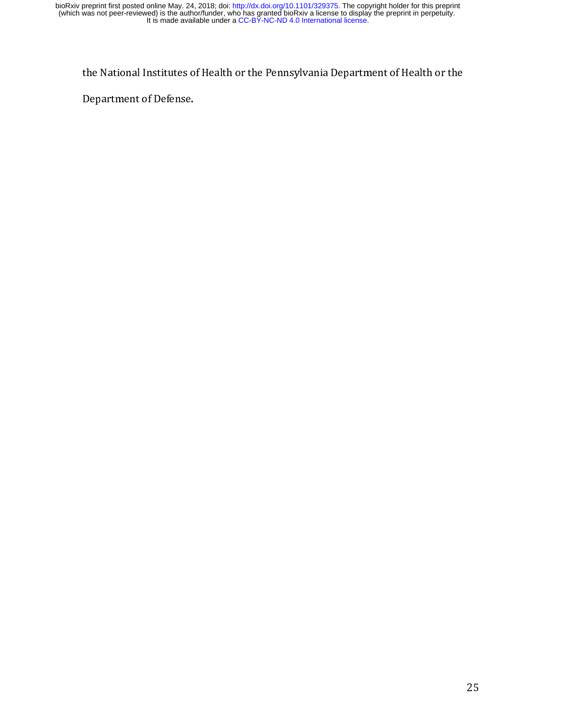Department of Defense.<br>
Institute of Health or the Pennsylvania Department of Defense.<br>
The Pennsylvania Department of Health or the Pennsylvania Department of Defense. Department of Defense.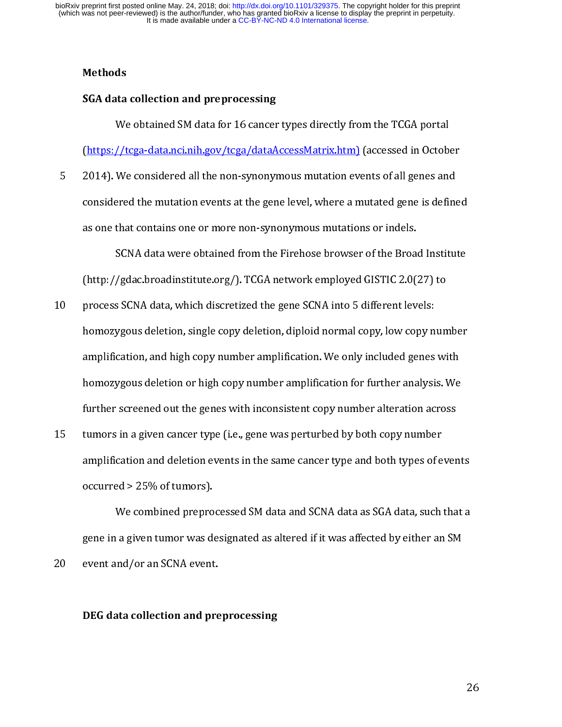#### Methods

#### SGA data collection and preprocessing

(https://tcga-data.nci.nih.gov/tcga/dataAccessMatrix.htm) (accessed in October<br>2014). We considered all the non-synonymous mutation events of all genes and<br>considered the mutation events at the gene level, where a mutated (a) the considered all the non-synonymous mutation events of all genes and<br>considered the mutation events at the gene level, where a mutated gene is definee<br>as one that contains one or more non-synonymous mutations or inde

- solutions of the mutation events at the gene level, where a mutated gene is define<br>as one that contains one or more non-synonymous mutations or indels.<br>SCNA data were obtained from the Firehose browser of the Broad Institu considered the mutated terms at the gene level, where considered the Broad Institute<br>as one that contains one or more non-synonymous mutations or indels.<br>SCNA data were obtained from the Firehose browser of the Broad Insti SCNA data were obtained from the Firehose browser of the Broat<br>(http://gdac.broadinstitute.org/). TCGA network employed GISTIC 2.0(<br>process SCNA data, which discretized the gene SCNA into 5 different lev<br>homozygous deletio /gdac.broadinstitute.org/). TCGA network employed GISTIC 2.0(27) to<br>s SCNA data, which discretized the gene SCNA into 5 different levels:<br>ygous deletion, single copy deletion, diploid normal copy, low copy number<br>cation, a process SCNA data, which discretized the gene SCNA into 5 different levels:<br>homozygous deletion, single copy deletion, diploid normal copy, low copy nun<br>amplification, and high copy number amplification. We only included g 10 process states and process the gene SCNA increased the generalized the generalized the amplification, and high copy number amplification. We only included genes<br>homozygous deletion or high copy number amplification for amplification, and high copy number amplification. We only included genes with<br>homozygous deletion or high copy number amplification for further analysis. We<br>further screened out the genes with inconsistent copy number alt
- and homozygous deletion or high copy number amplification for further analysis. We<br>further screened out the genes with inconsistent copy number alteration across<br>tumors in a given cancer type (i.e., gene was perturbed by b further screened out the genes with inconsistent copy number alteration across<br>tumors in a given cancer type (i.e., gene was perturbed by both copy number<br>amplification and deletion events in the same cancer type and both further screened out the genes with incomparative copy number<br>tumors in a given cancer type (i.e., gene was perturbed by both copy number<br>amplification and deletion events in the same cancer type and both types of ever<br>occ

amplification and deletion events in the same cancer type and both types of e<br>occurred > 25% of tumors).<br>We combined preprocessed SM data and SCNA data as SGA data, such<br>gene in a given tumor was designated as altered if i amplitude and deletion and and state in the same cancer type and both the same occurred > 25% of tumors).<br>We combined preprocessed SM data and SCNA data as SGA data, such that a<br>gene in a given tumor was designated as alte We combined prepro<br>gene in a given tumor was de<br>event and/or an SCNA event<br>DEG data collection and pr gene in a given tumor was designated as altered if it was affected by either an SM<br>event and/or an SCNA event.<br>DEG data collection and preprocessing<br>2 gene in a go in tumor was designated as alternation of its interesting event and/or an SCNA event.<br>DEG data collection and preprocessing

# 20 event and/or and scaled and present and present and present and present. DEG data collection and preprocessing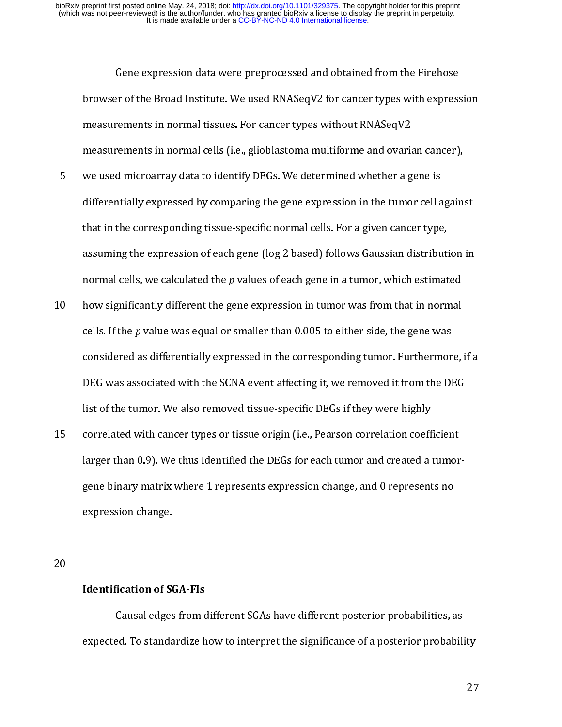- browser of the Broad Institute. We used RNASeqV2 for cancer types with express<br>measurements in normal tissues. For cancer types without RNASeqV2<br>measurements in normal cells (i.e., glioblastoma multiforme and ovarian cance measurements in normal tissues. For cancer types without RNASeqV2<br>measurements in normal cells (i.e., glioblastoma multiforme and ovarian cancer),<br>we used microarray data to identify DEGs. We determined whether a gene is<br>d measurements in normal cells (i.e., glioblastoma multiforme and ovariand we used microarray data to identify DEGs. We determined whether a g<br>differentially expressed by comparing the gene expression in the tumo<br>that in the we used microarray data to identify DEGs. We determined whether a gene is<br>differentially expressed by comparing the gene expression in the tumor cell again:<br>that in the corresponding tissue-specific normal cells. For a gi differentially expressed by comparing the gene expression in the tumor cell a<br>that in the corresponding tissue-specific normal cells. For a given cancer type<br>assuming the expression of each gene (log 2 based) follows Gauss
- that in the corresponding tissue-specific normal cells. For a given cancer type,<br>assuming the expression of each gene (log 2 based) follows Gaussian distribution in<br>normal cells, we calculated the p values of each gene in assuming the expression of each gene (log 2 based) follows Gaussian distributi<br>normal cells, we calculated the  $p$  values of each gene in a tumor, which estimat<br>how significantly different the gene expression in tumor was normal cells, we calculated the *p* values of each gene in a tumor, which estimated<br>how significantly different the gene expression in tumor was from that in normal<br>cells. If the *p* value was equal or smaller than 0.005 normal cells, we calculated the p values of each gene in a tumor, which estimated<br>how significantly different the gene expression in tumor was from that in normal<br>cells. If the p value was equal or smaller than 0.005 to e 11 how significantly differentially expressed in the corresponding tumor. Furthermore,<br>considered as differentially expressed in the corresponding tumor. Furthermore,<br>DEG was associated with the SCNA event affecting it, we
- cens. It the p value was equal or sinaller than 0.005 to either side, the gene was<br>considered as differentially expressed in the corresponding tumor. Furthermor<br>DEG was associated with the SCNA event affecting it, we remov DEG was associated with the SCNA event affecting it, we removed it from the DEG<br>list of the tumor. We also removed tissue-specific DEGs if they were highly<br>correlated with cancer types or tissue origin (i.e., Pearson corre DEG was also had well as the SCNA event affection with the SCNA event affection of the tumor. We also removed tissue-specific DEGs if they were highly correlated with cancer types or tissue origin (i.e., Pearson correlatio list of the tumore and tumore they also replace they were highly<br>correlated with cancer types or tissue origin (i.e., Pearson correlation coeff<br>larger than 0.9). We thus identified the DEGs for each tumor and created a<br>gen 15 correlation (i.e., 15 correlation of SGA correlation change, and the presents no<br>15 correlation change.<br>16 correlation change.<br>20<br>**Identification of SGA-FIs**<br>20<br>**Causal edges from different SGAs have different nosterior**

#### Identification of SGA-FIs

expected. To standardize how to interpret the significance of a posterior probability expression change.<br>Expression change.<br>Identification of SGA-FIs<br>Causal edges from different SGAs have different posterior probabilities, a<br>expected. To standardize how to interpret the significance of a posterior probab Identification of St.<br>Causal edges<br>expected. To standa  $\frac{1}{2}$  $\Gamma$ <br>ed. To standardize how to interpret the significance of a posterior probabilities, as expected. To standardize the significance of a posterior probability<br>27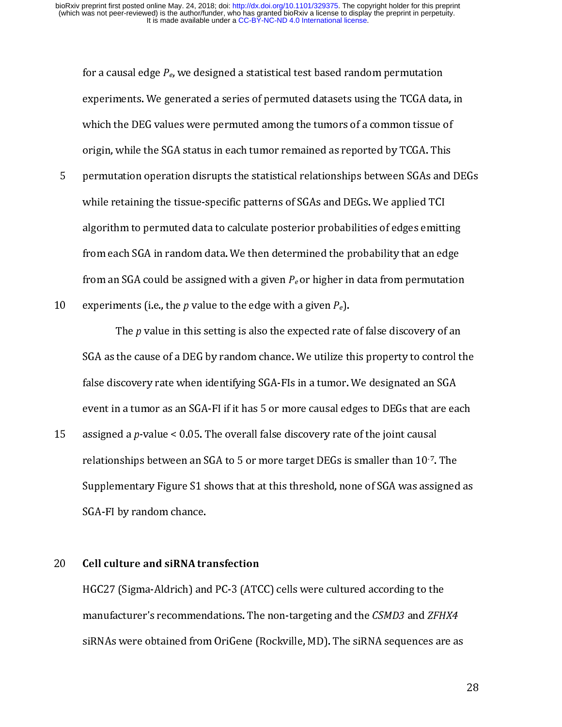- for a causal edge P<sub>e</sub>, we designed a statistical test based random permutation<br>experiments. We generated a series of permuted datasets using the TCGA data<br>which the DEG values were permuted among the tumors of a common ti experience of a common tissue of<br>origin, while the SGA status in each tumor remained as reported by TCGA. This<br>permutation operation disrupts the statistical relationships between SGAs and DE<br>while retaining the tissue-spe origin, while the SGA status in each tumor remained as reported by TCGA. This<br>permutation operation disrupts the statistical relationships between SGAs and l<br>while retaining the tissue-specific patterns of SGAs and DEGs. permutation operation disrupts the statistical relationships between SGAs and<br>while retaining the tissue-specific patterns of SGAs and DEGs. We applied TCI<br>algorithm to permuted data to calculate posterior probabilities o Figure 1.1 The retaining the tissue-specific patterns of SGAs and DEGs. We applied TCI<br>algorithm to permuted data to calculate posterior probabilities of edges emitting<br>from each SGA in random data. We then determined the algorithm to permuted data to calculate posterior probabilities of edges emittifrom each SGA in random data. We then determined the probability that an ed<br>from an SGA could be assigned with a given  $P_e$  or higher in data
- 

algorithm to permutation<br>from each SGA in random data. We then determined the probability that an edge<br>from an SGA could be assigned with a given  $P_e$  or higher in data from permutation<br>experiments (i.e., the p value to t from an SGA could be assigned with a given  $P_e$  or higher in data from permutation<br>experiments (i.e., the *p* value to the edge with a given  $P_e$ ).<br>The *p* value in this setting is also the expected rate of false discover from an SGA could be assigned with a given  $P_e$  or ingher in data from permutation<br>experiments (i.e., the  $p$  value to the edge with a given  $P_e$ ).<br>SGA as the cause of a DEG by random chance. We utilize this property to c The *p* value in this setting is also the expected rate<br>
10 SGA as the cause of a DEG by random chance. We utilize the<br>
12 false discovery rate when identifying SGA-FIs in a tumor.<br>
15 event in a tumor as an SGA-FI if it h The p value in this setting is also the expected rate of false discovery of an<br>SGA as the cause of a DEG by random chance. We utilize this property to control t<br>false discovery rate when identifying SGA-FIs in a tumor. We false discovery rate when identifying SGA-Fls in a tumor. We designated an SGA event in a tumor as an SGA-Fl if it has 5 or more causal edges to DEGs that are each assigned a p-value < 0.05. The overall false discovery ra false discovery rate when entanging the term is a tumor of any<br>event in a tumor as an SGA-FI if it has 5 or more causal edges to DEGs that are ea<br>assigned a p-value < 0.05. The overall false discovery rate of the joint cau event in a tumor in an external of the tumor engage of DDLs limited and<br>assigned a p-value < 0.05. The overall false discovery rate of the joint causal<br>relationships between an SGA to 5 or more target DEGs is smaller than 15 assigned a p-value < 0.05. The overall false discovery rate of the joint causal<br>relationships between an SGA to 5 or more target DEGs is smaller than 10<sup>.7</sup>.<br>Supplementary Figure S1 shows that at this threshold, none of

relationships between an SGA to 5 or more target DEGs is smaller than 10%. The<br>Supplementary Figure S1 shows that at this threshold, none of SGA was assigned<br>SGA-FI by random chance.<br>Cell culture and siRNA transfection<br>HGC SGA-FI by random chance.<br>
Cell culture and siRNA transfection<br>
HGC27 (Sigma-Aldrich) and PC-3 (ATCC) cells were cultured according to the<br>
manufacturer's recommendations. The non-targeting and the *CSMD3* and *ZFHX4*<br>
siRN Cell culture and siRNA transfer<br>HGC27 (Sigma-Aldrich) and<br>manufacturer's recommend<br>siRNAs were obtained fron  $\begin{array}{c} \n\text{1} \n\end{array}$ 20 Centrature and sixty of ansieterion<br>HGC27 (Sigma-Aldrich) and PC-3 (ATC<br>manufacturer's recommendations. The<br>siRNAs were obtained from OriGene (I Hadrich (Sigma-Aldrich) and PC-3 (SICP) calculated according of the<br>manufacturer's recommendations. The non-targeting and the *CSMD3* and *ZFH*.<br>siRNAs were obtained from OriGene (Rockville, MD). The siRNA sequences are manufacturer's recommendations. The non-targeting and the CSMD3 and ZFHX4<br>siRNAs were obtained from OriGene (Rockville, MD). The siRNA sequences are as since we reconcluded from OriGene (Rockville,  $\mathcal{L}(\mathcal{L}(\mathcal{L}(\mathcal{L}(\mathcal{L}(\mathcal{L}(\mathcal{L}(\mathcal{L}(\mathcal{L}(\mathcal{L}(\mathcal{L}(\mathcal{L}(\mathcal{L}(\mathcal{L}(\mathcal{L}(\mathcal{L}(\mathcal{L}(\mathcal{L}(\mathcal{L}(\mathcal{L}(\mathcal{L}(\mathcal{L}(\mathcal{L}(\mathcal{L}(\mathcal{L}(\mathcal{L}(\mathcal{L}(\mathcal{L}(\mathcal{L}$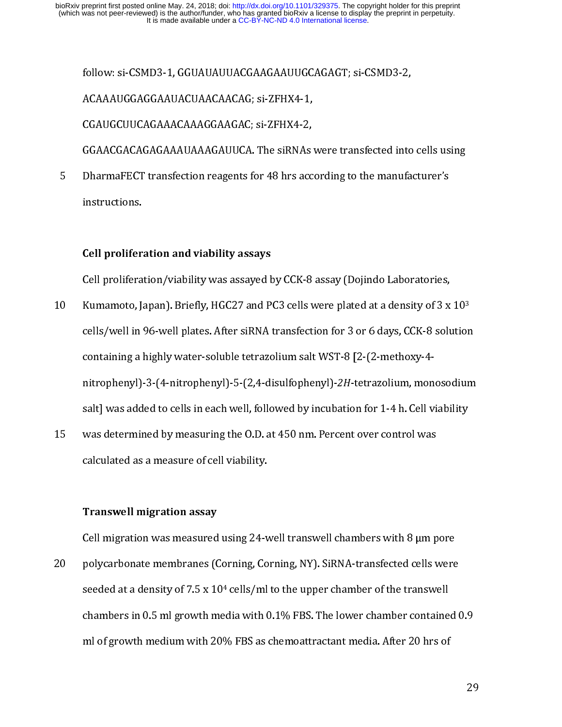ACAAAUGGAGGAAUACUAACAACAG; si-ZFHX4-1,<br>CGAUGCUUCAGAAACAAAGGAAGAC; si-ZFHX4-2,<br>GGAACGACAGAGAAAUAAAGAUUCA. The siRNAs were transfected into<br>DharmaFECT transfection reagents for 48 hrs according to the manufa<br>instructions.<br>Ce CGAUGCUUCAGAAACAAAGGAAGAC; si-ZFHX4-2,<br>GGAACGACAGAGAAAUAAAGAUUCA. The siRNAs<br>DharmaFECT transfection reagents for 48 hrs acc<br>instructions.<br>Cell proliferation and viability assays<br>Cell proliferation /viability was assayed b GGAACGACAGAGAAAUAAAGAUUCA. The siRNAs<br>DharmaFECT transfection reagents for 48 hrs acc<br>instructions.<br>Cell proliferation and viability assays<br>Cell proliferation/viability was assayed by CCK-8<br>Kumamoto, Japan). Briefly. HGC27

5

#### Cell proliferation and viability assays

- DharmaFECT transfection reagents for 48 hrs according to the manufacturer's<br>instructions.<br>Cell proliferation and viability assays<br>Cell proliferation/viability was assayed by CCK-8 assay (Dojindo Laboratories,<br>Kumamoto, Jap instructions.<br>
5<br> **Solution Cell proliferation and viability assays**<br>
Cell proliferation/viability was assayed by CCK-8 assay (Dojindo Laboratories,<br>
8<br>
Kumamoto, Japan). Briefly, HGC27 and PC3 cells were plated at a densi Instructions<br>Cell prolifer<br>Cell prolifera<br>Kumamoto, J<br>cells/well in<br>containing a l  $\begin{array}{c} \text{(1)} \\ \text{(2)} \\ \text{(3)} \\ \text{(4)} \\ \text{(5)} \\ \text{(6)} \\ \text{(7)} \\ \text{(8)} \\ \text{(9)} \\ \text{(1)} \\ \text{(1)} \\ \text{(2)} \\ \text{(3)} \\ \text{(4)} \\ \text{(5)} \\ \text{(6)} \\ \text{(7)} \\ \text{(8)} \\ \text{(9)} \\ \text{(1)} \\ \text{(1)} \\ \text{(1)} \\ \text{(2)} \\ \text{(3)} \\ \text{(4)} \\ \text{(5)} \\ \text{(6)} \\ \text{(7)} \\ \text{(8)} \\ \text{(9)} \\ \text{(1)} \\ \text{(1)} \\ \text{(1)} \\ \text{(2)} \\ \text{(3)} \\ \text{($ Cell promoton, Japan). Briefly, HGC27 and PC3 cells were plated at a density of 3 x<br>cells/well in 96-well plates. After siRNA transfection for 3 or 6 days, CCK-8 solu<br>containing a highly water-soluble tetrazolium salt WST-Kumamoto, Japan). Briefly, HGC27 and PCS cells were plated at a density of 3 x 10<sup>2</sup><br>cells/well in 96-well plates. After siRNA transfection for 3 or 6 days, CCK-8 solution<br>containing a highly water-soluble tetrazolium salt containing a highly water-soluble tetrazolium salt WST-8 [2-(2-methoxy-4-<br>nitrophenyl)-3-(4-nitrophenyl)-5-(2,4-disulfophenyl)-2H-tetrazolium, monosodium<br>salt] was added to cells in each well, followed by incubation for 1nitrophenyl)-3-(4-nitrophenyl)-5-(2,4-disulfophenyl)-2H-tetrazolium, mon<br>salt] was added to cells in each well, followed by incubation for 1-4 h. Cell v<br>was determined by measuring the 0.D. at 450 nm. Percent over control
- ntifophenyl)-3-(4-nitrophenyl)-3-(2,4-disumophenyl)-2H-tetrazolium, monosodium<br>salt] was added to cells in each well, followed by incubation for 1-4 h. Cell viability<br>was determined by measuring the 0.D. at 450 nm. Percen salt distributed to cell state with the cells in the cells in each well was determined by measuring the O.D. at 450 nm. Percent over control was<br>calculated as a measure of cell viability.<br>Transwell migration assay<br>Cell mig

#### Transwell migration assay

calculated as a measure of cell viability.<br> **15 Franswell migration assay**<br>
Cell migration was measured using 24-well transwell chambers with 8 µm p<br>
polycarbonate membranes (Corning, Corning, NY). SiRNA-transfected cells Transwell migration assay<br>Cell migration was measured using 24-v<br>polycarbonate membranes (Corning, Co<br>seeded at a density of 7.5 x 10<sup>4</sup> cells/ml<br>chambers in 0.5 ml growth media with (<br>ml of growth medium with 20% FBS as e - 7<br>|}<br>|}<br>|} Cell minimum manuscript minimum manuscript minimum constrained using polycarbonate membranes (Corning, Corning, NY). SiRNA-transfected cells were seeded at a density of 7.5 x 10<sup>4</sup> cells/ml to the upper chamber of the tra 20 polycarbonate members (Corning, Corning, NY). Sixtuate members (and NY)<br>seeded at a density of 7.5 x 10<sup>4</sup> cells/ml to the upper chamber of the transwell<br>chambers in 0.5 ml growth media with 0.1% FBS. The lower chamber seeded at a density of 7.5 x 10<sup>4</sup> cens/ml to the upper chamber of the transwell<br>chambers in 0.5 ml growth media with 0.1% FBS. The lower chamber containe<br>ml of growth medium with 20% FBS as chemoattractant media. After 20 ml of growth medium with 20% FBS as chemoattractant media. After 20 hrs of<br>29. man of growth medium with 20% FBS as chemoattractant medium with 20% FBS as chemoattractant medium  $\sim$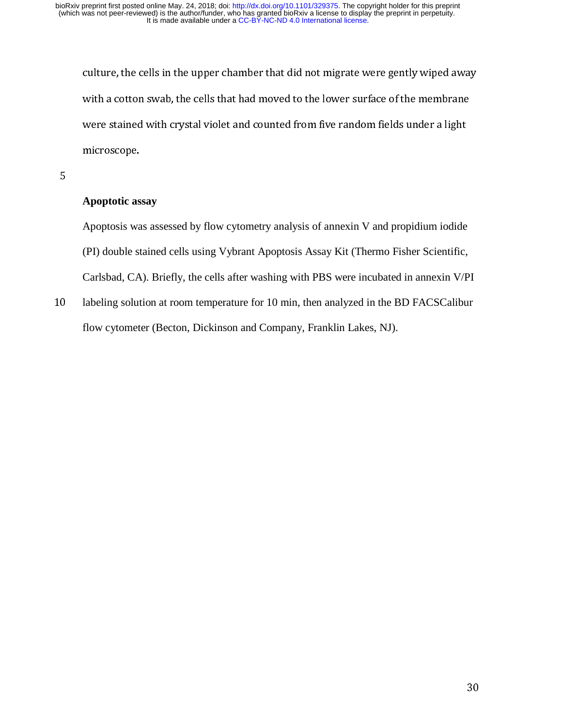with a cotton swab, the cells that had moved to the lower surface of the membrane<br>were stained with crystal violet and counted from five random fields under a light<br>microscope.<br>Apoptotic assay<br>Apoptosis was assessed by flo

5

#### **Apoptotic assay**

were stained with crystal violet and counted from five random fields under a light<br>microscope.<br>Apoptotic assay<br>Apoptosis was assessed by flow cytometry analysis of annexin V and propidium iodide<br>(PI) double stained cells u Apoptotic assay<br>Apoptosis was assessed by flow cytometry analysis of annexin V and propidium iodide<br>(PI) double stained cells using Vybrant Apoptosis Assay Kit (Thermo Fisher Scientific,<br>Carlsbad, CA). Briefly, the cells a Apoptotic as<br>Apoptosis wa<br>(PI) double st<br>Carlsbad, CA<br>labeling solut<br>flow cytomet Apoptosis was assessed by flow cytometry analysis of annexin V and propidium iodide (PI) double stained cells using Vybrant Apoptosis Assay Kit (Thermo Fisher Scientific, Carlsbad, CA). Briefly, the cells after washing with PBS were incubated in annexin V/PI

 $\overline{0}$ 10 labeling solution at room temperature for 10 min, then analyzed in the BD FACSCalibur<br>flow cytometer (Becton, Dickinson and Company, Franklin Lakes, NJ). flow cytometer (Becton, Dickinson and Company, Franklin Lakes, NJ).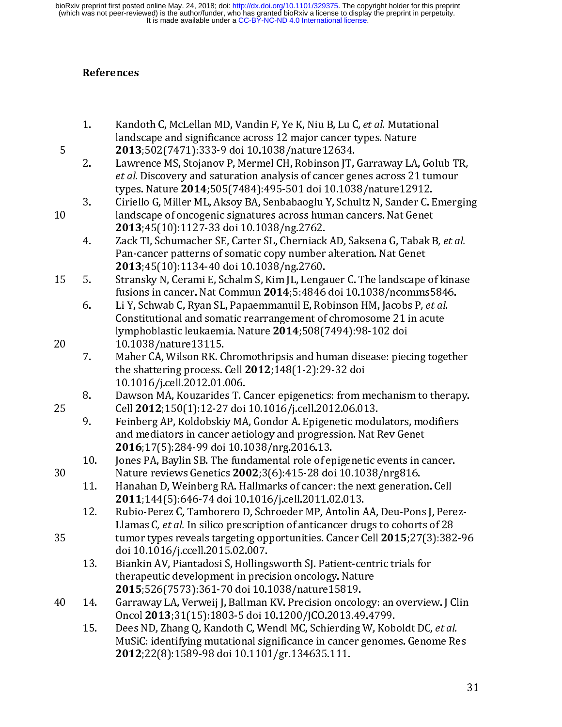#### References

- 
- $\frac{1}{2}$   $\frac{1}{2}$   $\frac{1}{2}$   $\frac{1}{2}$   $\frac{1}{2}$   $\frac{1}{2}$   $\frac{1}{2}$   $\frac{1}{2}$   $\frac{1}{2}$   $\frac{1}{2}$   $\frac{1}{2}$   $\frac{1}{2}$   $\frac{1}{2}$   $\frac{1}{2}$   $\frac{1}{2}$   $\frac{1}{2}$   $\frac{1}{2}$   $\frac{1}{2}$   $\frac{1}{2}$   $\frac{1}{2}$   $\frac{1}{2}$   $\frac{1}{2}$  1. Kandot C, McChami HD, Vandari 1, 1 C t, Niu B, Lu C, Let al. Muddonar<br>
2013;502(7471):333-9 doi 10.1038/nature12634.<br>
2. Lawrence MS, Stojanov P, Mermel CH, Robinson JT, Garraway LA, Golt<br> *et al.* Discovery and saturat **2013**;502(7471):333-9 doi 10.1038/nature12634.<br>Lawrence MS, Stojanov P, Mermel CH, Robinson JT, Garraway LA, et al. Discovery and saturation analysis of cancer genes across 21 types. Nature **2014**;505(7484):495-501 doi 1 2013;302(7471):333-9 doi 10.1030/ Jacube 12034.<br>
2. Lawrence MS, Stojanov P, Mermel CH, Robinson JT,<br> *et al.* Discovery and saturation analysis of cancer ge<br>
types. Nature 2014;505(7484):495-501 doi 10.103<br>
3. Ciriello G
	-
- -
- 
- 2. Lawrence Ms, Stojanov 1, withiner Cit, Robinson 11, Garraway Lat, entail Discovery and staturation analysis of cancer genes across 21 tumour<br>types. Nature 2014;505(7484):495-501 doi 10.1038/nature12912.<br>Ciriello G, Mil et al. Discovery and saturation analysis of cancer genes across 21 tumour<br>types. Nature 2014;505(7484):495-501 doi 10.1038/nature 12912.<br>Ciriello G, Miller ML, Aksoy BA, Senbabaoglu Y, Schultz N, Sander C. Emerg<br>andscape o types. Nature 2014;505(7404):495-501 doi 10.1038/nature12912.<br>Ciriello G, Miller ML, Aksoy BA, Senbabaoglu Y, Schultz N, Sander C. I<br>andscape of oncogenic signatures across human cancers. Nat Genet<br>2013;45(10):1127-33 doi 3. Constraining and Scape of oncogenic signatures across human cancers. Nat Genet<br>
2013;45(10):1127-33 doi 10.1038/ng.2762.<br>
4. Zack Tl, Schumacher SE, Carter SL, Cherniack AD, Saksena G, Tabak B, *et al.*<br>
Pan-cancer pat 2013;45(10):1127-33 doi 10.1038/ng.2762.<br>
4. Zack Tl, Schumacher SE, Carter SL, Cherniack AD, Saksena G, Tabak F<br>
Pan-cancer patterns of somatic copy number alteration. Nat Genet<br>
2013;45(10):1134-40 doi 10.1038/ng.2760.<br> 2013, 15(10):1127-53 doi 10.1039/ng.2762.<br>Zack Tl, Schumacher SE, Carter SL, Cherniack<br>Pan-cancer patterns of somatic copy number<br>2013;45(10):1134-40 doi 10.1038/ng.2760.<br>Stransky N, Cerami E, Schalm S, Kim JL, Lenga<br>fusio Fact Tries, Schumacher J.C., Carter J.C., Carter T. Cherniack AD, Saksena G, Tabak B, et al.<br>
Pan-cancer patterns of somatic copy number alteration. Nat Genet<br>
2013;45(10):1134-40 doi 10.1038/ng.2760.<br>
Stransky N, Cerami E **2013**;45(10):1134-40 doi 10.1038/ng.2760.<br>Stransky N, Cerami E, Schalm S, Kim JL, Lengauer C. The landscape<br>fusions in cancer. Nat Commun **2014**;5:4846 doi 10.1038/ncomms<br>Li Y, Schwab C, Ryan SL, Papaemmanuil E, Robinson 2013,45(10):1134-40 doi 10.1039/ng.2760.<br>Stransky N, Cerami E, Schalm S, Kim JL, Lenga<br>fusions in cancer. Nat Commun 2014;5:4846<br>Li Y, Schwab C, Ryan SL, Papaemmanuil E, Ro<br>Constitutional and somatic rearrangement of<br>lymph 15 5. Stransky N, Cerami E, Schalm S, Kim JL, Lengauer C. The landscape of kinase rasions in cancer. Nat Commun 2014;5:4846 doi 10.1030/ncomms5040.<br>Li Y, Schwab C, Ryan SL, Papaemmanuil E, Robinson HM, Jacobs P, *et al.*<br>Constitutional and somatic rearrangement of chromosome 21 in acute<br>10.1038/nature 1

- 
- 
- 6. Li Y, Schwab C, Nyair B.F. apachmanuil E, Nomison HM, Jacobs 1, et al.<br>
Constitutional and somatic rearrangement of chromosome 21 in acute<br>
10.1038/nature 13115.<br>
7. Maher CA, Wilson RK. Chromothripsis and human disease lymphoblastic leukaemia. Nature 2014;508(7494):98-102 doi<br>10.1038/nature13115.<br>Maher CA, Wilson RK. Chromothripsis and human disease: piecing toge<br>the shattering process. Cell 2012;148(1-2):29-32 doi<br>10.1016/j.cell.2012.01 lymphoblastic leukaemia. Nature 2014,500(7494):50-102 doi<br>10.1038/nature13115.<br>Maher CA, Wilson RK. Chromothripsis and human disease: piec<br>the shattering process. Cell 2012;148(1-2):29-32 doi<br>10.1016/j.cell.2012.01.006.<br>Da 7. Maher CA, Wilson RK. C<br>the shattering process.<br>10.1016/j.cell.2012.01.<br>8. Dawson MA, Kouzaride:<br>Cell 2012;150(1):12-27<br>9. Feinberg AP, Koldobski<br>and mediators in cance:<br>2016;17(5):284-99 doi<br>10. Jones PA, Baylin SB. Th the shattering process. Cell 2012;148(1-2):29-32 doi<br>
10.1016/j.cell.2012.01.006.<br>
8. Dawson MA, Kouzarides T. Cancer epigenetics: from mechanism to therapy.<br>
Cell 2012;150(1):12-27 doi 10.1016/j.cell.2012.06.013.<br>
9. Fei
	-
	- -
- the shattering process. Cen 2012, 1+0(1-2):29-52 dof<br>10.1016/j.cell.2012.01.006.<br>Dawson MA, Kouzarides T. Cancer epigenetics: from n<br>Cell 2012;150(1):12-27 doi 10.1016/j.cell.2012.06.01<br>Feinberg AP, Koldobskiy MA, Gondor Dawson MA, Kouzarides T. C<br>Cell 2012;150(1):12-27 doi<br>Feinberg AP, Koldobskiy MA<br>and mediators in cancer aeti<br>2016;17(5):284-99 doi 10.1<br>Jones PA, Baylin SB. The fun<br>Nature reviews Genetics 200<br>Hanahan D, Weinberg RA. H.<br>2 Cell 2012;150(1):12-27 doi 10.1016/j.cell.2012.06.013.<br>
9. Feinberg AP, Koldobskiy MA, Gondor A. Epigenetic modulators, modifiers<br>
and mediators in cancer aetiology and progression. Nat Rev Genet<br>
2016;17(5):284-99 doi 10 25 Cen 2012;150(1):12-27 doi 10.1016/j.cell.2012.00.013.<br>
2016;1716(1):12-27 doi 10.1016/j.cell.2012.00.013.<br>
2016;17(5):284-99 doi 10.1038/nrg.2016.13.<br>
10. Jones PA, Baylin BB. The fundamental role of epigenetic modus<br>
2 and mediators in cancer aetiology and progression. Nat Rev Genet<br> **2016**;17(5):284-99 doi 10.1038/nrg.2016.13.<br>
10. Jones PA, Baylin SB. The fundamental role of epigenetic events in cancer.<br>
Nature reviews Genetics **2002 2016**;17(5):284-99 doi 10.1038/nrg.2016.13.<br>Jones PA, Baylin SB. The fundamental role of epigenetic events in c<br>Nature reviews Genetics **2002**;3(6):415-28 doi 10.1038/nrg816.<br>Hanahan D, Weinberg RA. Hallmarks of cancer: 2010,17(5):264-99 doi 10.1030/mg.2010.13.<br>Jones PA, Baylin SB. The fundamental role of ep<br>Nature reviews Genetics 2002;3(6):415-28 do<br>Hanahan D, Weinberg RA. Hallmarks of cancer:<br>2011;144(5):646-74 doi 10.1016/j.cell.2011. Nature reviews Genetics 2002;3(6):415-28 doi 10.1038/nrg816.<br>
11. Hanahan D, Weinberg RA. Hallmarks of cancer: the next generation. Cell<br>
2011;144(5):646-74 doi 10.1016/j.cell.2011.02.013.<br>
12. Rubio-Perez C, Tamborero D, 30 Nature Teviews Genetics 2002;1,113-25-20 doi 10.1016/i.eell.2011.02.013.<br>
11. Hanahan D, Weinberg RA. Hallmarks of cancer: the next generatio<br>
2011;144(5):646-74 doi 10.1016/j.cell.2011.02.013.<br>
12. Rubio-Perez C, Tambo **2011;**144(5):646-74 doi 10.1016/j.cell.2011.02.013.<br>
12. Rubio-Perez C, Tamborero D, Schroeder MP, Antolin AA, Deu-Pons J, Perez Llamas C, et al. In silico prescription of anticancer drugs to cohorts of 28 tumor types re 2011;144(5):040-74 doi 10.10107);cen.2011.02.015.<br>Rubio-Perez C, Tamborero D, Schroeder MP, Antolin *f*<br>Llamas C, *et al.* In silico prescription of anticancer dru<br>tumor types reveals targeting opportunities. Cancer C<br>doi
	-
- 
- Lamas C, et al. In sinco prescription of anticancer drugs to conorts of 20<br>tumor types reveals targeting opportunities. Cancer Cell 2015;27(3):382<br>doi 10.1016/j.ccell.2015.02.007.<br>Biankin AV, Piantadosi S, Hollingsworth S 353 tumor types reveals targeting opportunities. cancer Cell 2015;27(3):302-96<br>doi 10.1016/j.ccell.2015.02.007.<br>13. Biankin AV, Piantadosi S, Hollingsworth SJ. Patient-centric trials for<br>therapeutic development in precisi Biankin AV, Piantadosi S, Holling<br>therapeutic development in prec<br>**2015**;526(7573):361-70 doi 10.1<br>Garraway LA, Verweij J, Ballman<br>Oncol **2013**;31(15):1803-5 doi 1<br>Dees ND, Zhang Q, Kandoth C, We<br>MuSiC: identifying mutatio therapeutic development in precision oncology. Nature<br>
2015;526(7573):361-70 doi 10.1038/nature 15819.<br>
Garraway LA, Verweij J, Ballman KV. Precision oncology: an overviev<br>
Oncol 2013;31(15):1803-5 doi 10.1200/JCO.2013.49. **2015**;526(7573):361-70 doi 10.1038/nature15819.<br>Garraway LA, Verweij J, Ballman KV. Precision oncology<br>Oncol **2013**;31(15):1803-5 doi 10.1200/JCO.2013.49.4?<br>Dees ND, Zhang Q, Kandoth C, Wendl MC, Schierding W,<br>MuSiC: ide 2013,326(7373):361-70 doi 10.10350/hatde15817.<br>Garraway LA, Verweij J, Ballman KV. Precision oncolo<br>Oncol 2013;31(15):1803-5 doi 10.1200/JCO.2013.49<br>Dees ND, Zhang Q, Kandoth C, Wendl MC, Schierding<br>MuSiC: identifying muta 9 15. Dees ND, Zhang Q, Kandoth C, Wendl MC, Schierding W, Koboldt DC, *et al.*<br>MuSiC: identifying mutational significance in cancer genomes. Genome Res<br>**2012**;22(8):1589-98 doi 10.1101/gr.134635.111. Oncor 2013;31(15):1803-5 doi 10.12007JCO.2013.49.4799.<br>Dees ND, Zhang Q, Kandoth C, Wendl MC, Schierding W, Kob<br>MuSiC: identifying mutational significance in cancer genome<br>2012;22(8):1589-98 doi 10.1101/gr.134635.111. 15. Dees ND, Zhang Q, Kandoth C, Wendl Mc, Schlerung W, Koboldt DC, et al.<br>MuSiC: identifying mutational significance in cancer genomes. Genome Re<br>**2012**;22(8):1589-98 doi 10.1101/gr.134635.111. 2012;22(8):1589-98 doi 10.1101/gr.134635.111. 2012;22(8):1589-98 doi 10.1101/gr.134635.111.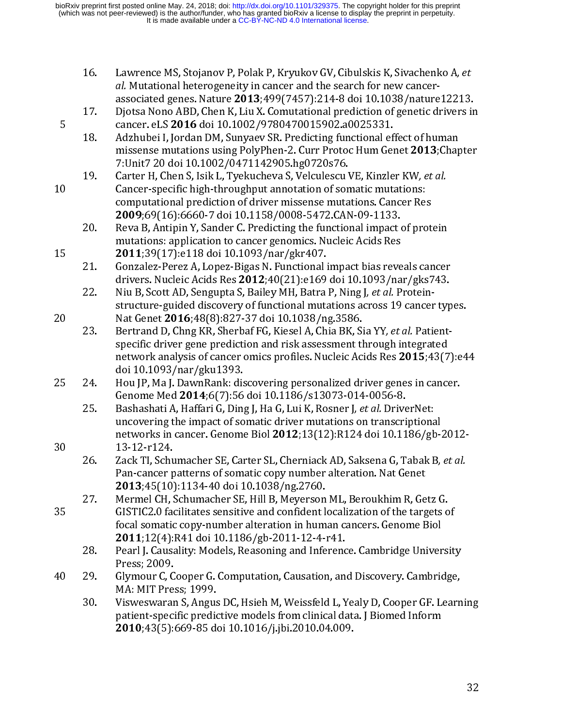- 
- -
- 16. Lawrence Ms, Stojanov 11, Folak P, Kryukov GV, Ebuassis K, Sivachenko A, et<br>
d. Mutational heterogeneity in cancer and the search for new cancer-<br>
associated genes. Nature 2013;499(7457):214-8 doi 10.1038/nature 12213 associated genes. Nature 2013;499(7457):214-8 doi 10.1038/nature<br>Djotsa Nono ABD, Chen K, Liu X. Comutational prediction of genetic d<br>cancer. eLS 2016 doi 10.1002/9780470015902.a0025331.<br>Adzhubei I, Jordan DM, Sunyaev SR. associated genes. Nature 2013, T+7-7, Harmond prediction of genetic drivers in Djotsa Nono ABD, Chen K, Liu X. Comutational prediction of genetic drivers in cancer. eLS 2016 doi 10.1002/9780470015902.a0025331.<br>Adzhubei I, 21. Gonzalez-Perez A, Lopez-Bigas N. Functional impact bias reveals cancer<br>
2016. Adzhubei I, Jordan DM, Sunyaev SR. Predicting functional effect of human<br>
missense mutations using PolyPhen-2. Curr Protoc Hum Genet 2013; C 28 cancer. eLS 2010 dof 10.1002/97700119902. Curre Protoco Hum Gemissense mutations using PolyPhen-2. Curr Protoc Hum Ger<br>7:Unit7 20 doi 10.1002/0471142905.hg0720s76.<br>19. Carter H, Chen S, Isik L, Tyekucheva S, Velculescu missense mutations using PolyPhen-2. Curr Protoc Hum Genet 2013;Chap<br>
7:Unit7 20 doi 10.1002/0471142905.hg0720s76.<br>
19. Carter H, Chen S, Isik L, Tyekucheva S, Velculescu VE, Kinzler KW, *et al.*<br>
Cancer-specific high-thro missense mutations using Polyvime-Palman (2012)<br>T.Unit7 20 doi 10.1002/0471142905.hg0720576.<br>Carter H, Chen S, Isik L, Tyekucheva S, Velculescu VE, Kinzler KW, *et al.*<br>Cancer-specific high-throughput annotation of somatic Carter H, Chen S, Isik L, Tyekucheva S, Velculescu V<br>Cancer-specific high-throughput annotation of son<br>computational prediction of driver missense muta<br>2009;69(16):6660-7 doi 10.1158/0008-5472.CAN<br>Reva B, Antipin Y, Sander 19. Carter H, Chern 3, Isik L, Tyekucheva S, Vecluescu VE, Kinzler Kw, et al.<br>
Cancer-specific high-throughput annotation of somatic mutations:<br>
computational prediction of driver missense mutations. Cancer Res<br>
2009:69(1
	-
	-
	-
- 11 Computational prediction of driver missense mutations. Cancer Resection 2009;69(16):6660-7 doi 10.1158/0008-5472.CAN-09-1133.<br>
20. Reva B, Antipin Y, Sander C. Predicting the functional impact of promutations: applicati 2009;69(16):6660-7 doi 10.1158/0008-5472.CAN-09-1133.<br>Reva B, Antipin Y, Sander C. Predicting the functional impact of prot<br>mutations: application to cancer genomics. Nucleic Acids Res<br>2011;39(17):e118 doi 10.1093/nar/gkr 2009;69(10):0669-7 dof 10.1158/0008-9472.CAN-09-1133.<br>Reva B, Antipin Y, Sander C. Predicting the functional impact omutations: application to cancer genomics. Nucleic Acids Res<br>2011;39(17):e118 doi 10.1093/nar/gkr407.<br>Gon mutations: application to cancer genomics. Nucleic Acids Res<br>
2011;39(17):e118 doi 10.1093/nar/gkr407.<br>
21. Gonzalez-Perez A, Lopez-Bigas N. Functional impact bias reveals cancer<br>
drivers. Nucleic Acids Res 2012;40(21):e1 **2011**;39(17):e118 doi 10.1093/nar/gkr407.<br>
Gonzalez-Perez A, Lopez-Bigas N. Functional impact bias reve<br>
drivers. Nucleic Acids Res 2012;40(21):e169 doi 10.1093/na<br>
Niu B, Scott AD, Sengupta S, Bailey MH, Batra P, Ning J 2011;39(17):e118 doi 10.1093/nar/gki1407.<br>
21. Gonzalez-Perez A, Lopez-Bigas N. Functional i<br>
drivers. Nucleic Acids Res 2012;40(21):e169<br>
22. Niu B, Scott AD, Sengupta S, Bailey MH, Batra<br>
structure-guided discovery of fu 22. divers. Nucleic Acids Res 2012;40(21):e169 doi 10.1093/nar/gks743.<br>
22. Niu B, Scott AD, Sengupta S, Bailey MH, Batra P, Ning J, *et al.* Protein-<br>
structure-guided discovery of functional mutations across 19 cancer ty drivers. Nucleic Acids Res 2012;40(21):e109 dof 10.1093/nar/gks743.<br>Niu B, Scott AD, Sengupta S, Bailey MH, Batra P, Ning J, et al. Protein-<br>structure-guided discovery of functional mutations across 19 cancer typ<br>Nat Genet 22. Niu B, Scott AD, Sengupta S, Bailey MH, Batra 1, Ning J, et al. 110eem-<br>structure-guided discovery of functional mutations across 19 cancer<br>Nat Genet 2016;48(8):827-37 doi 10.1038/ng.3586.<br>Bertrand D, Chng KR, Sherbaf Nat Genet 2016;48(8):827-37 doi 10.1038/ng.3586.<br>Bertrand D, Chng KR, Sherbaf FG, Kiesel A, Chia BK, Sia YY, *et al.* Patient-<br>specific driver gene prediction and risk assessment through integrated<br>network analysis of canc 20 Nat deflet 2010;+0(0j.027-37 doi 10.1030/ng.3586.<br>
23. Bertrand D, Chng KR, Sherbaf FG, Kiesel A, Chia BK, Si<br>
5 specific driver gene prediction and risk assessment the<br>
network analysis of cancer onics profiles. Nuclei
- 
- 23. Bertrand D, cump Riv, Snetter of, Kuestri, Chia BK, Saksena through integrated<br>specific driver gene prediction and risk assessment through integrated<br>network analysis of cancer omics profiles. Nucleic Acids Res 2015;4 network analysis of cancer omics profiles. Nucleic Acids Res 2015;43(7<br>doi 10.1093/nar/gku1393.<br>Hou JP, Ma J. DawnRank: discovering personalized driver genes in cance<br>Genome Med 2014;6(7):56 doi 10.1186/s13073-014-0056-8.<br> network analysis of cancer omics promes. Nucleic Acids Res 2013, +3(7): e++<br>
Hou JP, Ma J. DawnRank: discovering personalized driver genes in cancer.<br>
Genome Med 2014;6(7):56 doi 10.1186/s13073-014-0056-8.<br>
Bashashati A, H
	-
- Hou JP, Ma J. DawnRank: dis<br>Genome Med 2014;6(7):56<br>Bashashati A, Haffari G, Ding<br>uncovering the impact of so<br>networks in cancer. Genome<br>13-12-r124.<br>Zack TI, Schumacher SE, Car<br>Pan-cancer patterns of som.<br>2013;45(10):1134 25. Comme Med 2014;6(7):56 doi 10.1186/s13073-014-0056-8.<br>
25. Bashashati A, Haffari G, Ding J, Ha G, Lui K, Rosner J, et al. Driver Net:<br>
uncovering the impact of somatic driver mutations on transcriptional<br>
networks in c denome med 2014;0(7):56 doi 10.1100/815073-014-0050-6.<br>Bashashati A, Haffari G, Ding J, Ha G, Lui K, Rosner J, *et al.* Drive<br>uncovering the impact of somatic driver mutations on transcri-<br>networks in cancer. Genome Biol 2 25. Bashashata A, Haffari G, Ding J, Ha G, Lui K, Rosner J, et al. DriverRet.<br>
uncovering the impact of somatic driver mutations on transcriptiona<br>
networks in cancer. Genome Biol 2012;13(12):R124 doi 10.1186/gb<br>
13-12-r12 networks in cancer. Genome Biol 2012;13(12):R124 doi 10.1186/gb-:<br>13-12-r124.<br>Zack TI, Schumacher SE, Carter SL, Cherniack AD, Saksena G, Tabak B,<br>Pan-cancer patterns of somatic copy number alteration. Nat Genet<br>2013;45(10 networks in cancer. Genome Biol 2012, 15(12):R124 doi 10.1160/gb-2012-<br>13-12-r124.<br>Zack Tl, Schumacher SE, Carter SL, Cherniack AD, Saksena G, Tabak B, *et al.*<br>Pan-cancer patterns of somatic copy number alteration. Nat Ge 26. Zack TI, Schu<br>
Pan-cancer p<br>
2013;45(10)<br>
27. Mermel CH, 9<br>
61STIC2.0 fac<br>
focal somatic<br>
2011;12(4):<br>
28. Pearl J. Causa<br>
Press; 2009<br>
40 29. Glymour C, C<br>
MA: MIT Pre<br>
30. Visweswarai<br>
patient-spec<br>
2010:43(5): 26. Zack Tr, Schumacher 31, carter 31, carter 12, carter atteration. Nat Genet<br>
26. Zack T., Schumacher St, Schumacher alteration. Nat Genet<br>
2013;45(10):1134-40 doi 10.1038/ng.2760.<br>
27. Mermel CH, Schumacher SE, Hill B, **2013**;45(10):1134-40 doi 10.1038/ng.2760.<br>Mermel CH, Schumacher SE, Hill B, Meyerson ML, Beroukhim R, Ge<br>GISTIC2.0 facilitates sensitive and confident localization of the targ<br>focal somatic copy-number alteration in huma 2013,45(10):1134-40 doi 10.10307/ng.2760.<br>Mermel CH, Schumacher SE, Hill B, Meyerson<br>GISTIC2.0 facilitates sensitive and confident l<br>focal somatic copy-number alteration in hum<br>**2011**;12(4):R41 doi 10.1186/gb-2011-12-4-1<br>P GISTIC2.0 facilitates sensitive and confident localization of the targets of ocal somatic copy-number alteration in human cancers. Genome Biol **2011**;12(4):R41 doi 10.1186/gb-2011-12-4-r41.<br>
28. Pearl J. Causality: Models,
	-
- 
- 35 Focal somatic copy-number alteration in human cancers. Genome Biol<br>
2011;12(4):R41 doi 10.1186/gb-2011-12-4-r41.<br>
28. Pearl J. Causality: Models, Reasoning and Inference. Cambridge Universit<br>
Press; 2009.<br>
40 29. Glymou 2011;12(4):R41 doi 10.1186/gb-2011-12-4-r41.<br>Pearl J. Causality: Models, Reasoning and Inference. Cambridge Univer<br>Press; 2009.<br>Glymour C, Cooper G. Computation, Causation, and Discovery. Cambric<br>MA: MIT Press; 1999.<br>Viswe 2011, 12(4): N+1 doi 10.1100/gb-2011-12-4-141.<br>Pearl J. Causality: Models, Reasoning and Inferenc<br>Press; 2009.<br>Glymour C, Cooper G. Computation, Causation, an<br>MA: MIT Press; 1999.<br>Visweswaran S, Angus DC, Hsieh M, Weissfel Press; 2009.<br>
29. Glymour C, Cooper G. Computation, Causation, and Discovery. Cambridge,<br>
MA: MIT Press; 1999.<br>
201. Visweswaran S, Angus DC, Hsieh M, Weissfeld L, Yealy D, Cooper GF. Learn<br>
2010;43(5):669-85 doi 10.1016/j **Clymour C, C**<br>MA: MIT Pres<br>Visweswarar<br>patient-speci<br>**2010**;43(5): MA: MIT Press, 1999.<br>
30. Visweswaran S, Angus DC, Hsieh M, Weissfeld L, Yealy D, Cooper GF. Learn<br>
patient-specific predictive models from clinical data. J Biomed Inform<br>
2010;43(5):669-85 doi 10.1016/j.jbi.2010.04.009. Visweswaran S, Angus<br>Visweswaran S, Angus<br>patient-specific predic<br>2010;43(5):669-85 de patient-specific predictive models from clinical data. J Biomed Inform<br>
2010;43(5):669-85 doi 10.1016/j.jbi.2010.04.009.<br>
32 2010;43(5):669-85 doi 10.1016/j.jbi.2010.04.009.<br> $\frac{1}{2}$ 2010;43(5):669-85 doi 10.1016/j.jbi.2010.04.009.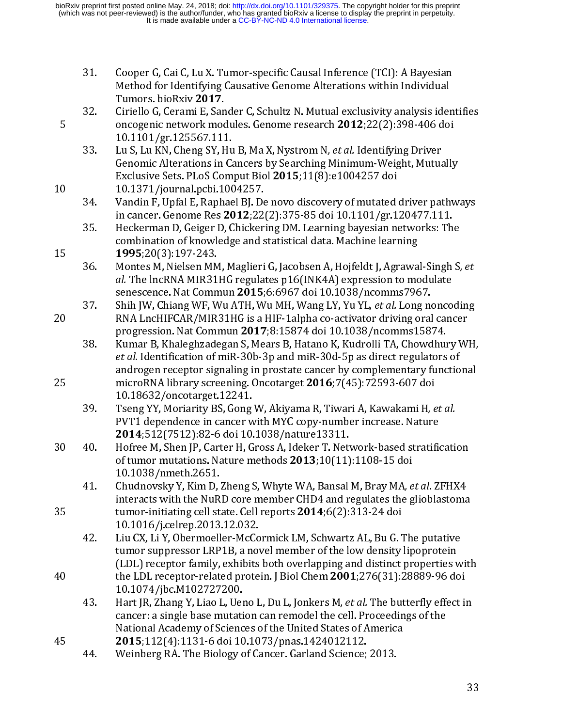|    | 31. | Cooper G, Cai C, Lu X. Tumor-specific Causal Inference (TCI): A Bayesian<br>Method for Identifying Causative Genome Alterations within Individual<br>Tumors bioRxiv 2017.                                                                |
|----|-----|------------------------------------------------------------------------------------------------------------------------------------------------------------------------------------------------------------------------------------------|
| 5  | 32. | Ciriello G, Cerami E, Sander C, Schultz N. Mutual exclusivity analysis identifies<br>oncogenic network modules. Genome research 2012;22(2):398-406 doi<br>10.1101/gr.125567.111.                                                         |
|    | 33. | Lu S, Lu KN, Cheng SY, Hu B, Ma X, Nystrom N, et al. Identifying Driver<br>Genomic Alterations in Cancers by Searching Minimum-Weight, Mutually<br>Exclusive Sets. PLoS Comput Biol 2015;11(8):e1004257 doi                              |
| 10 | 34. | 10.1371/journal.pcbi.1004257.<br>Vandin F, Upfal E, Raphael BJ. De novo discovery of mutated driver pathways<br>in cancer. Genome Res 2012;22(2):375-85 doi 10.1101/gr.120477.111.                                                       |
| 15 | 35. | Heckerman D, Geiger D, Chickering DM. Learning bayesian networks: The<br>combination of knowledge and statistical data. Machine learning                                                                                                 |
|    | 36. | 1995;20(3):197-243.<br>Montes M, Nielsen MM, Maglieri G, Jacobsen A, Hojfeldt J, Agrawal-Singh S, et<br>al. The lncRNA MIR31HG regulates p16(INK4A) expression to modulate<br>senescence. Nat Commun 2015;6:6967 doi 10.1038/ncomms7967. |
| 20 | 37. | Shih JW, Chiang WF, Wu ATH, Wu MH, Wang LY, Yu YL, et al. Long noncoding<br>RNA LncHIFCAR/MIR31HG is a HIF-1alpha co-activator driving oral cancer<br>progression. Nat Commun 2017;8:15874 doi 10.1038/ncomms15874.                      |
|    | 38  | Kumar B, Khaleghzadegan S, Mears B, Hatano K, Kudrolli TA, Chowdhury WH,<br>et al. Identification of miR-30b-3p and miR-30d-5p as direct regulators of<br>androgen receptor signaling in prostate cancer by complementary functional     |
| 25 |     | microRNA library screening. Oncotarget 2016;7(45):72593-607 doi<br>10.18632/oncotarget.12241.                                                                                                                                            |
|    | 39. | Tseng YY, Moriarity BS, Gong W, Akiyama R, Tiwari A, Kawakami H, et al.<br>PVT1 dependence in cancer with MYC copy-number increase. Nature<br>2014;512(7512):82-6 doi 10.1038/nature13311.                                               |
| 30 | 40. | Hofree M, Shen JP, Carter H, Gross A, Ideker T. Network-based stratification<br>of tumor mutations. Nature methods 2013;10(11):1108-15 doi<br>10.1038/nmeth.2651                                                                         |
| 35 | 41. | Chudnovsky Y, Kim D, Zheng S, Whyte WA, Bansal M, Bray MA, et al. ZFHX4<br>interacts with the NuRD core member CHD4 and regulates the glioblastoma<br>tumor-initiating cell state. Cell reports 2014;6(2):313-24 doi                     |
|    | 42. | 10.1016/j.celrep.2013.12.032.<br>Liu CX, Li Y, Obermoeller-McCormick LM, Schwartz AL, Bu G. The putative<br>tumor suppressor LRP1B, a novel member of the low density lipoprotein                                                        |
| 40 |     | (LDL) receptor family, exhibits both overlapping and distinct properties with<br>the LDL receptor-related protein. J Biol Chem 2001;276(31):28889-96 doi<br>10.1074/jbc M102727200.                                                      |
|    | 43. | Hart JR, Zhang Y, Liao L, Ueno L, Du L, Jonkers M, et al. The butterfly effect in<br>cancer: a single base mutation can remodel the cell. Proceedings of the<br>National Academy of Sciences of the United States of America             |
| 45 | 44. | 2015;112(4):1131-6 doi 10.1073/pnas.1424012112.<br>Weinberg RA. The Biology of Cancer. Garland Science; 2013.                                                                                                                            |
|    |     | 33                                                                                                                                                                                                                                       |
|    |     |                                                                                                                                                                                                                                          |
|    |     |                                                                                                                                                                                                                                          |
|    |     |                                                                                                                                                                                                                                          |
|    |     |                                                                                                                                                                                                                                          |
|    |     |                                                                                                                                                                                                                                          |

2015;112(4):1151-0 doi 10.1073/phas.1424012112.<br>44. Weinberg RA. The Biology of Cancer. Garland Science;  $\frac{4}{\sqrt{2}}$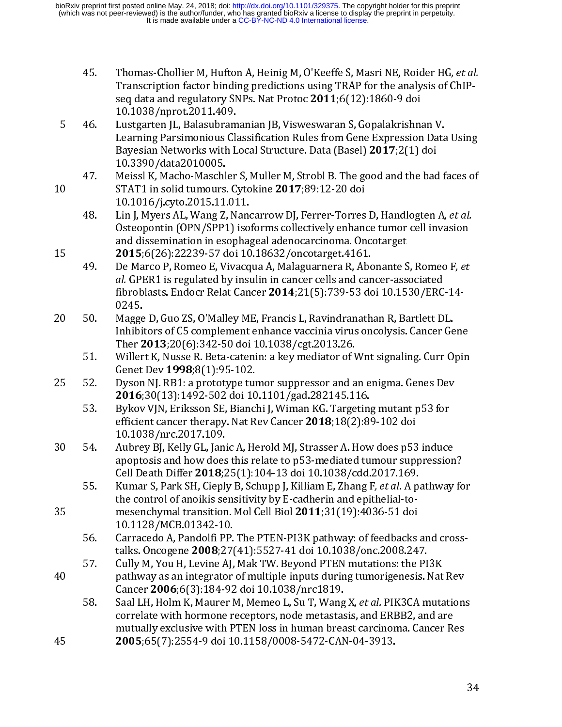| 45. | Thomas-Chollier M, Hufton A, Heinig M, O'Keeffe S, Masri NE, Roider HG, et al. |
|-----|--------------------------------------------------------------------------------|
|     | Transcription factor binding predictions using TRAP for the analysis of ChIP-  |
|     | seq data and regulatory SNPs. Nat Protoc 2011;6(12):1860-9 doi                 |
|     | 10.1038/nprot 2011.409                                                         |

- 45. Thomas-Chollier M, Hufton A, Heinig M, O'Keeffe S, Masri NE, Roider HG, *et al.*<br>
Transcription factor binding predictions using TRAP for the analysis of ChIP-<br>
seq data and regulatory SNPs. Nat Protoc 2011;6(12):1860 seq data and regulatory SNPs. Nat Protoc 2011;0(12):1860-9 dof<br>10.1038/nprot.2011.409.<br>Lustgarten JL, Balasubramanian JB, Visweswaran S, Gopalakrishna<br>Learning Parsimonious Classification Rules from Gene Expression<br>Bayesia Eustgarten JL, Balasubram<br>Learning Parsimonious Cla<br>Bayesian Networks with L<br>10.3390/data2010005.<br>Meissl K, Macho-Maschler<br>STAT1 in solid tumours. C<br>10.1016/j.cyto.2015.11.01<br>Lin J, Myers AL, Wang Z, N<br>Osteopontin (OPN/SPP 5
	- -
		-
- De Marco P, Romeo E, Vivacqua A, Malaguarnera R, Abonante S, Romeo F, et Learning Parsimonious Classification Rules from Gene Expression Data<br>
Bayesian Networks with Local Structure. Data (Basel) 2017;2(1) doi<br>
10.3390/data2010005.<br>
47. Meissl K, Macho-Maschler S, Muller M, Strobl B. The good a Bayesian Networks with Local Structure. Data (Basel) 2017;2(1) doi<br>10.3390/data2010005.<br>Meissl K, Macho-Maschler S, Muller M, Strobl B. The good and the bad faces of<br>STAT1 in solid tumours. Cytokine 2017;89:12-20 doi<br>10.10 Bayesian Networks with Local Structure. Data (basel) 2017, 2(1) doi<br>10.3390/data2010005.<br>Meissl K, Macho-Maschler S, Muller M, Strobl B. The good and the bad<br>STAT1 in solid tumours. Cytokine 2017;89:12-20 doi<br>10.1016/j.cyt Meissl K, Macho-Maschl<br>STAT1 in solid tumours<br>10.1016/j.cyto.2015.11<br>Lin J, Myers AL, Wang Z,<br>Osteopontin (OPN/SPP?<br>and dissemination in ess<br>2015;6(26):22239-57 d<br>De Marco P, Romeo E, V<br>*al*. GPER1 is regulated b<br>fibroblas STAT1 in solid tumours. Cytokine 2017;89:12-20 doi<br>
10.1016/j.cyto.2015.11.011.<br>
48. Lin J, Myers AL, Wang Z, Nancarrow DJ, Ferrer-Torres D, Handlogten A, *et al.*<br>
0steopontin (OPN/SPP1) isoforms collectively enhance tum 10.1016/j.cyto.2015.11.011.<br>
10.1016/j.cyto.2015.11.011.<br>
2017.03.12-20 doi<br>
10.1016/j.cyto.2015.11.011.<br>
48. Lin J, Myers AL, Wang Z, Nancarrow DJ, Ferrer-Torres<br>
0steopontin (OPN/SPP1) isoforms collectively enhand<br>
and d Lin J, Myers AL, Wang Z, Nano<br>
Lin J, Myers AL, Wang Z, Nano<br>
Osteopontin (OPN/SPP1) iso<br>
and dissemination in esopha;<br> **2015**;6(26):22239-57 doi 10<br>
De Marco P, Romeo E, Vivacq<br> *al*. GPER1 is regulated by insi<br>
fibroblas 48. Lin J, Myers AL, Wang Z, Nancarrow DJ, Ferrer-Torres D, Handlogten A, et al.<br>
0186epontin (OPN/SPP1) isoforms collectively enhance tumor cell invasion<br>
and dissemination in esophageal adenocarcinoma. Oncotarget<br>
2015; and dissemination in esophageal adenocarcinoma. Oncotarget<br> **2015**;6(26):22239-57 doi 10.18632/oncotarget.4161.<br>
De Marco P, Romeo E, Vivacqua A, Malaguarnera R, Abonante S, Romeo F*, et*<br> *al.* GPER1 is regulated by insul **2015**;6(26):22239-57 doi 10.18632/oncotarget.4161.<br>De Marco P, Romeo E, Vivacqua A, Malaguarnera R, Abonante S<br>*al.* GPER1 is regulated by insulin in cancer cells and cancer-ass<br>fibroblasts. Endocr Relat Cancer **2014**;21 2015;6(26):22239-57 doi 10.10032/oncotarget.4161.<br>
19 De Marco P, Romeo E, Vivacqua A, Malaguarnera R, Abc<br> *al.* GPER1 is regulated by insulin in cancer cells and can<br>
fibroblasts. Endocr Relat Cancer 2014;21(5):739-53 d 49. Be ward of , Nomeo E, Wacqua A, Manguariera R, Abonante S, Nomeo F, et<br>
d. GPER1 is regulated by insulin in cancer cells and cancer-associated<br>
fibroblasts. Endocr Relat Cancer 2014;21[5]:739-53 doi 10.1530/ERC-14-<br>
02
- fibroblasts. Endocr Relat Cancer 2014;21(5):739-53 doi 10.1530/ERC-14-0245.<br>Magge D, Guo ZS, O'Malley ME, Francis L, Ravindranathan R, Bartlett DL.<br>Inhibitors of C5 complement enhance vaccinia virus oncolysis. Cancer Gene<br>
	-
- 
- al. GFLKT is regulated by insulin in cancer cells and cancer-associated<br>fibroblasts. Endocr Relat Cancer 2014;21(5):739-53 doi 10.1530/ERC<br>0245.<br>Magge D, Guo ZS, O'Malley ME, Francis L, Ravindranathan R, Bartlett D<br>Inhibit Magge<br>Inhibi<br>Ther 2<br>Willer<br>Genet<br>Dyson<br>2016;<br>Bykov<br>efficie<br>10.10:<br>Aubre<br>apopt<br>Cell De
- 20 50. Magge D, Guo ZS, O'Malley ME, Francis L, Ravindranathan R, Bartlett DL.<br>
Inhibitors of C5 complement enhance vaccinia virus oncolysis. Cancer Ge<br>
Ther **2013**;20(6):342-50 doi 10.1038/cgt.2013.26.<br>
51. Willert K, Nu Ther 2013;20(6):342-50 doi 10.1038/cgt.2013.26.<br>
Willert K, Nusse R. Beta-catenin: a key mediator of Wnt signaling. Curr Opin<br>
Genet Dev 1998;8(1):95-102.<br>
Dyson NJ. RB1: a prototype tumor suppressor and an enigma. Genes
- Ther 2013,20(0j.542-50 dof 10.1039/cgt.2013.26.<br>Willert K, Nusse R. Beta-catenin: a key mediator of V<br>Genet Dev 1998;8(1):95-102.<br>Dyson NJ. RB1: a prototype tumor suppressor and a<br>2016;30(13):1492-502 doi 10.1101/gad.28214 52. Dyson NJ. RB1: a prototype tumor suppressor and an enigma. Genes Dev<br> **2016**;30(13):1492-502 doi 10.1101/gad.282145.116.<br>
53. Bykov VJN, Eriksson SE, Bianchi J, Wiman KG. Targeting mutant p53 for<br>
efficient cancer the denet Dev 1998;0(1):95-102.<br>Dyson NJ. RB1: a prototype turn<br>2016;30(13):1492-502 doi 10<br>Bykov VJN, Eriksson SE, Bianc!<br>efficient cancer therapy. Nat R<br>10.1038/nrc.2017.109.<br>Aubrey BJ, Kelly GL, Janic A, He<br>apoptosis and ho 2016;30(13):1492-502 doi 10.1101/gad.282145.116.<br>
2016;30(13):1492-502 doi 10.1101/gad.282145.116.<br>
53. Bykov VJN, Eriksson SE, Bianchi J, Wiman KG. Targeting mutant p53 for<br>
efficient cancer therapy. Nat Rev Cancer 2018; 2010,30(13):1492-302 doi 10.1101/gad.202143.110.<br>Bykov VJN, Eriksson SE, Bianchi J, Wiman KG. Targeting<br>efficient cancer therapy. Nat Rev Cancer 2018;18(2):8<sup>4</sup><br>10.1038/nrc.2017.109.<br>Aubrey BJ, Kelly GL, Janic A, Herold MJ efficient cancer therapy. Nat Rev Cancer 2018;18(2):89-102 doi<br>
10.1038/nrc.2017.109.<br>
Aubrey BJ, Kelly GL, Janic A, Herold MJ, Strasser A. How does p53 induce<br>
apoptosis and how does this relate to p53 -mediated tumour s emetent cancer therapy. Nat Rev Cancer 2018, 10(2):09-102 dof<br>10.1038/nrc.2017.109.<br>Aubrey BJ, Kelly GL, Janic A, Herold MJ, Strasser A. How does p53<br>apoptosis and how does this relate to p53-mediated tumour supp<br>Cell Deat Aubrey BJ, Kelly GL, Jani<br>Aubrey BJ, Kelly GL, Jani<br>apoptosis and how does<br>Cell Death Differ 2018;2<br>Kumar S, Park SH, Ciepl;<br>the control of anoikis se<br>mesenchymal transitior<br>10.1128/MCB.01342-10<br>Carracedo A, Pandolfi P<br>tal apoptosis and how does this relate to p53-mediated tumour suppression<br>Cell Death Differ **2018**;25(1):104-13 doi 10.1038/cdd.2017.169.<br>
55. Kumar S, Park SH, Cieply B, Schupp J, Killiam E, Zhang F, *et al.* A pathway<br>
the
	-
	-
- Cell Death Differ 2018;25(1):104-13 doi 10.1038/cdd.2017.169.<br>Kumar S, Park SH, Cieply B, Schupp J, Killiam E, Zhang F, *et al.* A pathway fo<br>the control of anoikis sensitivity by E-cadherin and epithelial-to-<br>mesenchymal cen Beath Differ 2010,25(1):104-13 dof 10.1030/cdd.2017.169.<br>Kumar S, Park SH, Cieply B, Schupp J, Killiam E, Zhang F, et al. A p.<br>the control of anoikis sensitivity by E-cadherin and epithelial-to-<br>mesenchymal transition. 55. Kumar S, Fark SH, Cleply D, Schupp J, Killiam E, Zhang F, et al. A pathway for<br>the control of anoikis sensitivity by E-cadherin and epithelial-to-<br>mesenchymal transition. Mol Cell Biol 2011;31[19]:4036-51 doi<br>10.1128/ 10.1128/MCB.01342-10.<br>
10.1128/MCB.01342-10.<br>
2011;31(19):4036-51 doi<br>
10.1128/MCB.01342-10.<br>
2008;27(41):5527-41 doi 10.1038/onc.2008.24<br>
57. Cully M, You H, Levine AJ, Mak TW. Beyond PTEN mutations: the<br>
pathway as an in **Carracedo A, Pandolfi PP.**<br>Carracedo A, Pandolfi PP.<br>talks. Oncogene **2008**;27<br>Cully M, You H, Levine AJ,<br>pathway as an integrator<br>Cancer **2006**;6(3):184-92<br>Saal LH, Holm K, Maurer I<br>correlate with hormone r<br>mutually excl talks. Oncogene 2000, 27(41):5527-41 doi 10.10580/0nc.2000.247.<br>Cully M, You H, Levine AJ, Mak TW. Beyond PTEN mutations: the PI<br>pathway as an integrator of multiple inputs during tumorigenesis. I<br>Cancer 2006;6(3):184-92 pathway as an integrator of multiple inputs during tumorigenesis. Nat<br>Cancer 2006;6(3):184-92 doi 10.1038/nrc1819.<br>Saal LH, Holm K, Maurer M, Memeo L, Su T, Wang X, *et al.* PIK3CA mutation receptors, node metastasis, and Cancer 2006;6(3):184-92 doi 10.1038/nrc1819.<br>
58. Saal LH, Holm K, Maurer M, Memeo L, Su T, Wang X, *et al.* PIK3CA mutation.<br>
correlate with hormone receptors, node metastasis, and ERBB2, and are<br>
mutually exclusive with cancer 2006;6(3):164-92 doi 10.10380/incroil).<br>Saal LH, Holm K, Maurer M, Memeo L, Su T, Wang<br>correlate with hormone receptors, node metastas<br>mutually exclusive with PTEN loss in human brea<br>2005;65(7):2554-9 doi 10.1158/00 58. Saar En, Holm K, Maurer M, Memeo L, Su T, Wang X, et al. PIKSCA mutations<br>correlate with hormone receptors, node metastasis, and ERBB2, and are<br>mutually exclusive with PTEN loss in human breast carcinoma. Cancer Res<br>2 mutually exclusive with PTEN loss in human breast carcinoma. Cancer Re<br>2005;65(7):2554-9 doi 10.1158/0008-5472-CAN-04-3913.<br>Webla-B2, and are metastasis. And are metastasis. And are metastasisment are metastasisment and ar 2005;65(7):2554-9 doi 10.1158/0008-5472-CAN-04-3913.  $2005,05(7)$ :2554-9 doi 10.1150/0000-5472-CAN-04-5915.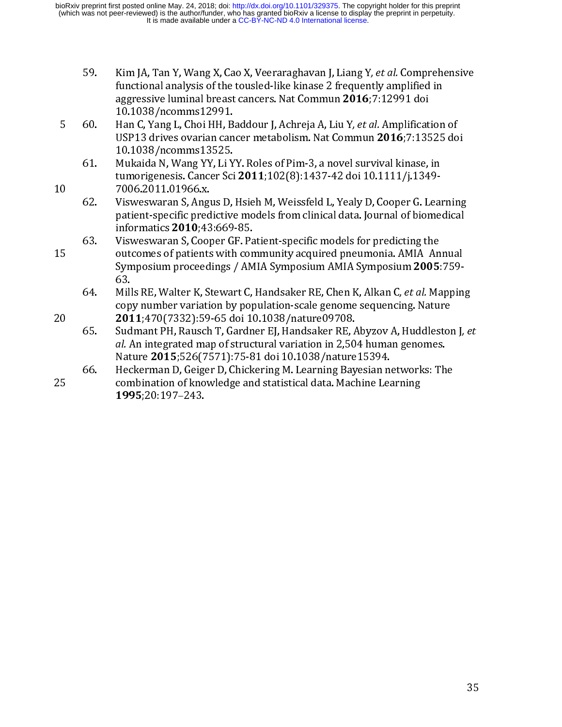- 59. Kim J<sub>A</sub>, Tan T, wang X, Cao X, Veeraraghavan J, Elang T, et al. Comprehensive<br>functional analysis of the tousled-like kinase 2 frequently amplified in<br>aggressive luminal breast cancers. Nat Commun 2016;7:12991 doi<br>10
- -
- aggressive luminal breast cancers. Nat Commun 2016;7:12991 doi<br>10.1038/ncomms12991.<br>Han C, Yang L, Choi HH, Baddour J, Achreja A, Liu Y, *et al*. Amplification<br>USP13 drives ovarian cancer metabolism. Nat Commun 2016;7:1352
- aggressive luminal breast cancers. Nat commun 2010,7.12991 dof<br>10.1038/ncomms12991.<br>Han C, Yang L, Choi HH, Baddour J, Achreja A, Liu Y, *et al.* Amplificat<br>USP13 drives ovarian cancer metabolism. Nat Commun 2016;7:135<br>10. Han C, Yang L, Choi HH, B<br>Han C, Yang L, Choi HH, B<br>USP13 drives ovarian can<br>10.1038/ncomms13525.<br>Mukaida N, Wang YY, Li Y<br>tumorigenesis. Cancer Sci<br>7006.2011.01966.x.<br>Visweswaran S, Angus D,<br>patient-specific predictive<br>in 5 60. Han C, Hang E, Cominity, Achrey Madouri, Achrey A, Liu Y, Cetal. Amplification of<br>10.1038/ncomms13525.<br>10.1038/ncomms13525.<br>10.1038/ncomms13525.<br>10.1038/ncomms13525.<br>10.1038/ncomms13525.<br>10.101966x.<br>10.101966x.<br>10.10 10.1038/ncomms13525.<br>
Mukaida N, Wang YY, Li YY. Roles of Pim-3, a novel survival kinase, in<br>
tumorigenesis. Cancer Sci 2011;102(8):1437-42 doi 10.1111/j.1349-<br>
7006.2011.01966.x.<br>
Visweswaran S, Angus D, Hsieh M, Weissfel Mukaida N, Wang YY, Li Y<br>tumorigenesis. Cancer Sci<br>7006.2011.01966.x.<br>Visweswaran S, Angus D,<br>patient-specific predictive<br>informatics **2010**;43:669<br>Visweswaran S, Cooper G<br>outcomes of patients with<br>Symposium proceedings<br>63 tumorigenesis. Cancer Sci 2011;102(8):1437-42 doi 10.1111/j.1349-7006.2011.01966x.<br>
62. Visweswaran S, Angus D, Hsieh M, Weissfeld L, Yealy D, Cooper G. Leapatient-specific predictive models from clinical data. Journal of tumorigenesis. Cancer Sci 2011, 102(0).1437-42 doi 10.1111/j.1347-<br>7006.2011.01966.x.<br>Visweswaran S, Angus D, Hsieh M, Weissfeld L, Yealy D, Cooper G. Lea<br>patient-specific predictive models from clinical data. Journal of b 62. Visweswaran S, Ang<br>
patient-specific pred<br>
informatics 2010;43<br>
63. Visweswaran S, Coop<br>
outcomes of patients<br>
Symposium proceed<br>
63.<br>
64. Mills RE, Walter K, S<br>
copy number variati<br>
2011;470(7332):59<br>
65. Sudmant PH, patient-specific predictive models from clinical data. Journal of biomedical<br>informatics 2010;43:669-85.<br>63. Visweswaran S, Cooper GF. Patient-specific models for predicting the<br>outcomes of patients with community acquired repatives 2010;43:669-85.<br>Visweswaran S, Cooper GF. Patient-specific models for predicting the<br>outcomes of patients with community acquired pneumonia. AMIA Annual<br>Symposium proceedings / AMIA Symposium AMIA Symposium 2005: mormatics 2010,45:669-85.<br>Visweswaran S, Cooper GF. Pa<br>outcomes of patients with con<br>Symposium proceedings / AM<br>63.<br>Mills RE, Walter K, Stewart C,<br>copy number variation by por<br>2011;470(7332):59-65 doi 10<br>Sudmant PH, Rausch outcomes of patients with community acquired pneumonia. AMIA An<br>Symposium proceedings / AMIA Symposium AMIA Symposium 2005:<br>63.<br>Mills RE, Walter K, Stewart C, Handsaker RE, Chen K, Alkan C, *et al.* Ma<br>copy number variatio
	-
- Symposium proceedings / AMIA Symposium AMIA Symposium 2005:759-63.<br>63.<br>Mills RE, Walter K, Stewart C, Handsaker RE, Chen K, Alkan C, *et al.* Mappin<br>copy number variation by population-scale genome sequencing. Nature<br>2011; Mill<br>cop<br>201<br>Sud<br>*al. I*<br>Nat<br>Hec<br>con<br>199 64. Mills R.C., wave Tr., Saeswart C., Handsaker R.C., Chen K, Kikan C, et al. Mapping<br>copy number variation by population-scale genome sequencing. Nature<br>2011;470(7332):59-65 doi 10.1038/nature09708.<br>66. Sudmant PH, Rausc 2011;470(7332):59-65 doi 10.1038/nature09708.<br>
Sudmant PH, Rausch T, Gardner EJ, Handsaker RE, Abyzov A, Huddleston<br>
al. An integrated map of structural variation in 2,504 human genomes.<br>
Nature 2015;526(7571):75-81 doi 10
- Symposium proceedings / AMIA Symposium AMIA Symposium 2005:759-63.<br>
64. Mills RE, Walter K, Stewart C, Handsaker RE, Chen K, Alkan C, *et al.* Mappin<br>
copy number variation by population-scale genome sequencing. Nature<br>
2 20 2011,470(7332):39-63 doi 10.1030/nature09700.<br>
65. Sudmant PH, Rausch T, Gardner EJ, Handsaker RE,  $A$ <br> *al.* An integrated map of structural variation in 2,50<br>
Nature 2015;526(7571):75-81 doi 10.1038/nature<br>
66. Hecke 66. Sudmant PH, Rausch T, Gardner EJ, Handsaker RB, Anyzov A, Huddleston J, et al. An integrated map of structural variation in 2,504 human genomes.<br>Nature 2015;526(7571):75-81 doi 10.1038/nature 15394.<br>66. Heckerman D, G al. An integrated map of structural variation in 2,504 human genomes.<br>Nature 2015;526(7571):75-81 doi 10.1038/nature15394.<br>Heckerman D, Geiger D, Chickering M. Learning Bayesian networks: Theombination of knowledge and st Nature 2015,526(7571).75-01 doi 10.10567 hatare15394.<br>Heckerman D, Geiger D, Chickering M. Learning Bayesian no<br>combination of knowledge and statistical data. Machine Lea<br>1995;20:197-243. combination of knowledge and statistical data. Machine Learning 1995;20:197–243.<br>1995;20:197–243.  $1995;20:197-243.$  $1995,20.197$ –273.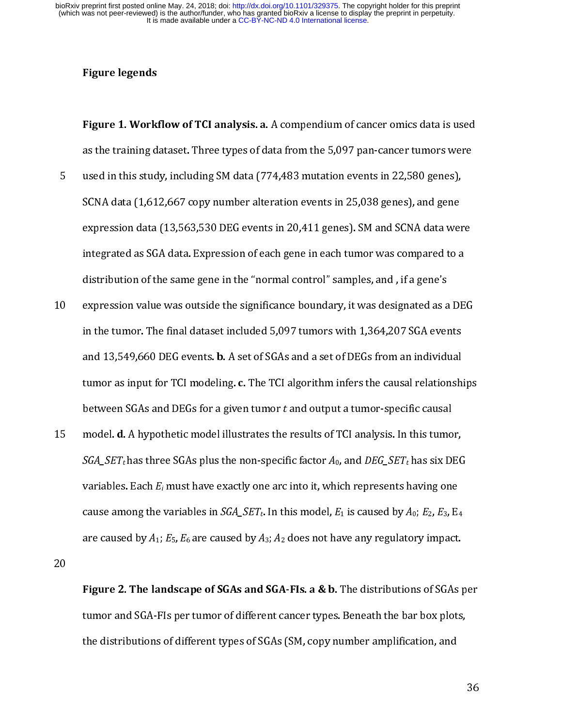### Figure legends

- righte 1. Workhow of Teranarysis. a. A compendium of cancer onnes data is used<br>as the training dataset. Three types of data from the 5,097 pan-cancer tumors were<br>used in this study, including SM data (774,483 mutation even as the training SM data (774,483 mutation events in 22,580 genes),<br>SCNA data (1,612,667 copy number alteration events in 25,038 genes), and gene<br>expression data (13,563,530 DEG events in 20,411 genes). SM and SCNA data wer SCNA data (1,612,667 copy number alteration events in 25,038 genes), and gene<br>expression data (13,563,530 DEG events in 20,411 genes). SM and SCNA data were<br>integrated as SGA data. Expression of each gene in each tumor wa
- expression data (13,563,530 DEG events in 20,411 genes). SM and SCNA data weightegrated as SGA data. Expression of each gene in each tumor was compared to a distribution of the same gene in the "normal control" samples, an integrated as SGA data. Expression of each gene in each tumor was compared to a<br>distribution of the same gene in the "normal control" samples, and , if a gene's<br>expression value was outside the significance boundary, it wa distribution of the same gene in the "normal control" samples, and , if a gene's<br>expression value was outside the significance boundary, it was designated as a DE<br>in the tumor. The final dataset included 5,097 tumors with expression value was outside the significance boundary, it was designated as a<br>in the tumor. The final dataset included 5,097 tumors with 1,364,207 SGA ever<br>and 13,549,660 DEG events. **b.** A set of SGAs and a set of DEGs f 11 In the tumor. The final dataset included 5,097 tumors with 1,364,207 SGA events<br>
and 13,549,660 DEG events. **b.** A set of SGAs and a set of DEGs from an individual<br>
tumor as input for TCI modeling. **c**. The TCI algorit
- and 13,549,660 DEG events. **b.** A set of SGAs and a set of DEGs from an individual<br>tumor as input for TCI modeling. **c.** The TCI algorithm infers the causal relationsh<br>between SGAs and DEGs for a given tumor *t* and outpu and 13,549,660 DEG events. **b.** A set of SGAs and a set of DEGs from an individual<br>tumor as input for TCI modeling. **c.** The TCI algorithm infers the causal relationsh<br>between SGAs and DEGs for a given tumor t and output tumor as input for TCI modeling. C. The TCI algorithm infers the causal relationships<br>between SGAs and DEGs for a given tumor t and output a tumor-specific causal<br>model. d. A hypothetic model illustrates the results of TC between SGAs and DEGs for a given tumor t and output a tumor-specific causar<br>model. **d.** A hypothetic model illustrates the results of TCI analysis. In this tumo<br> $SGA\_SET_t$  has three SGAs plus the non-specific factor  $A_0$ , 15 model. d. A hypothetic model indicates the results of TCI analysis. In this tumor,<br>  $SGA\_SET_t$  has three SGAs plus the non-specific factor  $A_0$ , and  $DEG\_SET_t$  has six DEC<br>
variables. Each  $E_i$  must have exactly one arc int variables. Each  $E_i$  must have exactly one arc into it, which represents having one<br>cause among the variables in *SGA\_SET<sub>t</sub>*. In this model,  $E_1$  is caused by  $A_0$ ;  $E_2$ ,  $E_3$ ,  $E_4$ <br>are caused by  $A_1$ ;  $E_5$ ,  $E_6$

variables. Each  $E_i$  must have exactly one arc into it, which represents having one<br>cause among the variables in  $SGA\_SET$ t. In this model,  $E_1$  is caused by  $A_0$ ;  $E_2$ ,  $E_3$ ,  $E_4$ <br>are caused by  $A_1$ ;  $E_5$ ,  $E_6$  are cause among the variables in SoA\_SETt. In this model, E<sub>1</sub> is caused by  $A_0$ , E<sub>2</sub>, E<sub>3</sub>, E<sub>4</sub><br>are caused by  $A_1$ ; E<sub>5</sub>, E<sub>6</sub> are caused by  $A_3$ ;  $A_2$  does not have any regulatory impact.<br>**Figure 2. The landscape of S** Figure 2. The landscape of SGAs and SGA-FIs. a & b. The distributions of SGAs I<br>tumor and SGA-FIs per tumor of different cancer types. Beneath the bar box plots<br>the distributions of different types of SGAs (SM, copy number Figure 2. The landscape of SuAs and SuA-FIs. a & b. The distributions of SuAs per<br>tumor and SGA-FIs per tumor of different cancer types. Beneath the bar box plots,<br>the distributions of different types of SGAs (SM, copy num the distributions of different types of SGAs (SM, copy number amplification, and the distributions of different types of  $\mathcal{C}(S)$  ,  $\mathcal{C}(S)$  number amplification, and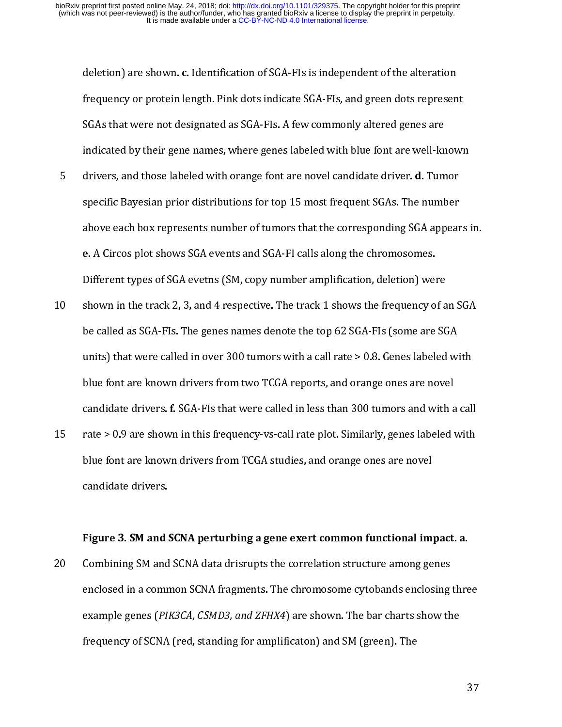- deletion) are shown. c. Identification of SdA-FIs is independent of the anteration<br>frequency or protein length. Pink dots indicate SGA-FIs, and green dots represen<br>SGAs that were not designated as SGA-FIs. A few commonly a Frequency or protocommonly altered genes are<br>indicated by their gene names, where genes labeled with blue font are well-known<br>drivers, and those labeled with orange font are novel candidate driver. **d.** Tumor<br>specific Baye indicated by their gene names, where genes labeled with blue font are well-kn<br>drivers, and those labeled with orange font are novel candidate driver. **d.** Tum<br>specific Bayesian prior distributions for top 15 most frequent drivers, and those labeled with orange font are novel candidate driver. **d.** Tumor<br>specific Bayesian prior distributions for top 15 most frequent SGAs. The number<br>above each box represents number of tumors that the corresp specific Bayesian prior distributions for top 15 most frequent SGAs. The number<br>above each box represents number of tumors that the corresponding SGA appear<br>e. A Circos plot shows SGA events and SGA-FI calls along the chro
- specific Bayesian prior distribution of tumors that the corresponding SGA appear<br>e. A Circos plot shows SGA events and SGA-FI calls along the chromosomes.<br>Different types of SGA evetns (SM, copy number amplification, delet e. A Circos plot shows SGA events and SGA-FI calls along the chromosomes.<br>
Different types of SGA evetns (SM, copy number amplification, deletion) were<br>
shown in the track 2, 3, and 4 respective. The track 1 shows the freq e. A circos piot shows SGA events and SGA-FI calls along the chromosomes.<br>Different types of SGA evetns (SM, copy number amplification, deletion) were<br>shown in the track 2, 3, and 4 respective. The track 1 shows the freque Shown in the track 2, 3, and 4 respective. The track 1 shows the frequency of a<br>be called as SGA-FIs. The genes names denote the top 62 SGA-FIs (some are SC<br>units) that were called in over 300 tumors with a call rate > 0.8 10 shown in the track 2, 3, and 4 respective the track 2 respective. The track 2 respective to the track 2 shown in this shown in the following of an SGA reports, and orange ones are novel candidate drivers. **f**. SGA-FIs t units) that were called in over 300 tumors with a call rate > 0.8. Genes labeled w<br>blue font are known drivers from two TCGA reports, and orange ones are novel<br>candidate drivers. f. SGA-FIs that were called in less than 3
- blue font are known drivers from two TCGA reports, and orange ones are novel<br>candidate drivers. f. SGA-FIs that were called in less than 300 tumors and with a cal<br>rate > 0.9 are shown in this frequency-vs-call rate plot. S candidate drivers. f. SGA-Fls that were called in less than 300 tumors and with a<br>rate > 0.9 are shown in this frequency-vs-call rate plot. Similarly, genes labeled v<br>blue font are known drivers from TCGA studies, and oran candidate drivers. f. Son-Fis that were called in less than 300 tumors and with a call<br>rate > 0.9 are shown in this frequency-vs-call rate plot. Similarly, genes labeled with<br>blue font are known drivers from TCGA studies,

15 Ferroric Control of The Galacter of the California of the candidate drivers.<br>
15 candidate drivers.<br> **Figure 3. SM and SCNA perturbing a gene exert common functional impact. a.**<br>
20 Combining SM and SCNA data drisrupts eandidate drivers.<br>
Figure 3. SM and SCNA perturbing a gene exert common functional implements.<br>
Figure 3. SM and SCNA data drisrupts the correlation structure among ge<br>
enclosed in a common SCNA fragments. The chromosome Figure 3. SM and !<br>Combining SM and<br>enclosed in a comr<br>example genes (*PI*,<br>frequency of SCNA Figure 3. SM and SCNA data drisrupts the correlation structure among genes<br>enclosed in a common SCNA fragments. The chromosome cytobands enclosing thre<br>example genes (*PIK3CA, CSMD3, and ZFHX4*) are shown. The bar charts s 20 Constants of the combined of the correlation structure among general enclosed in a common SCNA fragments. The chromosome cytobands enclosing example genes (*PIK3CA, CSMD3, and ZFHX4*) are shown. The bar charts show the example genes (*PIK3CA, CSMD3, and ZFHX4*) are shown. The bar charts show the frequency of SCNA (red, standing for amplificaton) and SM (green). The 37 example genes (PIK3CA, CSMD3, and ZFHX4) are shown. The bar charts show the<br>frequency of SCNA (red, standing for amplificaton) and SM (green). The frequency of SCNA (red, standing for amplitude) and  $\mathbf{G}^{\text{c}}$  (green). The standard condition of  $\mathbf{G}^{\text{c}}$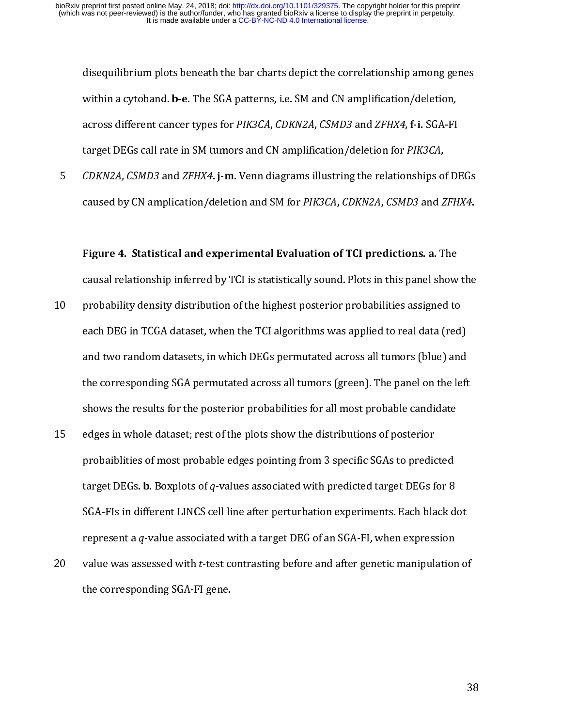within a cytoband. **b-e.** The SGA patterns, i.e. SM and CN amplification/deletion,<br>across different cancer types for *PIK3CA, CDKN2A, CSMD3* and *ZFHX4*, f-i. SGA-FI<br>target DEGs call rate in SM tumors and CN amplification/ within a cytoband. b-e. The SdA patterns, i.e. SM and CN amplification/deletion,<br>across different cancer types for *PIK3CA, CDKN2A, CSMD3* and *ZFHX4*, f-i. SGA-FI<br>target DEGs call rate in SM tumors and CN amplification/de

across uncrent cancer types for PIRSCA, CDKN2A, CSMD3 and 21 HAT, FT. SGA-FI<br>target DEGs call rate in SM tumors and CN amplification/deletion for *PIK3CA,<br>CDKN2A, CSMD3* and *ZFHX4*. **j-m.** Venn diagrams illustring the rel *CDKN2A, CSMD3* and *ZFHX4*. **j-m.** Venn diagrams illustring the relationships of caused by CN amplication/deletion and SM for *PIK3CA, CDKN2A, CSMD3* and *Z*<br>**Figure 4. Statistical and experimental Evaluation of TCI predi** 

- 5 CDKN2A, CSMD3 and 2FHX4. j-m. Venn diagrams indicting the relationships of DEGs<br>caused by CN amplication/deletion and SM for PIK3CA, CDKN2A, CSMD3 and ZFHX4.<br>Figure 4. Statistical and experimental Evaluation of TCI predi Eigure 4. Statistical and experimental Evaluation of TCI predictions. a. The<br>causal relationship inferred by TCI is statistically sound. Plots in this panel show the<br>probability density distribution of the highest posterio Figure 4. Statistical and experimental Evaluation of Tel predictions, a. The<br>causal relationship inferred by TCI is statistically sound. Plots in this panel show<br>probability density distribution of the highest posterior pr probability density distribution of the highest posterior probabilities assigned to<br>each DEG in TCGA dataset, when the TCI algorithms was applied to real data (red)<br>and two random datasets, in which DEGs permutated across Formally distribution of the TCI algorithms was applied to real data (red)<br>and two random datasets, in which DEGs permutated across all tumors (blue) and<br>the corresponding SGA permutated across all tumors (green). The pane
- each of the corresponding SGA permutated across all tumors (blue) and<br>the corresponding SGA permutated across all tumors (green). The panel on the left<br>shows the results for the posterior probabilities for all most probabl the corresponding SGA permutated across all tumors (green). The panel on the left<br>shows the results for the posterior probabilities for all most probable candidate<br>edges in whole dataset; rest of the plots show the distrib shows the results for the posterior probabilities for all most probable candidate<br>edges in whole dataset; rest of the plots show the distributions of posterior<br>probaiblities of most probable edges pointing from 3 specific shows the results for the plots show the distributions of posterior<br>probaiblities of most probable edges pointing from 3 specific SGAs to predicted<br>target DEGs. **b.** Boxplots of q-values associated with predicted target DE 15 edges in time of most probable edges pointing from 3 specific SGAs to predid<br>target DEGs. **b.** Boxplots of q-values associated with predicted target DEGs f<br>SGA-FIs in different LINCS cell line after perturbation experim target DEGs. **b.** Boxplots of *q*-values associated with predicted target DEGs for 8<br>SGA-FIs in different LINCS cell line after perturbation experiments. Each black d<br>represent a *q*-value associated with a target DEG of a SGA-FIs in different LINCS cell line after perturbation experiments. Each black d<br>represent a *q*-value associated with a target DEG of an SGA-FI, when expression<br>value was assessed with *t*-test contrasting before and aft
- represent a *q*-value associated with a target DEG of an SGA-FI, when expression<br>value was assessed with *t*-test contrasting before and after genetic manipulation of<br>the corresponding SGA-FI gene. represent a q-value associated with a target DEG of an SGA-FI, when expression<br>value was assessed with *t*-test contrasting before and after genetic manipulation<br>the corresponding SGA-FI gene. 20 value was assessed with t-test contrasting before and after genetic manipulation of<br>the corresponding SGA-FI gene. the corresponding SGA-FI gene.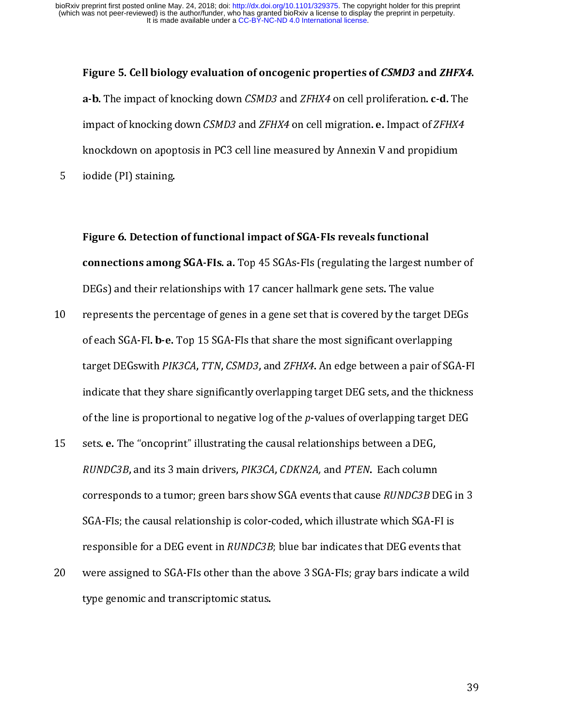Figure 5. Cell biology evaluation of oncogenic properties of CSMD3 and ZHFX4. a-b. The impact of knocking down CSMD3 and ZFHX4 on cell migration. e. Impact of ZFHX4<br>impact of knocking down CSMD3 and ZFHX4 on cell migration. e. Impact of ZFHX4<br>knockdown on apoptosis in PC3 cell line measured by Annex

impact of knocking down CSMD3 and 2FHX4 of eth imgration. e. Impact of 2FHX4<br>knockdown on apoptosis in PC3 cell line measured by Annexin V and propidium<br>iodide (PI) staining.<br>**Figure 6. Detection of functional impact of SG** knockdown of the collection of functional impact of SGA-FIs reveals functional<br>
connections among SGA-FIs. a. Top 45 SGAs-FIs (regulating the largest number<br>
DEGs) and their relationships with 17 cancer hallmark gene sets. Figure 6. Detection of functional impact of SGA-FIs reveals functional

- Figure 6. Detection<br>
connections among<br>
DEGs) and their rela<br>
0 represents the perce<br>
of each SGA-FI. b-e. DEGs) and their relationships with 17 cancer hallmark gene sets. The value<br>represents the percentage of genes in a gene set that is covered by the target DEGs<br>of each SGA-FI. b-e. Top 15 SGA-FIs that share the most signifi represents the percentage of genes in a gene set that is covered by the targe<br>of each SGA-FI. b-e. Top 15 SGA-FIs that share the most significant overlapp<br>target DEGswith PIK3CA, TTN, CSMD3, and ZFHX4. An edge between a pa 10 represents the percentage of genes in a gene set that is coveraged of each SGA-FI. b-e. Top 15 SGA-FIs that share the most significant overlapping target DEGswith *PIK3CA*, *TTN*, *CSMD3*, and *ZFHX4*. An edge between a
- of each SGA-FI. b-e. Top 15 SGA-FIS that share the most significant overlapping<br>target DEGswith *PIK3CA, TTN, CSMD3,* and *ZFHX4*. An edge between a pair of SG<br>indicate that they share significantly overlapping target DEG target DEGswith PIK3CA, PTIN, C3MD3, and ZPIIX4. An edge between a pair of SGA-FI<br>indicate that they share significantly overlapping target DEG sets, and the thickness<br>of the line is proportional to negative log of the p-v of the line is proportional to negative log of the *p*-values of overlapping target DEG<br>sets. **e.** The "oncoprint" illustrating the causal relationships between a DEG,<br>*RUNDC3B*, and its 3 main drivers, *PIK3CA*, *CDKN2A*, of the line is proportional to negative log of the p-values of overlapping target DEG<br>sets. **e.** The "oncoprint" illustrating the causal relationships between a DEG,<br>*RUNDC3B*, and its 3 main drivers, *PIK3CA*, *CDKN2A*, a 15 sets. e. The "oncoprint" intestrating the causal relationships between a DEG,<br>
RUNDC3B, and its 3 main drivers, PIK3CA, CDKN2A, and PTEN. Each column<br>
corresponds to a tumor; green bars show SGA events that cause RUNDC3 RUNDC3B, and its 3 main drivers, *PIRSCA*, CDRN2A, and *PTEN*. Each column<br>corresponds to a tumor; green bars show SGA events that cause *RUNDC3B* D<br>SGA-Fls; the causal relationship is color-coded, which illustrate which S SGA-Fls; the causal relationship is color-coded, which illustrate which SGA-Fl is<br>responsible for a DEG event in *RUNDC3B*; blue bar indicates that DEG events that<br>were assigned to SGA-Fls other than the above 3 SGA-Fls; g
- responsible for a DEG event in *RUNDC3B*; blue bar indicates that DEG events that<br>were assigned to SGA-FIs other than the above 3 SGA-FIs; gray bars indicate a w<br>type genomic and transcriptomic status. responsible for a DEG event in RONDC3B; blue bar indicates that DEG events that<br>were assigned to SGA-FIs other than the above 3 SGA-FIs; gray bars indicate a wil<br>type genomic and transcriptomic status.  $20$  were assigned to SGA-FIS other than the above 3  $\frac{1}{2}$ ; gray bars indicate a wild  $\frac{1}{2}$ . type genomic and transcriptomic status.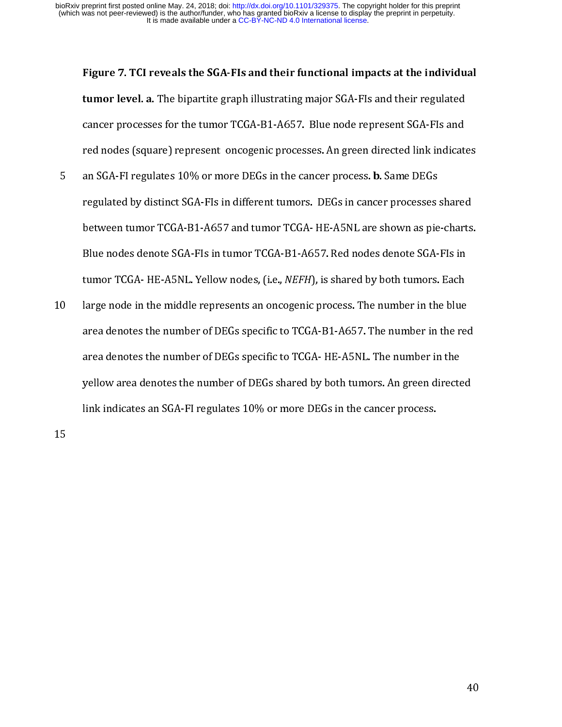Figure 7. TCI reveals the SGA-FIs and their functional impacts at the individual

- tamor level. a. The bipartite graph intestrating major 36A-1 is and their regulated<br>cancer processes for the tumor TCGA-B1-A657. Blue node represent SGA-FIs and<br>red nodes (square) represent oncogenic processes. An green di red nodes (square) represent oncogenic processes. An green directed link indicat<br>an SGA-FI regulates 10% or more DEGs in the cancer process. **b.** Same DEGs<br>regulated by distinct SGA-FIs in different tumors. DEGs in cancer an SGA-FI regulates 10% or more DEGs in the cancer process. **b.** Same DEGs<br>regulated by distinct SGA-FIs in different tumors. DEGs in cancer processes shared<br>between tumor TCGA-B1-A657 and tumor TCGA-HE-A5NL are shown as p an SGA-FI regulates 10 % or more DEGs in the cancer process. D. Same DEGs<br>regulated by distinct SGA-FIs in different tumors. DEGs in cancer processes<br>between tumor TCGA-B1-A657 and tumor TCGA-HE-A5NL are shown as pie<br>Blue
- regularing measure of the mail term tament tumor to the Martin protects starts<br>between tumor TCGA-B1-A657 and tumor TCGA-HE-A5NL are shown as pie-charts<br>Blue nodes denote SGA-FIs in tumor TCGA-B1-A657. Red nodes denote SGA Blue nodes denote SGA-FIs in tumor TCGA-B1-A657. Red nodes denote SGA-FIs in<br>tumor TCGA- HE-A5NL. Yellow nodes, (i.e., *NEFH*), is shared by both tumors. Each<br>large node in the middle represents an oncogenic process. The n tumor TCGA- HE-A5NL. Yellow nodes, (i.e., *NEFH*), is shared by both tumors. Each<br>large node in the middle represents an oncogenic process. The number in the blue<br>area denotes the number of DEGs specific to TCGA-B1-A657. T tumor TCGA- HE-A5NE. Tenow nodes, (i.e., *NEFH*), is shared by both tumors. Each<br>large node in the middle represents an oncogenic process. The number in the blue<br>area denotes the number of DEGs specific to TCGA- HE-A5NL. T 11 and denotes the number of DEGs specific to TCGA-B1-A657. The number in the red<br>area denotes the number of DEGs specific to TCGA-HE-A5NL. The number in the<br>yellow area denotes the number of DEGs shared by both tumors. An area denotes the number of DEGs specific to TCGA-HE-A5NL. The number in the<br>yellow area denotes the number of DEGs shared by both tumors. An green directed<br>link indicates an SGA-FI regulates 10% or more DEGs in the cancer area denotes the number of DEGs specific to TCGA- HE-A5NL. The number in the link indicates an SGA-FI regulates 10% or more DEGs in the cancer process. link indicates an SGA-FI regulates 10% or more DEGs in the cancer process.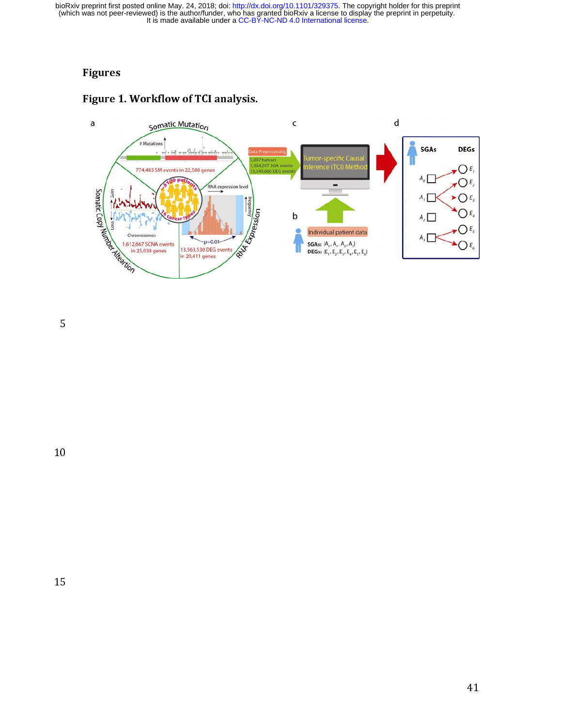## Figures





 $\overline{5}$ 

 $\overline{6}$ 10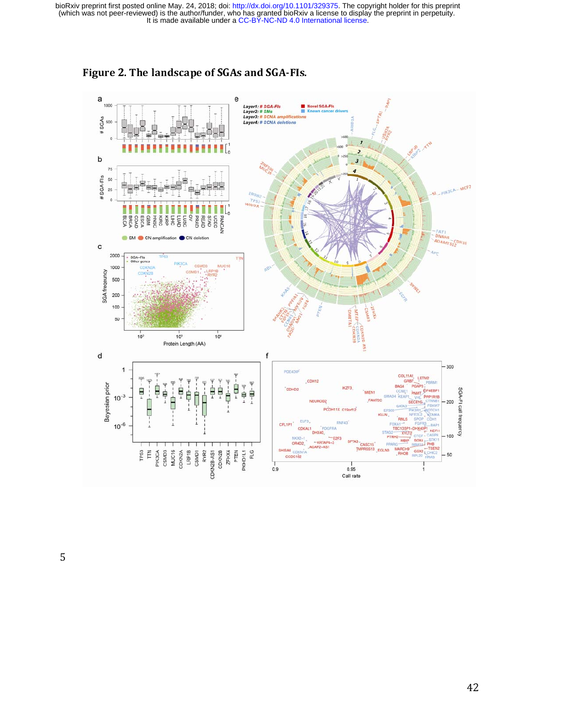

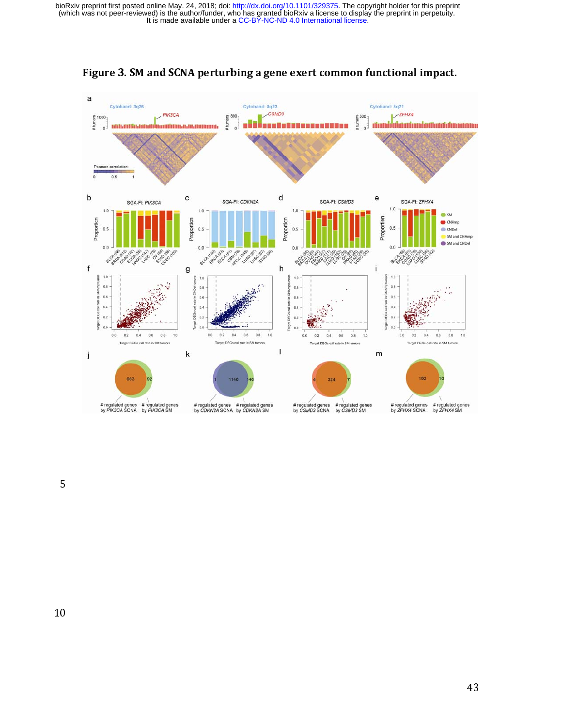

Figure 3. SM and SCNA perturbing a gene exert common functional impact.

5

 $\overline{6}$ 10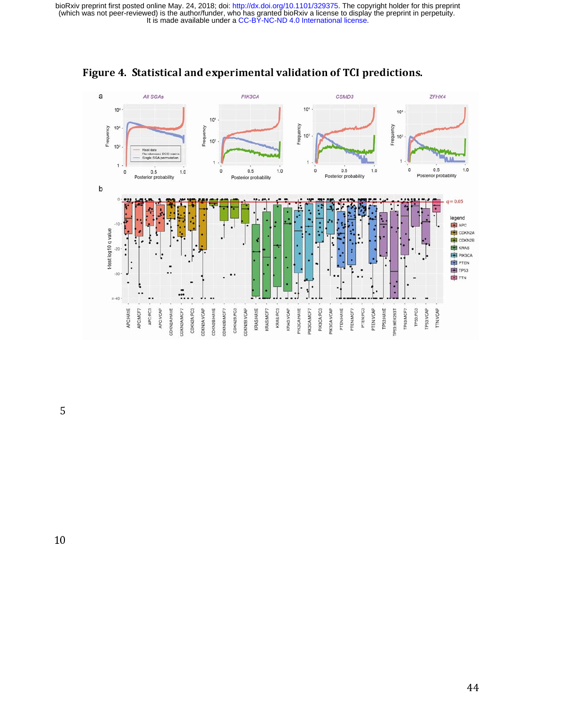

Figure 4. Statistical and experimental validation of TCI predictions.

 $\overline{5}$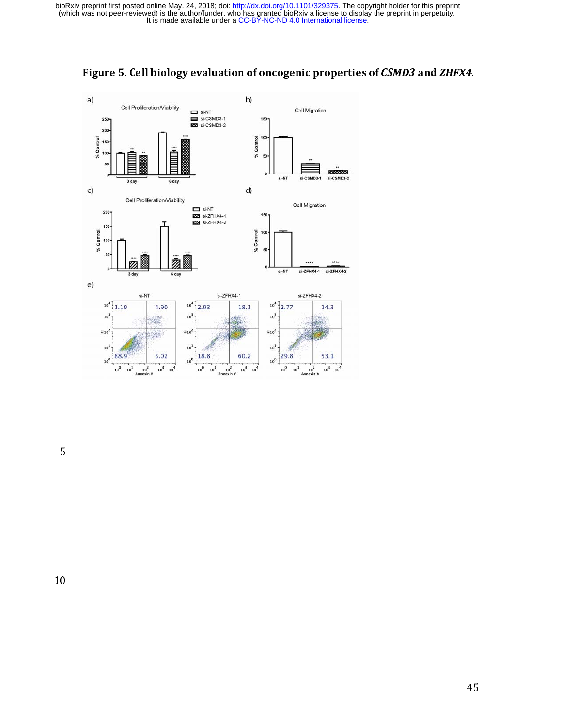

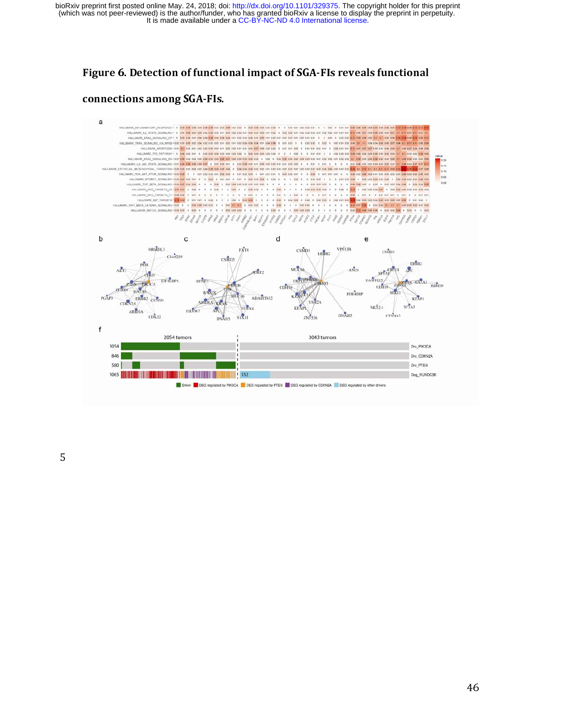## Figure 6. Detection of functional impact of SGA-FIs reveals functional

#### connections among SGA-FIs.

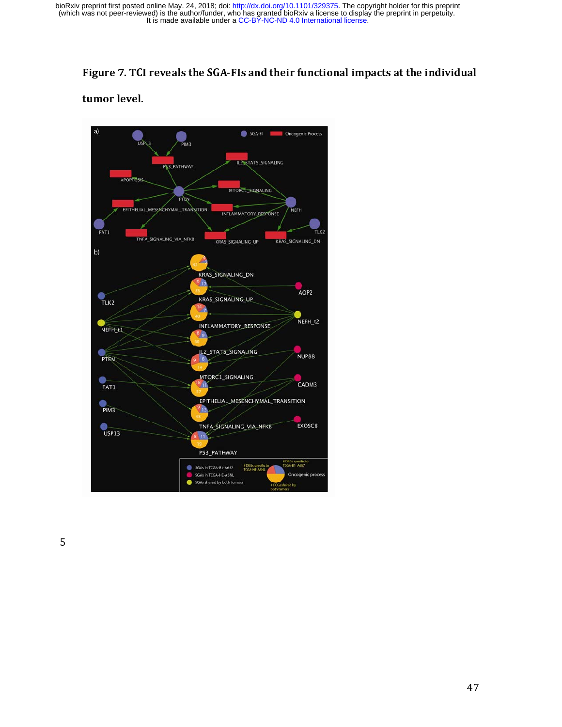## Figure 7. TCI reveals the SGA-FIs and their functional impacts at the individual

tumor level.

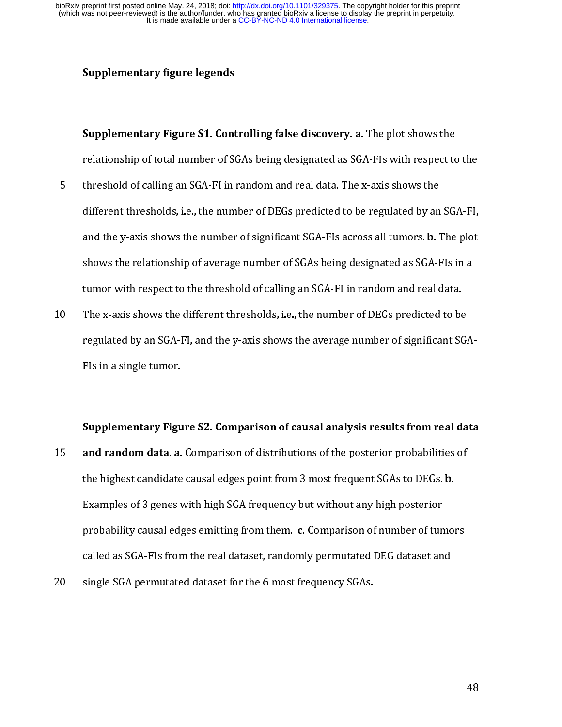- Supplementary Figure S1. Cont<br>relationship of total number of S(<br>threshold of calling an SGA-FI in i<br>different thresholds, i.e., the num<br>and the y-axis shows the number supplementary Figure S1. Controlling false discovery. a. The plot shows the relationship of total number of SGAs being designated as SGA-FIs with respect to threshold of calling an SGA-FI in random and real data. The x-axi relationship of calling an SGA-FI in random and real data. The x-axis shows the<br>different thresholds, i.e., the number of DEGs predicted to be regulated by an SGA-FI,<br>and the y-axis shows the number of significant SGA-FIs 5 different thresholds, i.e., the number of DEGs predicted to be regulated by an<br>and the y-axis shows the number of significant SGA-FIs across all tumors. **b.** 7<br>shows the relationship of average number of SGAs being desig and the y-axis shows the number of significant SGA-FIs across all tumors. **b.** The plot shows the relationship of average number of SGAs being designated as SGA-FIs in a tumor with respect to the threshold of calling an SG
- and the y-axis shows the number of significant SGA-FIs across an tumors. **b.** The plot<br>shows the relationship of average number of SGAs being designated as SGA-FIs in a<br>tumor with respect to the threshold of calling an SGA tumor with respect to the threshold of calling an SGA-FI in random and real data.<br>The x-axis shows the different thresholds, i.e., the number of DEGs predicted to be<br>regulated by an SGA-FI, and the y-axis shows the average The x-axis shows the different thresholds, i.e., the number of DEGs predicted to be<br>regulated by an SGA-FI, and the y-axis shows the average number of significant S(<br>FIs in a single tumor.<br>Supplementary Figure S2. Comparis 10 The axis shows the average number of significant SG.<br>
10 The x-axis shows the average number of significant SG.<br>
115 The a single tumor.<br>
115 Supplementary Figure S2. Comparison of causal analysis results from real da<br>

Supplementary Figure S2. Comparison of causal analysis results from real data

- Supplementary Figu<br>and random data. a.<br>the highest candidate<br>Examples of 3 genes v<br>probability causal ed<sub>8</sub>  $\frac{3}{5}$  t I c s 15 and random data. a. Comparison of distributions of the posterior probabilities of<br>the highest candidate causal edges point from 3 most frequent SGAs to DEGs. **b.**<br>Examples of 3 genes with high SGA frequency but without the highest candidate causal edges point from 3 most frequent 30As to DEGs. b.<br>Examples of 3 genes with high SGA frequency but without any high posterior<br>probability causal edges emitting from them. c. Comparison of number probability causal edges emitting from them. c. Comparison of number of tuncalled as SGA-FIs from the real dataset, randomly permutated DEG dataset an single SGA permutated dataset for the 6 most frequency SGAs. probability causal edges emitting from them. c. Comparison of number of tumors<br>called as SGA-FIs from the real dataset, randomly permutated DEG dataset and<br>single SGA permutated dataset for the 6 most frequency SGAs.
- called SGA-permutated dataset for the 6 most frequency SGAs.<br>
Single SGA-permutated dataset for the 6 most frequency SGAs. 20 single SGA permutated dataset for the 6 most frequency SGAs.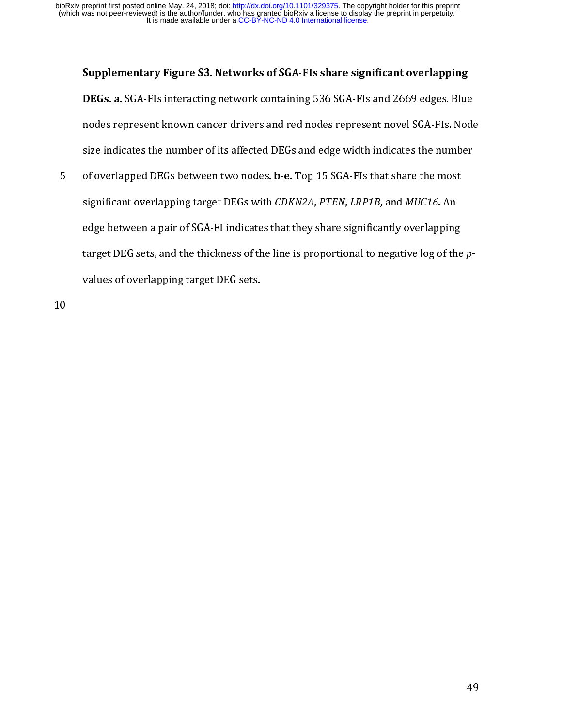#### Supplementary Figure S3. Networks of SGA-FIs share significant overlapping

DEGs. a. SGA-FIS interacting network containing 536 SGA-FIS and 2669 edges. Blue<br>nodes represent known cancer drivers and red nodes represent novel SGA-FIs. Node<br>size indicates the number of its affected DEGs and edge widt size indicates the number of its affected DEGs and edge width indicates the number<br>of overlapped DEGs between two nodes. **b**-e. Top 15 SGA-FIs that share the most<br>significant overlapping target DEGs with *CDKN2A*, *PTEN*, of overlapped DEGs between two nodes. **b-e.** Top 15 SGA-Fls that share the most<br>significant overlapping target DEGs with *CDKN2A, PTEN, LRP1B,* and *MUC16.* An<br>edge between a pair of SGA-FI indicates that they share signif 5 of overlapped DEGs between two nodes. b-e. Top 15 SGA-FIS that share the most<br>significant overlapping target DEGs with *CDKN2A*, *PTEN*, *LRP1B*, and *MUC16*. An<br>edge between a pair of SGA-FI indicates that they share si significant overlapping target DEGs with CDKN2A, PTEN, ENTTD, and MOCT6. An<br>edge between a pair of SGA-FI indicates that they share significantly overlapping<br>target DEG sets, and the thickness of the line is proportional t target DEG sets, and the thickness of the line is proportional to negative log of the<br>values of overlapping target DEG sets. target DEG sets, and the thickness of the line is proportional to negative log or the p-<br>values of overlapping target DEG sets. values of overlapping target DEG sets.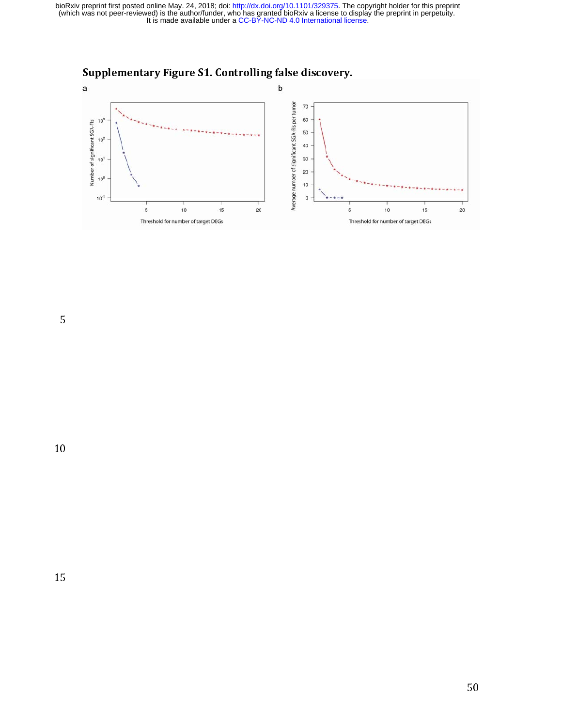

5

 $\overline{0}$ 10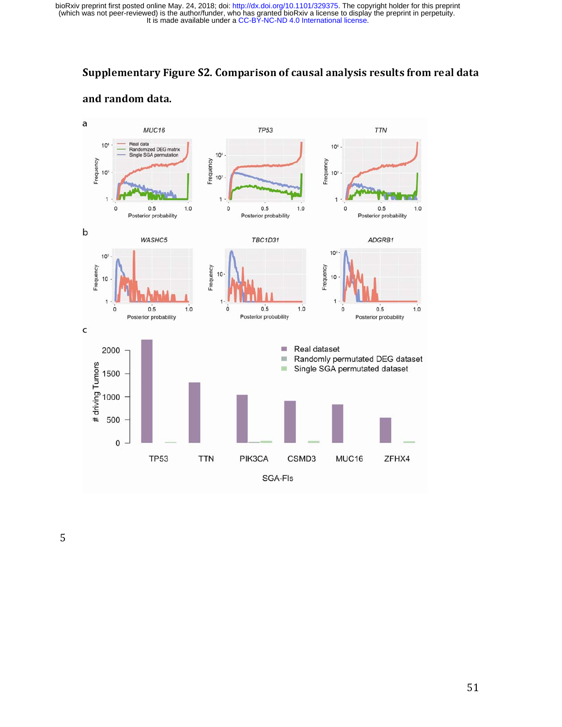## Supplementary Figure S2. Comparison of causal analysis results from real data

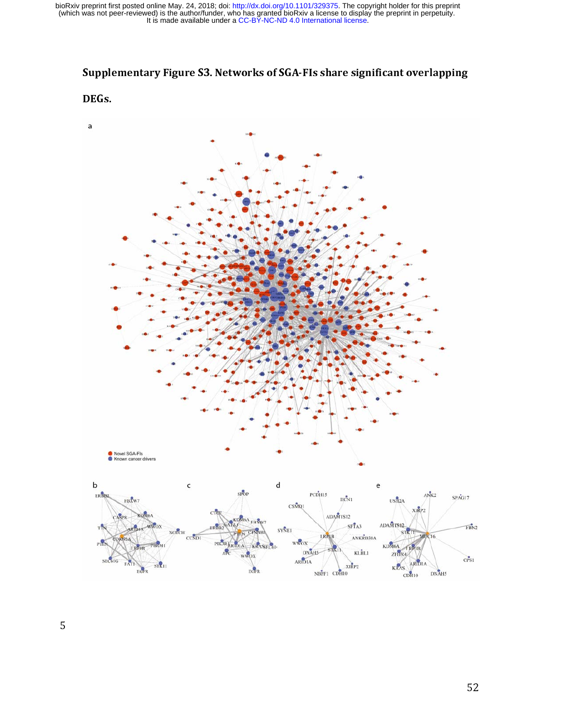## Supplementary Figure S3. Networks of SGA-FIs share significant overlapping

#### DEGs.